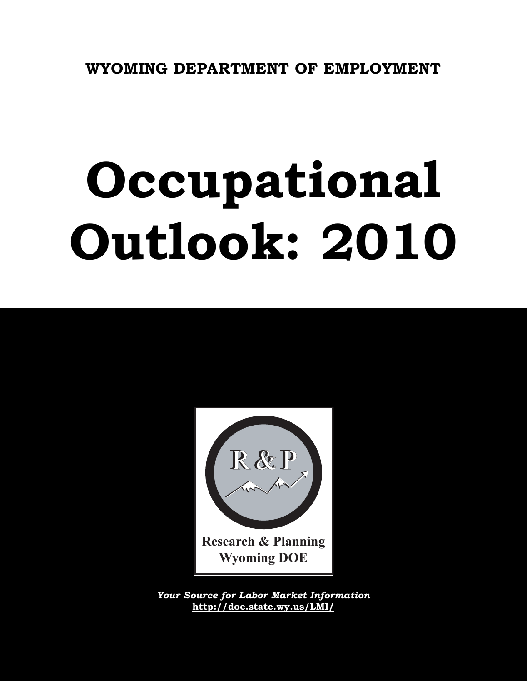# **Occupational Outlook: 2010**



*Your Source for Labor Market Information* **http://doe.state.wy.us/LMI/**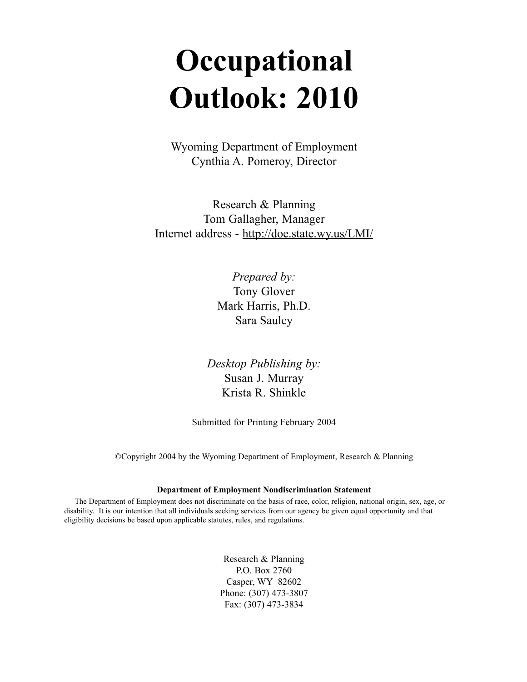# **Occupational Outlook: 2010**

Wyoming Department of Employment Cynthia A. Pomeroy, Director

Research & Planning Tom Gallagher, Manager Internet address - http://doe.state.wy.us/LMI/

> *Prepared by:* Tony Glover Mark Harris, Ph.D. Sara Saulcy

*Desktop Publishing by:* Susan J. Murray Krista R. Shinkle

Submitted for Printing February 2004

©Copyright 2004 by the Wyoming Department of Employment, Research & Planning

#### **Department of Employment Nondiscrimination Statement**

The Department of Employment does not discriminate on the basis of race, color, religion, national origin, sex, age, or disability. It is our intention that all individuals seeking services from our agency be given equal opportunity and that eligibility decisions be based upon applicable statutes, rules, and regulations.

> Research & Planning P.O. Box 2760 Casper, WY 82602 Phone: (307) 473-3807 Fax: (307) 473-3834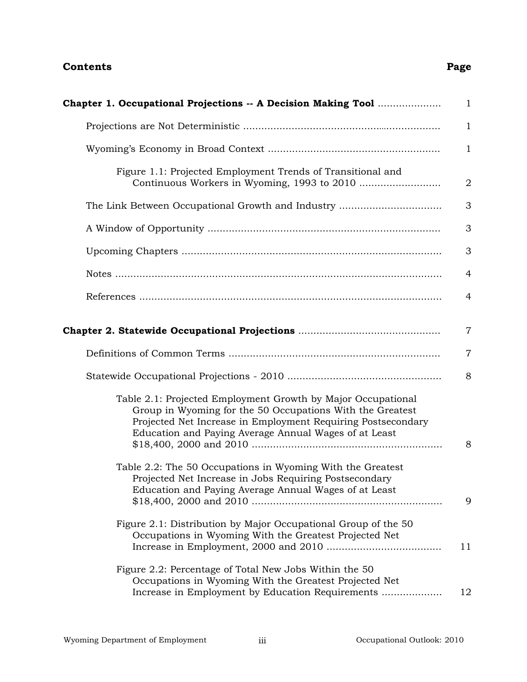#### **Contents**

| Chapter 1. Occupational Projections -- A Decision Making Tool                                                                                                                                                                                      | $\mathbf{1}$   |
|----------------------------------------------------------------------------------------------------------------------------------------------------------------------------------------------------------------------------------------------------|----------------|
|                                                                                                                                                                                                                                                    | $\mathbf{1}$   |
|                                                                                                                                                                                                                                                    | $\mathbf{1}$   |
| Figure 1.1: Projected Employment Trends of Transitional and                                                                                                                                                                                        | $\overline{2}$ |
|                                                                                                                                                                                                                                                    | 3              |
|                                                                                                                                                                                                                                                    | 3              |
|                                                                                                                                                                                                                                                    | 3              |
|                                                                                                                                                                                                                                                    | 4              |
|                                                                                                                                                                                                                                                    | 4              |
|                                                                                                                                                                                                                                                    | $\overline{7}$ |
|                                                                                                                                                                                                                                                    | $\overline{7}$ |
|                                                                                                                                                                                                                                                    | 8              |
| Table 2.1: Projected Employment Growth by Major Occupational<br>Group in Wyoming for the 50 Occupations With the Greatest<br>Projected Net Increase in Employment Requiring Postsecondary<br>Education and Paying Average Annual Wages of at Least | 8              |
| Table 2.2: The 50 Occupations in Wyoming With the Greatest<br>Projected Net Increase in Jobs Requiring Postsecondary<br>Education and Paying Average Annual Wages of at Least                                                                      | 9              |
| Figure 2.1: Distribution by Major Occupational Group of the 50<br>Occupations in Wyoming With the Greatest Projected Net                                                                                                                           | 11             |
| Figure 2.2: Percentage of Total New Jobs Within the 50<br>Occupations in Wyoming With the Greatest Projected Net<br>Increase in Employment by Education Requirements                                                                               | 12             |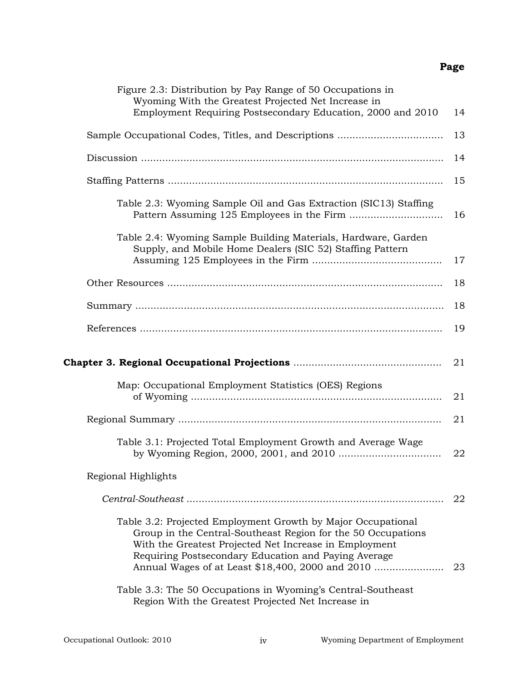| Figure 2.3: Distribution by Pay Range of 50 Occupations in<br>Wyoming With the Greatest Projected Net Increase in<br>Employment Requiring Postsecondary Education, 2000 and 2010 | 14 |
|----------------------------------------------------------------------------------------------------------------------------------------------------------------------------------|----|
|                                                                                                                                                                                  | 13 |
|                                                                                                                                                                                  | 14 |
|                                                                                                                                                                                  | 15 |
| Table 2.3: Wyoming Sample Oil and Gas Extraction (SIC13) Staffing                                                                                                                | 16 |
| Table 2.4: Wyoming Sample Building Materials, Hardware, Garden<br>Supply, and Mobile Home Dealers (SIC 52) Staffing Pattern                                                      | 17 |
|                                                                                                                                                                                  | 18 |
|                                                                                                                                                                                  | 18 |
|                                                                                                                                                                                  | 19 |
|                                                                                                                                                                                  | 21 |
|                                                                                                                                                                                  |    |
| Map: Occupational Employment Statistics (OES) Regions                                                                                                                            | 21 |
|                                                                                                                                                                                  | 21 |
| Table 3.1: Projected Total Employment Growth and Average Wage                                                                                                                    | 22 |
| Regional Highlights                                                                                                                                                              |    |
|                                                                                                                                                                                  | 22 |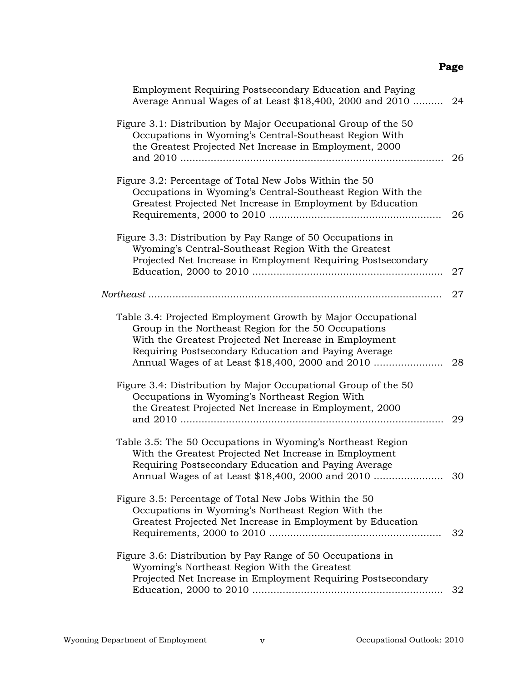| Employment Requiring Postsecondary Education and Paying<br>Average Annual Wages of at Least \$18,400, 2000 and 2010                                                                                                                                                                        | 24 |
|--------------------------------------------------------------------------------------------------------------------------------------------------------------------------------------------------------------------------------------------------------------------------------------------|----|
| Figure 3.1: Distribution by Major Occupational Group of the 50<br>Occupations in Wyoming's Central-Southeast Region With<br>the Greatest Projected Net Increase in Employment, 2000                                                                                                        | 26 |
| Figure 3.2: Percentage of Total New Jobs Within the 50<br>Occupations in Wyoming's Central-Southeast Region With the<br>Greatest Projected Net Increase in Employment by Education                                                                                                         | 26 |
| Figure 3.3: Distribution by Pay Range of 50 Occupations in<br>Wyoming's Central-Southeast Region With the Greatest<br>Projected Net Increase in Employment Requiring Postsecondary                                                                                                         | 27 |
|                                                                                                                                                                                                                                                                                            | 27 |
| Table 3.4: Projected Employment Growth by Major Occupational<br>Group in the Northeast Region for the 50 Occupations<br>With the Greatest Projected Net Increase in Employment<br>Requiring Postsecondary Education and Paying Average<br>Annual Wages of at Least \$18,400, 2000 and 2010 | 28 |
| Figure 3.4: Distribution by Major Occupational Group of the 50<br>Occupations in Wyoming's Northeast Region With<br>the Greatest Projected Net Increase in Employment, 2000                                                                                                                | 29 |
| Table 3.5: The 50 Occupations in Wyoming's Northeast Region<br>With the Greatest Projected Net Increase in Employment<br>Requiring Postsecondary Education and Paying Average                                                                                                              | 30 |
| Figure 3.5: Percentage of Total New Jobs Within the 50<br>Occupations in Wyoming's Northeast Region With the<br>Greatest Projected Net Increase in Employment by Education                                                                                                                 | 32 |
| Figure 3.6: Distribution by Pay Range of 50 Occupations in<br>Wyoming's Northeast Region With the Greatest<br>Projected Net Increase in Employment Requiring Postsecondary                                                                                                                 | 32 |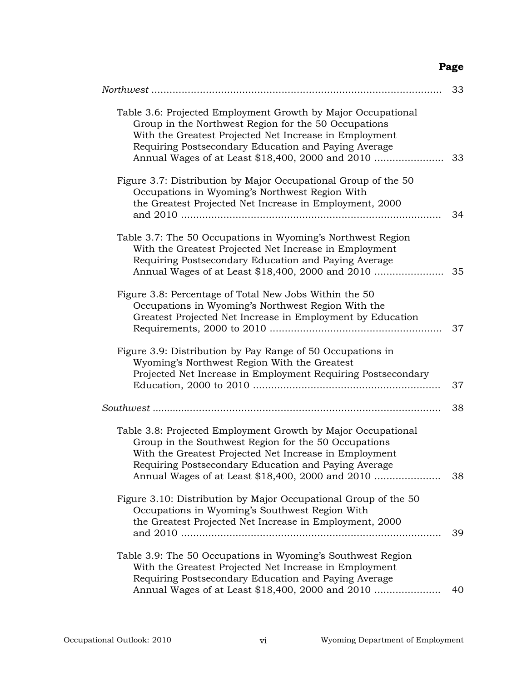|                                                                                                                                                                                                                                                                                            | 33 |
|--------------------------------------------------------------------------------------------------------------------------------------------------------------------------------------------------------------------------------------------------------------------------------------------|----|
| Table 3.6: Projected Employment Growth by Major Occupational<br>Group in the Northwest Region for the 50 Occupations<br>With the Greatest Projected Net Increase in Employment<br>Requiring Postsecondary Education and Paying Average<br>Annual Wages of at Least \$18,400, 2000 and 2010 | 33 |
| Figure 3.7: Distribution by Major Occupational Group of the 50<br>Occupations in Wyoming's Northwest Region With<br>the Greatest Projected Net Increase in Employment, 2000                                                                                                                | 34 |
| Table 3.7: The 50 Occupations in Wyoming's Northwest Region<br>With the Greatest Projected Net Increase in Employment<br>Requiring Postsecondary Education and Paying Average<br>Annual Wages of at Least \$18,400, 2000 and 2010                                                          | 35 |
| Figure 3.8: Percentage of Total New Jobs Within the 50<br>Occupations in Wyoming's Northwest Region With the<br>Greatest Projected Net Increase in Employment by Education                                                                                                                 | 37 |
| Figure 3.9: Distribution by Pay Range of 50 Occupations in<br>Wyoming's Northwest Region With the Greatest<br>Projected Net Increase in Employment Requiring Postsecondary                                                                                                                 | 37 |
|                                                                                                                                                                                                                                                                                            | 38 |
| Table 3.8: Projected Employment Growth by Major Occupational<br>Group in the Southwest Region for the 50 Occupations<br>With the Greatest Projected Net Increase in Employment<br>Requiring Postsecondary Education and Paying Average<br>Annual Wages of at Least \$18,400, 2000 and 2010 | 38 |
| Figure 3.10: Distribution by Major Occupational Group of the 50<br>Occupations in Wyoming's Southwest Region With<br>the Greatest Projected Net Increase in Employment, 2000                                                                                                               | 39 |
| Table 3.9: The 50 Occupations in Wyoming's Southwest Region<br>With the Greatest Projected Net Increase in Employment<br>Requiring Postsecondary Education and Paying Average<br>Annual Wages of at Least \$18,400, 2000 and 2010                                                          | 40 |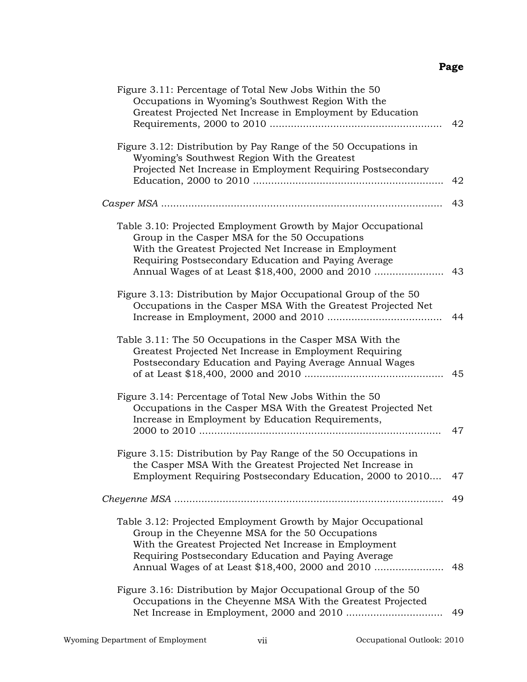| Figure 3.11: Percentage of Total New Jobs Within the 50<br>Occupations in Wyoming's Southwest Region With the<br>Greatest Projected Net Increase in Employment by Education                                                                                                             | 42 |
|-----------------------------------------------------------------------------------------------------------------------------------------------------------------------------------------------------------------------------------------------------------------------------------------|----|
| Figure 3.12: Distribution by Pay Range of the 50 Occupations in<br>Wyoming's Southwest Region With the Greatest<br>Projected Net Increase in Employment Requiring Postsecondary                                                                                                         | 42 |
|                                                                                                                                                                                                                                                                                         | 43 |
| Table 3.10: Projected Employment Growth by Major Occupational<br>Group in the Casper MSA for the 50 Occupations<br>With the Greatest Projected Net Increase in Employment<br>Requiring Postsecondary Education and Paying Average<br>Annual Wages of at Least \$18,400, 2000 and 2010   | 43 |
| Figure 3.13: Distribution by Major Occupational Group of the 50<br>Occupations in the Casper MSA With the Greatest Projected Net                                                                                                                                                        | 44 |
| Table 3.11: The 50 Occupations in the Casper MSA With the<br>Greatest Projected Net Increase in Employment Requiring<br>Postsecondary Education and Paying Average Annual Wages                                                                                                         | 45 |
| Figure 3.14: Percentage of Total New Jobs Within the 50<br>Occupations in the Casper MSA With the Greatest Projected Net<br>Increase in Employment by Education Requirements,                                                                                                           | 47 |
| Figure 3.15: Distribution by Pay Range of the 50 Occupations in<br>the Casper MSA With the Greatest Projected Net Increase in<br>Employment Requiring Postsecondary Education, 2000 to 2010                                                                                             | 47 |
|                                                                                                                                                                                                                                                                                         | 49 |
| Table 3.12: Projected Employment Growth by Major Occupational<br>Group in the Cheyenne MSA for the 50 Occupations<br>With the Greatest Projected Net Increase in Employment<br>Requiring Postsecondary Education and Paying Average<br>Annual Wages of at Least \$18,400, 2000 and 2010 | 48 |
| Figure 3.16: Distribution by Major Occupational Group of the 50<br>Occupations in the Cheyenne MSA With the Greatest Projected                                                                                                                                                          | 49 |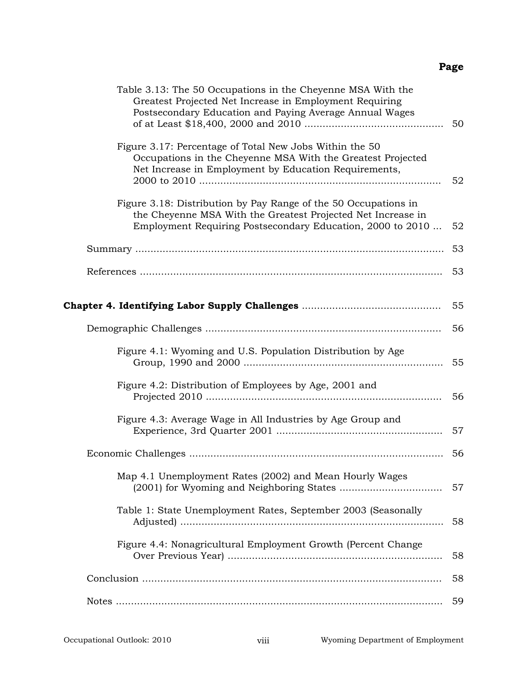| Table 3.13: The 50 Occupations in the Cheyenne MSA With the<br>Greatest Projected Net Increase in Employment Requiring<br>Postsecondary Education and Paying Average Annual Wages             | 50 |
|-----------------------------------------------------------------------------------------------------------------------------------------------------------------------------------------------|----|
| Figure 3.17: Percentage of Total New Jobs Within the 50<br>Occupations in the Cheyenne MSA With the Greatest Projected<br>Net Increase in Employment by Education Requirements,               | 52 |
| Figure 3.18: Distribution by Pay Range of the 50 Occupations in<br>the Cheyenne MSA With the Greatest Projected Net Increase in<br>Employment Requiring Postsecondary Education, 2000 to 2010 | 52 |
|                                                                                                                                                                                               | 53 |
|                                                                                                                                                                                               | 53 |
|                                                                                                                                                                                               | 55 |
|                                                                                                                                                                                               | 56 |
| Figure 4.1: Wyoming and U.S. Population Distribution by Age                                                                                                                                   | 55 |
| Figure 4.2: Distribution of Employees by Age, 2001 and                                                                                                                                        | 56 |
| Figure 4.3: Average Wage in All Industries by Age Group and                                                                                                                                   | 57 |
|                                                                                                                                                                                               | 56 |
| Map 4.1 Unemployment Rates (2002) and Mean Hourly Wages                                                                                                                                       | 57 |
| Table 1: State Unemployment Rates, September 2003 (Seasonally                                                                                                                                 | 58 |
| Figure 4.4: Nonagricultural Employment Growth (Percent Change                                                                                                                                 | 58 |
|                                                                                                                                                                                               | 58 |
|                                                                                                                                                                                               | 59 |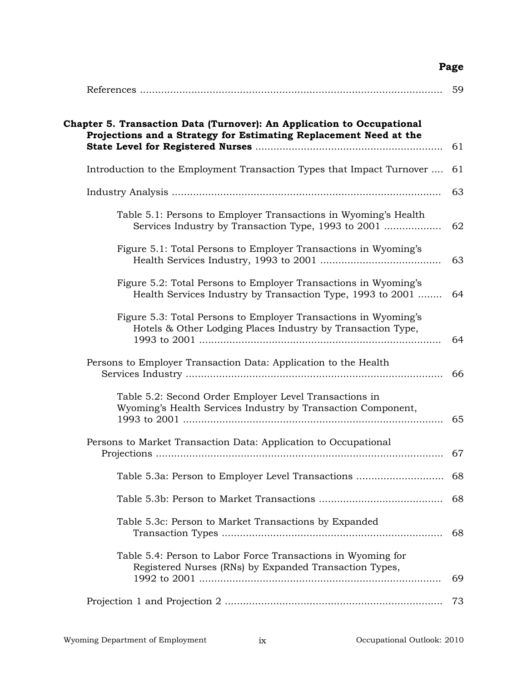|                                                                                                                                             | 59 |
|---------------------------------------------------------------------------------------------------------------------------------------------|----|
| Chapter 5. Transaction Data (Turnover): An Application to Occupational<br>Projections and a Strategy for Estimating Replacement Need at the | 61 |
| Introduction to the Employment Transaction Types that Impact Turnover                                                                       | 61 |
|                                                                                                                                             | 63 |
| Table 5.1: Persons to Employer Transactions in Wyoming's Health<br>Services Industry by Transaction Type, 1993 to 2001                      | 62 |
| Figure 5.1: Total Persons to Employer Transactions in Wyoming's                                                                             | 63 |
| Figure 5.2: Total Persons to Employer Transactions in Wyoming's<br>Health Services Industry by Transaction Type, 1993 to 2001               | 64 |
| Figure 5.3: Total Persons to Employer Transactions in Wyoming's<br>Hotels & Other Lodging Places Industry by Transaction Type,              | 64 |
| Persons to Employer Transaction Data: Application to the Health                                                                             | 66 |
| Table 5.2: Second Order Employer Level Transactions in<br>Wyoming's Health Services Industry by Transaction Component,                      | 65 |
| Persons to Market Transaction Data: Application to Occupational                                                                             | 67 |
| Table 5.3a: Person to Employer Level Transactions                                                                                           | 68 |
|                                                                                                                                             | 68 |
| Table 5.3c: Person to Market Transactions by Expanded                                                                                       | 68 |
| Table 5.4: Person to Labor Force Transactions in Wyoming for<br>Registered Nurses (RNs) by Expanded Transaction Types,                      | 69 |
|                                                                                                                                             | 73 |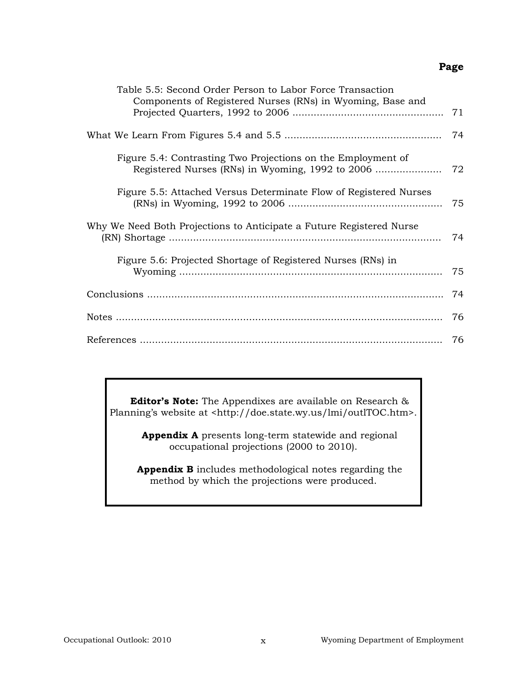| Table 5.5: Second Order Person to Labor Force Transaction<br>Components of Registered Nurses (RNs) in Wyoming, Base and | 71 |
|-------------------------------------------------------------------------------------------------------------------------|----|
|                                                                                                                         | 74 |
| Figure 5.4: Contrasting Two Projections on the Employment of                                                            | 72 |
| Figure 5.5: Attached Versus Determinate Flow of Registered Nurses                                                       | 75 |
| Why We Need Both Projections to Anticipate a Future Registered Nurse                                                    | 74 |
| Figure 5.6: Projected Shortage of Registered Nurses (RNs) in                                                            | 75 |
|                                                                                                                         | 74 |
|                                                                                                                         | 76 |
|                                                                                                                         | 76 |

**Editor's Note:** The Appendixes are available on Research & Planning's website at <http://doe.state.wy.us/lmi/outlTOC.htm>.

> **Appendix A** presents long-term statewide and regional occupational projections (2000 to 2010).

**Appendix B** includes methodological notes regarding the method by which the projections were produced.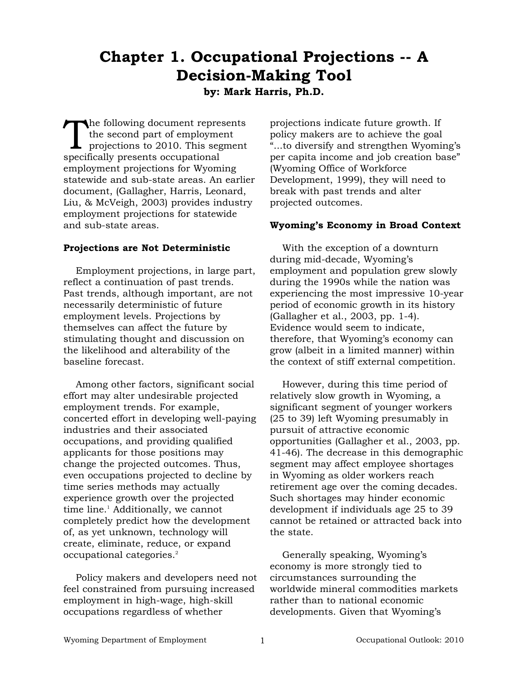# **Chapter 1. Occupational Projections -- A Decision-Making Tool by: Mark Harris, Ph.D.**

The following document represents the second part of employment  $\blacksquare$  projections to 2010. This segment specifically presents occupational employment projections for Wyoming statewide and sub-state areas. An earlier document, (Gallagher, Harris, Leonard, Liu, & McVeigh, 2003) provides industry employment projections for statewide and sub-state areas.

#### **Projections are Not Deterministic**

Employment projections, in large part, reflect a continuation of past trends. Past trends, although important, are not necessarily deterministic of future employment levels. Projections by themselves can affect the future by stimulating thought and discussion on the likelihood and alterability of the baseline forecast.

Among other factors, significant social effort may alter undesirable projected employment trends. For example, concerted effort in developing well-paying industries and their associated occupations, and providing qualified applicants for those positions may change the projected outcomes. Thus, even occupations projected to decline by time series methods may actually experience growth over the projected time line.<sup>1</sup> Additionally, we cannot completely predict how the development of, as yet unknown, technology will create, eliminate, reduce, or expand occupational categories.2

Policy makers and developers need not feel constrained from pursuing increased employment in high-wage, high-skill occupations regardless of whether

projections indicate future growth. If policy makers are to achieve the goal "...to diversify and strengthen Wyoming's per capita income and job creation base" (Wyoming Office of Workforce Development, 1999), they will need to break with past trends and alter projected outcomes.

#### **Wyoming's Economy in Broad Context**

With the exception of a downturn during mid-decade, Wyoming's employment and population grew slowly during the 1990s while the nation was experiencing the most impressive 10-year period of economic growth in its history (Gallagher et al., 2003, pp. 1-4). Evidence would seem to indicate, therefore, that Wyoming's economy can grow (albeit in a limited manner) within the context of stiff external competition.

However, during this time period of relatively slow growth in Wyoming, a significant segment of younger workers (25 to 39) left Wyoming presumably in pursuit of attractive economic opportunities (Gallagher et al., 2003, pp. 41-46). The decrease in this demographic segment may affect employee shortages in Wyoming as older workers reach retirement age over the coming decades. Such shortages may hinder economic development if individuals age 25 to 39 cannot be retained or attracted back into the state.

Generally speaking, Wyoming's economy is more strongly tied to circumstances surrounding the worldwide mineral commodities markets rather than to national economic developments. Given that Wyoming's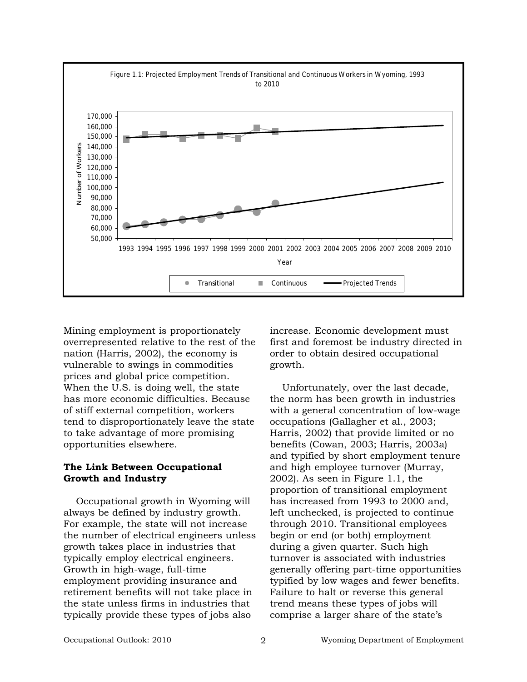

Mining employment is proportionately overrepresented relative to the rest of the nation (Harris, 2002), the economy is vulnerable to swings in commodities prices and global price competition. When the U.S. is doing well, the state has more economic difficulties. Because of stiff external competition, workers tend to disproportionately leave the state to take advantage of more promising opportunities elsewhere.

#### **The Link Between Occupational Growth and Industry**

Occupational growth in Wyoming will always be defined by industry growth. For example, the state will not increase the number of electrical engineers unless growth takes place in industries that typically employ electrical engineers. Growth in high-wage, full-time employment providing insurance and retirement benefits will not take place in the state unless firms in industries that typically provide these types of jobs also

increase. Economic development must first and foremost be industry directed in order to obtain desired occupational growth.

Unfortunately, over the last decade, the norm has been growth in industries with a general concentration of low-wage occupations (Gallagher et al., 2003; Harris, 2002) that provide limited or no benefits (Cowan, 2003; Harris, 2003a) and typified by short employment tenure and high employee turnover (Murray, 2002). As seen in Figure 1.1, the proportion of transitional employment has increased from 1993 to 2000 and, left unchecked, is projected to continue through 2010. Transitional employees begin or end (or both) employment during a given quarter. Such high turnover is associated with industries generally offering part-time opportunities typified by low wages and fewer benefits. Failure to halt or reverse this general trend means these types of jobs will comprise a larger share of the state's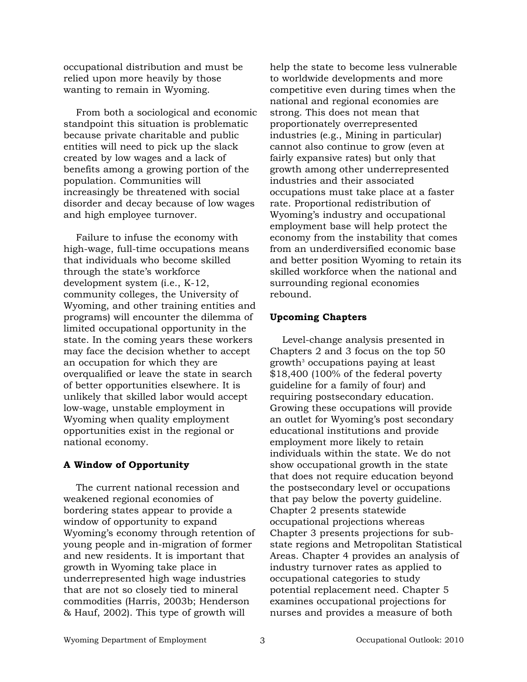occupational distribution and must be relied upon more heavily by those wanting to remain in Wyoming.

From both a sociological and economic standpoint this situation is problematic because private charitable and public entities will need to pick up the slack created by low wages and a lack of benefits among a growing portion of the population. Communities will increasingly be threatened with social disorder and decay because of low wages and high employee turnover.

Failure to infuse the economy with high-wage, full-time occupations means that individuals who become skilled through the state's workforce development system (i.e., K-12, community colleges, the University of Wyoming, and other training entities and programs) will encounter the dilemma of limited occupational opportunity in the state. In the coming years these workers may face the decision whether to accept an occupation for which they are overqualified or leave the state in search of better opportunities elsewhere. It is unlikely that skilled labor would accept low-wage, unstable employment in Wyoming when quality employment opportunities exist in the regional or national economy.

#### **A Window of Opportunity**

The current national recession and weakened regional economies of bordering states appear to provide a window of opportunity to expand Wyoming's economy through retention of young people and in-migration of former and new residents. It is important that growth in Wyoming take place in underrepresented high wage industries that are not so closely tied to mineral commodities (Harris, 2003b; Henderson & Hauf, 2002). This type of growth will

help the state to become less vulnerable to worldwide developments and more competitive even during times when the national and regional economies are strong. This does not mean that proportionately overrepresented industries (e.g., Mining in particular) cannot also continue to grow (even at fairly expansive rates) but only that growth among other underrepresented industries and their associated occupations must take place at a faster rate. Proportional redistribution of Wyoming's industry and occupational employment base will help protect the economy from the instability that comes from an underdiversified economic base and better position Wyoming to retain its skilled workforce when the national and surrounding regional economies rebound.

#### **Upcoming Chapters**

Level-change analysis presented in Chapters 2 and 3 focus on the top 50 growth<sup>3</sup> occupations paying at least \$18,400 (100% of the federal poverty guideline for a family of four) and requiring postsecondary education. Growing these occupations will provide an outlet for Wyoming's post secondary educational institutions and provide employment more likely to retain individuals within the state. We do not show occupational growth in the state that does not require education beyond the postsecondary level or occupations that pay below the poverty guideline. Chapter 2 presents statewide occupational projections whereas Chapter 3 presents projections for substate regions and Metropolitan Statistical Areas. Chapter 4 provides an analysis of industry turnover rates as applied to occupational categories to study potential replacement need. Chapter 5 examines occupational projections for nurses and provides a measure of both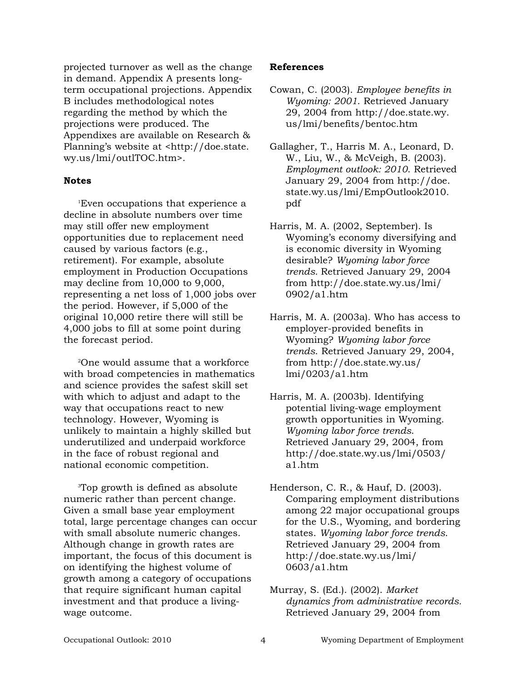projected turnover as well as the change in demand. Appendix A presents longterm occupational projections. Appendix B includes methodological notes regarding the method by which the projections were produced. The Appendixes are available on Research & Planning's website at <http://doe.state. wy.us/lmi/outlTOC.htm>.

#### **Notes**

1 Even occupations that experience a decline in absolute numbers over time may still offer new employment opportunities due to replacement need caused by various factors (e.g., retirement). For example, absolute employment in Production Occupations may decline from 10,000 to 9,000, representing a net loss of 1,000 jobs over the period. However, if 5,000 of the original 10,000 retire there will still be 4,000 jobs to fill at some point during the forecast period.

2 One would assume that a workforce with broad competencies in mathematics and science provides the safest skill set with which to adjust and adapt to the way that occupations react to new technology. However, Wyoming is unlikely to maintain a highly skilled but underutilized and underpaid workforce in the face of robust regional and national economic competition.

3 Top growth is defined as absolute numeric rather than percent change. Given a small base year employment total, large percentage changes can occur with small absolute numeric changes. Although change in growth rates are important, the focus of this document is on identifying the highest volume of growth among a category of occupations that require significant human capital investment and that produce a livingwage outcome.

#### **References**

- Cowan, C. (2003). *Employee benefits in Wyoming: 2001*. Retrieved January 29, 2004 from http://doe.state.wy. us/lmi/benefits/bentoc.htm
- Gallagher, T., Harris M. A., Leonard, D. W., Liu, W., & McVeigh, B. (2003). *Employment outlook: 2010*. Retrieved January 29, 2004 from http://doe. state.wy.us/lmi/EmpOutlook2010. pdf
- Harris, M. A. (2002, September). Is Wyoming's economy diversifying and is economic diversity in Wyoming desirable? *Wyoming labor force trends.* Retrieved January 29, 2004 from http://doe.state.wy.us/lmi/ 0902/a1.htm
- Harris, M. A. (2003a). Who has access to employer-provided benefits in Wyoming? *Wyoming labor force trends*. Retrieved January 29, 2004, from http://doe.state.wy.us/ lmi/0203/a1.htm
- Harris, M. A. (2003b). Identifying potential living-wage employment growth opportunities in Wyoming. *Wyoming labor force trends*. Retrieved January 29, 2004, from http://doe.state.wy.us/lmi/0503/ a1.htm
- Henderson, C. R., & Hauf, D. (2003). Comparing employment distributions among 22 major occupational groups for the U.S., Wyoming, and bordering states. *Wyoming labor force trends*. Retrieved January 29, 2004 from http://doe.state.wy.us/lmi/ 0603/a1.htm
- Murray, S. (Ed.). (2002). *Market dynamics from administrative records.* Retrieved January 29, 2004 from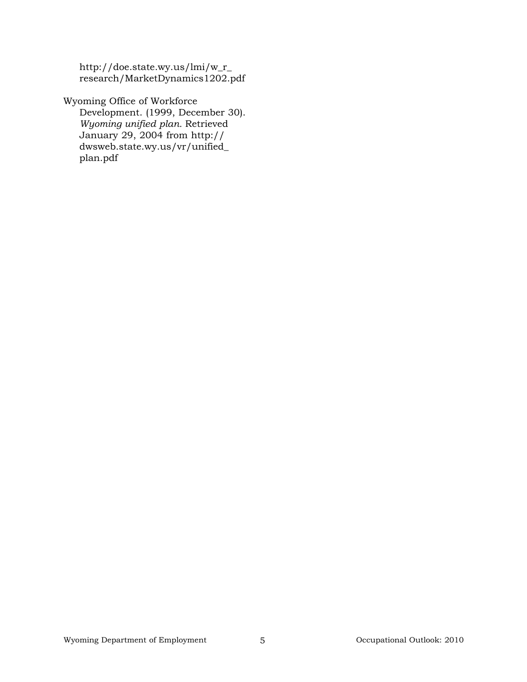http://doe.state.wy.us/lmi/w\_r\_ research/MarketDynamics1202.pdf

Wyoming Office of Workforce Development. (1999, December 30). *Wyoming unified plan.* Retrieved January 29, 2004 from http:// dwsweb.state.wy.us/vr/unified\_ plan.pdf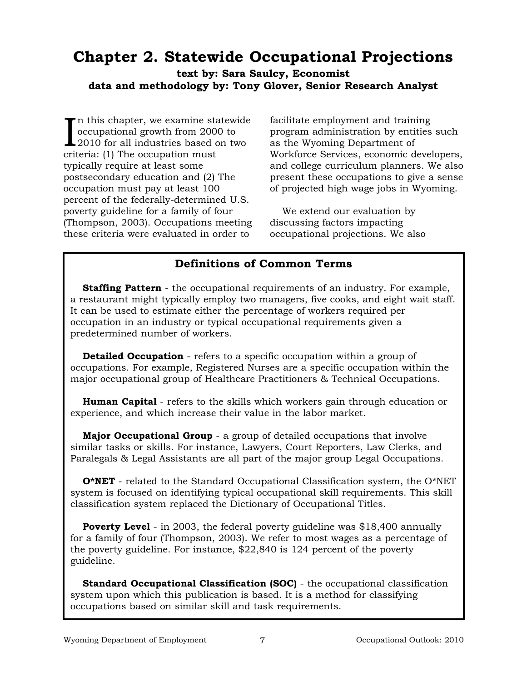# **Chapter 2. Statewide Occupational Projections**

**text by: Sara Saulcy, Economist data and methodology by: Tony Glover, Senior Research Analyst**

In this chapter, we examine statewid<br>occupational growth from 2000 to<br>2010 for all industries based on two<br>oritorio: (1) The eccupation must n this chapter, we examine statewide occupational growth from 2000 to criteria: (1) The occupation must typically require at least some postsecondary education and (2) The occupation must pay at least 100 percent of the federally-determined U.S. poverty guideline for a family of four (Thompson, 2003). Occupations meeting these criteria were evaluated in order to

facilitate employment and training program administration by entities such as the Wyoming Department of Workforce Services, economic developers, and college curriculum planners. We also present these occupations to give a sense of projected high wage jobs in Wyoming.

We extend our evaluation by discussing factors impacting occupational projections. We also

#### **Definitions of Common Terms**

**Staffing Pattern** - the occupational requirements of an industry. For example, a restaurant might typically employ two managers, five cooks, and eight wait staff. It can be used to estimate either the percentage of workers required per occupation in an industry or typical occupational requirements given a predetermined number of workers.

**Detailed Occupation** - refers to a specific occupation within a group of occupations. For example, Registered Nurses are a specific occupation within the major occupational group of Healthcare Practitioners & Technical Occupations.

**Human Capital** - refers to the skills which workers gain through education or experience, and which increase their value in the labor market.

**Major Occupational Group** - a group of detailed occupations that involve similar tasks or skills. For instance, Lawyers, Court Reporters, Law Clerks, and Paralegals & Legal Assistants are all part of the major group Legal Occupations.

**O\*NET** - related to the Standard Occupational Classification system, the O\*NET system is focused on identifying typical occupational skill requirements. This skill classification system replaced the Dictionary of Occupational Titles.

**Poverty Level** - in 2003, the federal poverty guideline was \$18,400 annually for a family of four (Thompson, 2003). We refer to most wages as a percentage of the poverty guideline. For instance, \$22,840 is 124 percent of the poverty guideline.

**Standard Occupational Classification (SOC)** - the occupational classification system upon which this publication is based. It is a method for classifying occupations based on similar skill and task requirements.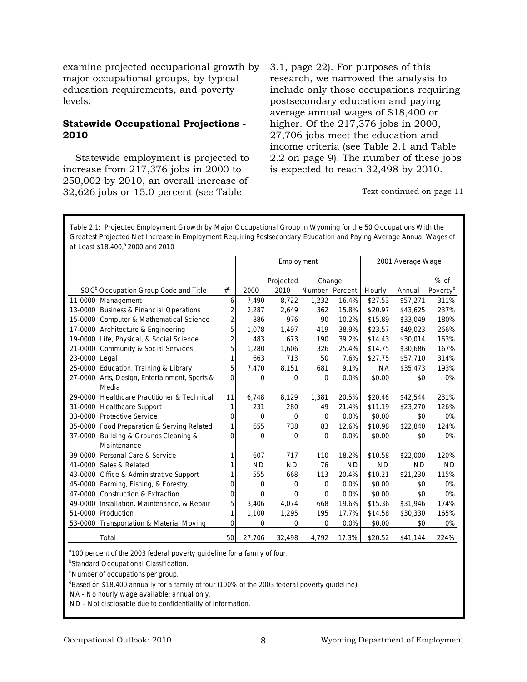examine projected occupational growth by major occupational groups, by typical education requirements, and poverty levels.

#### **Statewide Occupational Projections - 2010**

Statewide employment is projected to increase from 217,376 jobs in 2000 to 250,002 by 2010, an overall increase of 32,626 jobs or 15.0 percent (see Table

3.1, page 22). For purposes of this research, we narrowed the analysis to include only those occupations requiring postsecondary education and paying average annual wages of \$18,400 or higher. Of the 217,376 jobs in 2000, 27,706 jobs meet the education and income criteria (see Table 2.1 and Table 2.2 on page 9). The number of these jobs is expected to reach 32,498 by 2010.

Text continued on page 11

**at Least \$18,400,a 2000 and 2010 Table 2.1: Projected Employment Growth by Major Occupational Group in Wyoming for the 50 Occupations With the Greatest Projected Net Increase in Employment Requiring Postsecondary Education and Paying Average Annual Wages of**

|                                                  |                |             | Employment  |                |           |           | 2001 Average Wage |                      |
|--------------------------------------------------|----------------|-------------|-------------|----------------|-----------|-----------|-------------------|----------------------|
|                                                  |                |             | Projected   | Change         |           |           |                   | $%$ of               |
| SOC <sup>D</sup> Occupation Group Code and Title | $\#^{\tt C}$   | 2000        | 2010        | Number Percent |           | Hourly    | Annual            | Poverty <sup>d</sup> |
| 11-0000 Management                               | 6              | 7,490       | 8,722       | 1,232          | 16.4%     | \$27.53   | \$57,271          | 311%                 |
| 13-0000 Business & Financial Operations          | $\overline{2}$ | 2.287       | 2,649       | 362            | 15.8%     | \$20.97   | \$43.625          | 237%                 |
| 15-0000 Computer & Mathematical Science          | $\overline{2}$ | 886         | 976         | 90             | 10.2%     | \$15.89   | \$33,049          | 180%                 |
| 17-0000 Architecture & Engineering               | 5              | 1.078       | 1,497       | 419            | 38.9%     | \$23.57   | \$49,023          | 266%                 |
| 19-0000 Life, Physical, & Social Science         | 2              | 483         | 673         | 190            | 39.2%     | \$14.43   | \$30,014          | 163%                 |
| 21-0000 Community & Social Services              | 5              | 1,280       | 1,606       | 326            | 25.4%     | \$14.75   | \$30,686          | 167%                 |
| 23-0000 Legal                                    | 1              | 663         | 713         | 50             | 7.6%      | \$27.75   | \$57,710          | 314%                 |
| 25-0000 Education, Training & Library            | 5              | 7.470       | 8,151       | 681            | 9.1%      | <b>NA</b> | \$35,473          | 193%                 |
| 27-0000 Arts, Design, Entertainment, Sports &    | $\Omega$       | 0           | $\mathbf 0$ | 0              | 0.0%      | \$0.00    | \$0               | 0%                   |
| Media                                            |                |             |             |                |           |           |                   |                      |
| 29-0000 Healthcare Practitioner & Technical      | 11             | 6,748       | 8,129       | 1,381          | 20.5%     | \$20.46   | \$42,544          | 231%                 |
| 31-0000 Healthcare Support                       | 1              | 231         | 280         | 49             | 21.4%     | \$11.19   | \$23,270          | 126%                 |
| 33-0000 Protective Service                       | 0              | 0           | $\Omega$    | $\mathbf 0$    | 0.0%      | \$0.00    | \$0               | 0%                   |
| 35-0000 Food Preparation & Serving Related       | 1              | 655         | 738         | 83             | 12.6%     | \$10.98   | \$22,840          | 124%                 |
| 37-0000 Building & Grounds Cleaning &            | 0              | $\Omega$    | $\Omega$    | $\Omega$       | 0.0%      | \$0.00    | \$0               | 0%                   |
| Maintenance                                      |                |             |             |                |           |           |                   |                      |
| 39-0000<br>Personal Care & Service               | 1              | 607         | 717         | 110            | 18.2%     | \$10.58   | \$22,000          | 120%                 |
| 41-0000 Sales & Related                          | 1              | <b>ND</b>   | <b>ND</b>   | 76             | <b>ND</b> | <b>ND</b> | <b>ND</b>         | <b>ND</b>            |
| 43-0000 Office & Administrative Support          | 1              | 555         | 668         | 113            | 20.4%     | \$10.21   | \$21,230          | 115%                 |
| 45-0000 Farming, Fishing, & Forestry             | 0              | 0           | $\mathbf 0$ | $\mathbf 0$    | 0.0%      | \$0.00    | \$0               | 0%                   |
| 47-0000 Construction & Extraction                | 0              | $\Omega$    | $\Omega$    | $\Omega$       | 0.0%      | \$0.00    | \$0               | 0%                   |
| 49-0000 Installation, Maintenance, & Repair      | 5              | 3,406       | 4,074       | 668            | 19.6%     | \$15.36   | \$31,946          | 174%                 |
| 51-0000 Production                               |                | 1,100       | 1,295       | 195            | 17.7%     | \$14.58   | \$30,330          | 165%                 |
| 53-0000 Transportation & Material Moving         | $\Omega$       | $\mathbf 0$ | 0           | $\mathbf 0$    | 0.0%      | \$0.00    | \$0               | 0%                   |
| Total                                            | 50             | 27,706      | 32,498      | 4.792          | 17.3%     | \$20.52   | \$41.144          | 224%                 |

<sup>a</sup> 100 percent of the 2003 federal poverty guideline for a family of four.

<sup>b</sup>Standard Occupational Classification.

<sup>c</sup>Number of occupations per group.

<sup>d</sup>Based on \$18,400 annually for a family of four (100% of the 2003 federal poverty guideline).

NA - No hourly wage available; annual only.

ND - Not disclosable due to confidentiality of information.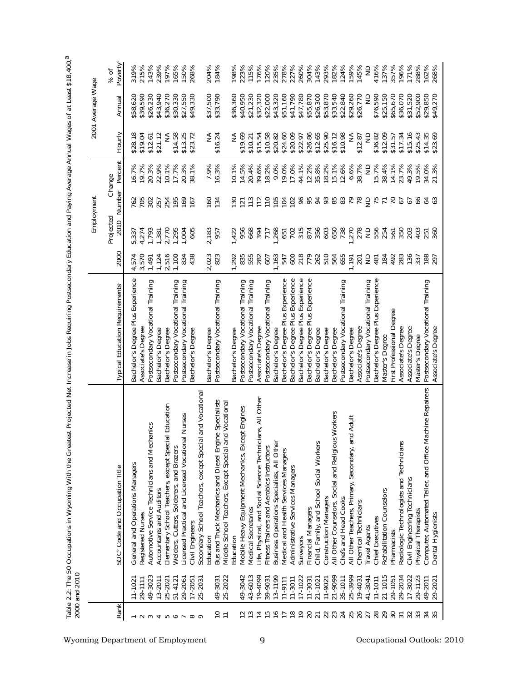|                                                                                                              |                       |                                                                                                                |                                                                        |                |                   | Employment       |                   |                      | 2001 Average Wage    |                              |
|--------------------------------------------------------------------------------------------------------------|-----------------------|----------------------------------------------------------------------------------------------------------------|------------------------------------------------------------------------|----------------|-------------------|------------------|-------------------|----------------------|----------------------|------------------------------|
| Rank                                                                                                         |                       | SOC <sup>®</sup> Code and Occupation Title                                                                     | Typical Education Requirements <sup>®</sup>                            | 2000           | Projected<br>2010 | Number           | Percent<br>Change | Hourly               | Annual               | Poverty <sup>d</sup><br>% of |
| $- \sim$ $\sim$                                                                                              | $11 - 102$            | <b>Operations Managers</b><br>General and                                                                      | Bachelor's Degree Plus Experience                                      | 4,574<br>3,574 | 5,337             | 762              | 16.7%<br>19.7%    | \$28.18<br>\$19.04   | \$58,620<br>\$39,590 | 319%                         |
|                                                                                                              | 29-1111               | Registered Nurses                                                                                              | Associate's Degree                                                     |                | 4,274             | 705              |                   |                      |                      | 215%                         |
|                                                                                                              | 49-3023               | Automotive Service Technicians and Mechanics                                                                   | Postsecondary Vocational Training                                      | 1,491          | 1,793             | 302              | 20.3%             | \$12.61              | \$26,230             | 143%                         |
|                                                                                                              | 13-2011               | Accountants and Auditors                                                                                       | Bachelor's Degree                                                      | 1,124          | 1,381             | 257<br>254       | 22.9%             | \$21.12              | \$43,940             | 239%                         |
|                                                                                                              | 25-2021               | ial Education<br>Elementary School Teachers, except Spec                                                       | Bachelor's Degree                                                      | 2,516          | 2,770             |                  | 10.1%             | $\frac{4}{2}$        | \$36,270             | 197%                         |
|                                                                                                              | 51-4121               | Welders, Cutters, Solderers, and Brazers                                                                       | Postsecondary Vocational Training<br>Postsecondary Vocational Training | 1,100          | 1,295             | 195              | 17.7%             | \$14.58              | \$30,330             | 165%                         |
|                                                                                                              | 29-2061               | al Nurses<br>Licensed Practical and Licensed Vocation                                                          |                                                                        | 834            | 1,004             | $\frac{169}{67}$ | 20.3%<br>38.1%    | $$13.25$<br>$$23.72$ | \$27,550             | 150%                         |
| $\begin{array}{ccccccccccccccccc} \tau & \text{no} & \text{o} & \text{r} & \text{no} & \text{o} \end{array}$ | 25-2031<br>$17 - 205$ | ial and Vocationa<br>Secondary School Teachers, except Speci<br>Civil Engineers                                | Bachelor's Degree                                                      | 438            | 605               |                  |                   |                      | \$49,330             | 268%                         |
|                                                                                                              |                       | Education                                                                                                      |                                                                        |                |                   |                  |                   |                      |                      |                              |
| $\overline{C}$                                                                                               | 49-3031               |                                                                                                                | Bachelor's Degree<br>Postsecondary Vocational Training                 | 2,023<br>823   | 2,183<br>957      | $160$<br>$134$   | 7.9%<br>16.3%     | NA<br>\$16.24        | \$37,500<br>\$33,790 | 204%<br>184%                 |
| $\equiv$                                                                                                     | 25-2022               | Bus and Truck Mechanics and Diesel Engine Specialists<br>Middle School Teachers, Except Special and Vocational |                                                                        |                |                   |                  |                   |                      |                      |                              |
|                                                                                                              |                       | Education                                                                                                      | Bachelor's Degree                                                      | 292            | 1,422             |                  | 10.1%             | ≨                    |                      | 198%                         |
|                                                                                                              | 49-3042               | cept Engines<br>Mobile Heavy Equipment Mechanics, Ex                                                           | Postsecondary Vocational Training<br>Postsecondary Vocational Training | 835            | 956               | $\frac{50}{121}$ | 14.5%             | \$19.69              | \$36,360<br>\$40,950 | 223%                         |
| പ ധ                                                                                                          | 43-6013               | Medical Secretaries                                                                                            |                                                                        | 555            |                   | 772              | 20.4%             | \$10.21              | \$21,230             | 115%                         |
| $\overline{4}$                                                                                               | 19-4099               | cians, All Other<br>Life, Physical, and Social Science Techni                                                  | Associate's Degree                                                     | 282            | 282<br>289<br>299 |                  | 39.6%             | \$15.54              | \$32,320             | 176%                         |
| $\overline{15}$                                                                                              | 39-9031               | Fitness Trainers and Aerobics Instructors                                                                      | Postsecondary Vocational Training                                      | 607            |                   |                  | 18.2%             | \$10.58              | \$22,000             | 120%                         |
| $\frac{6}{7}$                                                                                                | 13-1199               | Business Operations Specialists, All Other                                                                     | Bachelor's Degree                                                      | 1,163          | 1,268<br>651      | 105              | 9.0%              | \$20.82              | \$43,320             | 235%                         |
|                                                                                                              | $11 - 9111$           | Medical and Health Services Managers                                                                           | Bachelor's Degree Plus Experience                                      | 547            |                   | 104              | 19.0%             | \$24.60              | \$51,160             | 278%                         |
| $\frac{8}{1}$                                                                                                | $11 - 3011$           | Administrative Services Managers                                                                               | Bachelor's Degree Plus Experience                                      | 600            | 702               | 102              | 17.0%             | \$20.09              | \$41,790             | 227%                         |
| $\frac{6}{1}$                                                                                                | 17-1022               | Surveyors                                                                                                      | Bachelor's Degree Plus Experience                                      | 218            |                   |                  | 44.1%             | \$22.97              | \$47,780             | 260%                         |
| 20                                                                                                           | $11 - 3031$           | Financial Managers                                                                                             | Bachelor's Degree Plus Experience                                      | 779            | 315<br>874<br>356 | 8523             | 12.2%             | \$26.86<br>\$12.65   | \$55,870             | 304%                         |
| $\overline{21}$                                                                                              | 21-1021               | Child, Family, and School Social Workers                                                                       | Bachelor's Degree                                                      | 262            |                   |                  | 35.8%             |                      | \$26,300             | 143%                         |
| 22                                                                                                           | 11-9021               | Construction Managers                                                                                          | Bachelor's Degree                                                      | 510            | 603<br>650<br>738 |                  | 18.2%             | \$25.90              | \$53,870             | 293%                         |
| 23                                                                                                           | 21-9099               | <b>us Workers</b><br>All Other Counselors, Social and Religiou                                                 | Bachelor's Degree                                                      | 564            |                   | 85<br>83         | 15.1%             | \$16.12<br>\$10.98   | \$33,540             | 182%                         |
|                                                                                                              | 35-1011               | Chefs and Head Cooks                                                                                           | Postsecondary Vocational Training                                      | 655            |                   |                  | 12.6%             |                      | \$22,840             | 124%                         |
|                                                                                                              | 25-3999               | and Adult<br>All Other Teachers, Primary, Secondary,                                                           | Bachelor's Degree                                                      | 191            | 278               |                  | 6.6%              | ≨                    | \$29,260             | 159%                         |
|                                                                                                              | 19-4031               | Chemical Technicians                                                                                           | Associate's Degree                                                     | 201            |                   |                  | 38.7%             | \$12.87              | \$26,770             | 145%                         |
|                                                                                                              | 41-3041               | <b>Travel Agents</b>                                                                                           | Postsecondary Vocational Training                                      | $\epsilon$     | <b>QD</b><br>556  |                  | $\frac{1}{2}$     | $\frac{1}{2}$        | g                    | $\frac{1}{2}$                |
|                                                                                                              | $11 - 1011$           | Chief Executives                                                                                               | Bachelor's Degree Plus Experience                                      | 481            |                   |                  | 15.7%             | \$36.82              | \$76,590             | 416%                         |
| 537828                                                                                                       | 21-1015               | Rehabilitation Counselors                                                                                      | Master's Degree                                                        | 184            | 254               | <b>BEALES</b>    | 38.4%             | \$12.09              | \$25,150             | 137%                         |
|                                                                                                              | 29-1051               | Pharmacists                                                                                                    | First Professional Degree                                              | 492            | 561               |                  | 14.1%             | \$31.57              | \$65,670             | 357%                         |
| $\overline{5}$                                                                                               | 29-2034               | Radiologic Technologists and Technician                                                                        | Associate's Degree                                                     | 283            | 350               | 67               | 23.7%             | \$17.34              | \$36,070             | 196%                         |
| 32                                                                                                           | 17-3022               | Civil Engineering Technicians                                                                                  | Associate's Degree                                                     | 136            | 203               | 5                | 49.3%             | \$15.16              | \$31,520             | 171%                         |
| 33                                                                                                           | 29-1123               | Physical Therapists                                                                                            | Master's Degree                                                        | 337            | 403               | 66               | 19.5%             | \$25.43              | \$52,900             | 288%                         |
| 35                                                                                                           | 49-2011<br>29-2021    | Machine Repairers<br>Computer, Automated Teller, and Office<br>Dental Hygienists                               | Postsecondary Vocational Training<br>Associate's Degree                | 188<br>297     | 360<br>251        | $rac{63}{4}$     | 34.0%<br>21.3%    | \$14.35<br>\$23.69   | \$29,850<br>\$49,270 | 268%<br>162%                 |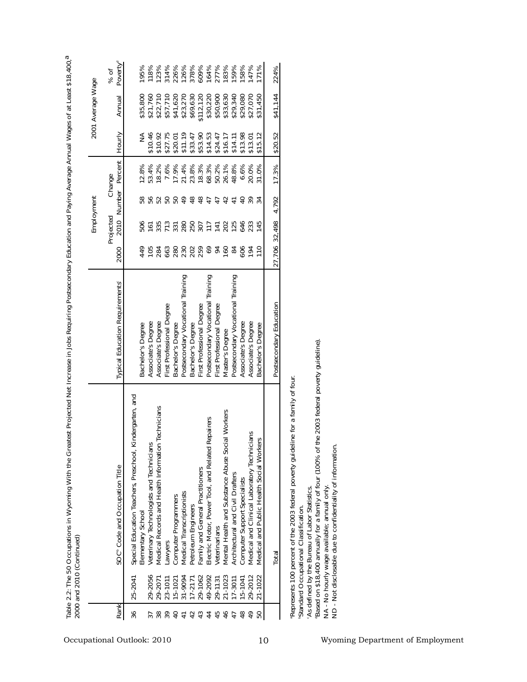|                | 2000 and 2010 (Continued) |                                                          |                                        |                     |                  |                 |                     |         |                   |                                                   |
|----------------|---------------------------|----------------------------------------------------------|----------------------------------------|---------------------|------------------|-----------------|---------------------|---------|-------------------|---------------------------------------------------|
|                |                           |                                                          |                                        |                     | Employment       |                 |                     |         | 2001 Average Wage |                                                   |
|                |                           |                                                          |                                        |                     | Projected        |                 | Change              |         |                   | % of                                              |
| Rank           |                           | SOC <sup>®</sup> Code and Occupation Title               | <b>Typical Education Requirements®</b> | 2000                |                  |                 | 2010 Number Percent | Hourly  | Annual            | Poverty <sup>d</sup>                              |
| 36             | 25-2041                   | Special Education Teachers, Preschool, Kindergarten, and |                                        |                     |                  |                 |                     |         |                   |                                                   |
|                |                           | Elementary School                                        | Bachelor's Degree                      | 449                 | 506              | 58              | 12.8%               | ≨       | \$35,800          | 195%                                              |
|                | 29-2056                   | Veterinary Technologists and Technicians                 | Associate's Degree                     | 105                 | $\overline{161}$ |                 | 53.4%               | \$10.46 | \$21,760          | 118%                                              |
|                | 29-2071                   | Technicians<br>Medical Records and Health Information    | Associate's Degree                     |                     | 335              |                 | 18.2%               | \$10.92 | \$22,710          |                                                   |
|                | 23-1011                   | Lawyers                                                  | First Professional Degree              | 284<br>663          | 713              |                 | 7.6%                | \$27.75 | \$57,710          |                                                   |
|                | $15 - 1021$               | Computer Programmers                                     | Bachelor's Degree                      | 280                 | 331              |                 | 17.9%               | \$20.01 | \$41,620          |                                                   |
|                | 31-9094                   | Medical Transcriptionists                                | Postsecondary Vocational Training      | 222282              | 8800778888       | $\frac{6}{4}$   | 21.4%<br>23.8%      | \$11.19 | \$23,270          | 23%<br>234%%%%%%%%%<br>230%%%%%%%%<br>230%%%%%%%% |
| 42             | 17-2171                   | Petroleum Engineers                                      | Bachelor's Degree                      |                     |                  | 48              |                     | \$33.47 | \$69,630          |                                                   |
| 43             | 29-1062                   | Family and General Practitioners                         | First Professional Degree              |                     |                  | 48              | 18.3%               | \$53.90 | .112, 120         |                                                   |
| $\overline{4}$ | 49-2092                   | Repairers<br>Electric Motor, Power Tool, and Related     | Postsecondary Vocational Training      |                     |                  | $\overline{47}$ | 68.3%               | \$14.53 | \$30,220          |                                                   |
| 45             | 29-1131                   | Veterinarians                                            | First Professional Degree              |                     |                  |                 | 50.2%               | \$24.47 | \$50,900          |                                                   |
| 46             | 21-1023                   | ial Workers<br>Mental Health and Substance Abuse Soc     | Master's Degree                        | $\frac{8}{2}$       |                  | $\overline{4}$  | 26.1%               | \$16.17 | \$33,630          |                                                   |
|                | $7 - 3011$                | Architectural and Civil Drafters                         | Postsecondary Vocational Training      | $\frac{8}{4}$       |                  |                 | 48.8%               | \$14.11 | \$29,340          |                                                   |
| $\frac{8}{4}$  | $15-1041$                 | Computer Support Specialists                             | Associate's Degree                     | 606                 |                  | $\overline{a}$  | 6.6%                | \$13.98 | \$29,080          | 158%                                              |
|                | 29-2012                   | Medical and Clinical Laboratory Technicians              | Associate's Degree                     | $\overline{5}$      | 233              | 39              | 20.0%               | \$13.01 | \$27,070          | 147%                                              |
|                | 21-1022                   | SJE<br>Medical and Public Health Social Worke            | Bachelor's Degree                      | $\frac{1}{10}$      | 145              |                 | 31.0%               | \$15.12 | \$31,450          | 171%                                              |
|                |                           | Total                                                    | Postsecondary Education                | 27,706 32,498 4.792 |                  |                 | 17.3%               | \$20.52 | \$41,144          | 224%                                              |
|                |                           |                                                          |                                        |                     |                  |                 |                     |         |                   |                                                   |

Table 2.2: The 50 Occupations in Wyoming With the Greatest Projected Net Increase in Jobs Requiring Postsecondary Education and Paying Average Annual Wages of at Least \$18,400,<sup>a</sup> **Table 2.2: The 50 Occupations in Wyoming With the Greatest Projected Net Increase in Jobs Requiring Postsecondary Education and Paying Average Annual Wages of at Least \$18,400,a**

"Represents 100 percent of the 2003 federal poverty guideline for a family of four.<br>"Standard Occupational Classification. aRepresents 100 percent of the 2003 federal poverty guideline for a family of four.

bStandard Occupational Classification.

cAs defined by the Bureau of Labor Statistics.

°As defined by the Bureau of Labor Statistics.<br>"Based on \$18,400 annually for a family of four (100% of the 2003 federal poverty guideline).<br>NA - No hourly wage available; annual only.<br>ND - Not disclosable due to confident dBased on \$18,400 annually for a family of four (100% of the 2003 federal poverty guideline).

NA - No hourly wage available; annual only.

ND - Not disclosable due to confidentiality of information.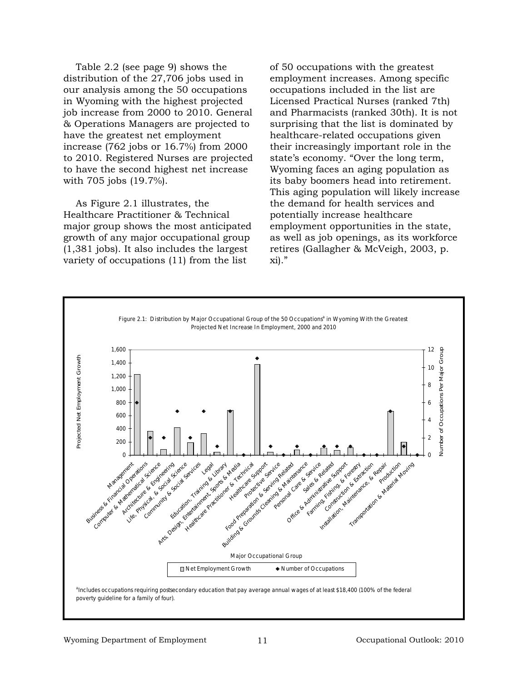Table 2.2 (see page 9) shows the distribution of the 27,706 jobs used in our analysis among the 50 occupations in Wyoming with the highest projected job increase from 2000 to 2010. General & Operations Managers are projected to have the greatest net employment increase (762 jobs or 16.7%) from 2000 to 2010. Registered Nurses are projected to have the second highest net increase with 705 jobs (19.7%).

As Figure 2.1 illustrates, the Healthcare Practitioner & Technical major group shows the most anticipated growth of any major occupational group (1,381 jobs). It also includes the largest variety of occupations (11) from the list

of 50 occupations with the greatest employment increases. Among specific occupations included in the list are Licensed Practical Nurses (ranked 7th) and Pharmacists (ranked 30th). It is not surprising that the list is dominated by healthcare-related occupations given their increasingly important role in the state's economy. "Over the long term, Wyoming faces an aging population as its baby boomers head into retirement. This aging population will likely increase the demand for health services and potentially increase healthcare employment opportunities in the state, as well as job openings, as its workforce retires (Gallagher & McVeigh, 2003, p. xi)."

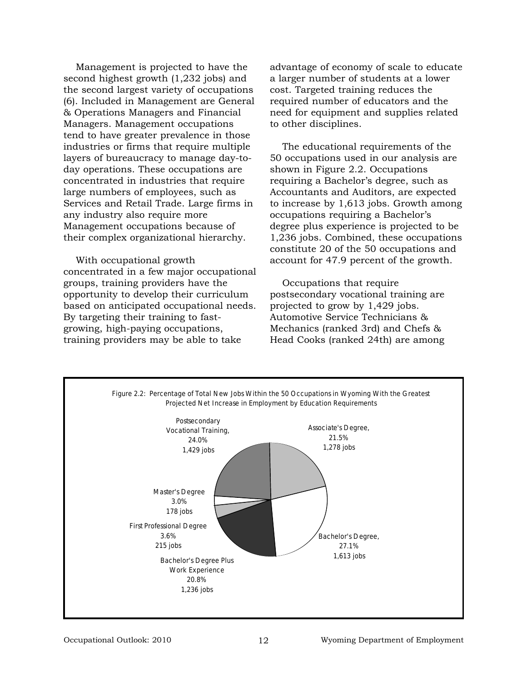Management is projected to have the second highest growth (1,232 jobs) and the second largest variety of occupations (6). Included in Management are General & Operations Managers and Financial Managers. Management occupations tend to have greater prevalence in those industries or firms that require multiple layers of bureaucracy to manage day-today operations. These occupations are concentrated in industries that require large numbers of employees, such as Services and Retail Trade. Large firms in any industry also require more Management occupations because of their complex organizational hierarchy.

With occupational growth concentrated in a few major occupational groups, training providers have the opportunity to develop their curriculum based on anticipated occupational needs. By targeting their training to fastgrowing, high-paying occupations, training providers may be able to take

advantage of economy of scale to educate a larger number of students at a lower cost. Targeted training reduces the required number of educators and the need for equipment and supplies related to other disciplines.

The educational requirements of the 50 occupations used in our analysis are shown in Figure 2.2. Occupations requiring a Bachelor's degree, such as Accountants and Auditors, are expected to increase by 1,613 jobs. Growth among occupations requiring a Bachelor's degree plus experience is projected to be 1,236 jobs. Combined, these occupations constitute 20 of the 50 occupations and account for 47.9 percent of the growth.

Occupations that require postsecondary vocational training are projected to grow by 1,429 jobs. Automotive Service Technicians & Mechanics (ranked 3rd) and Chefs & Head Cooks (ranked 24th) are among

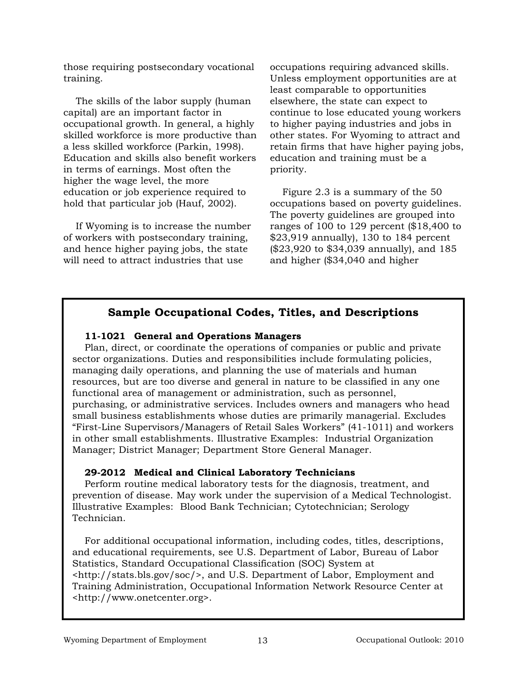those requiring postsecondary vocational training.

The skills of the labor supply (human capital) are an important factor in occupational growth. In general, a highly skilled workforce is more productive than a less skilled workforce (Parkin, 1998). Education and skills also benefit workers in terms of earnings. Most often the higher the wage level, the more education or job experience required to hold that particular job (Hauf, 2002).

If Wyoming is to increase the number of workers with postsecondary training, and hence higher paying jobs, the state will need to attract industries that use

occupations requiring advanced skills. Unless employment opportunities are at least comparable to opportunities elsewhere, the state can expect to continue to lose educated young workers to higher paying industries and jobs in other states. For Wyoming to attract and retain firms that have higher paying jobs, education and training must be a priority.

Figure 2.3 is a summary of the 50 occupations based on poverty guidelines. The poverty guidelines are grouped into ranges of 100 to 129 percent (\$18,400 to \$23,919 annually), 130 to 184 percent (\$23,920 to \$34,039 annually), and 185 and higher (\$34,040 and higher

#### **Sample Occupational Codes, Titles, and Descriptions**

#### **11-1021 General and Operations Managers**

Plan, direct, or coordinate the operations of companies or public and private sector organizations. Duties and responsibilities include formulating policies, managing daily operations, and planning the use of materials and human resources, but are too diverse and general in nature to be classified in any one functional area of management or administration, such as personnel, purchasing, or administrative services. Includes owners and managers who head small business establishments whose duties are primarily managerial. Excludes "First-Line Supervisors/Managers of Retail Sales Workers" (41-1011) and workers in other small establishments. Illustrative Examples: Industrial Organization Manager; District Manager; Department Store General Manager.

#### **29-2012 Medical and Clinical Laboratory Technicians**

Perform routine medical laboratory tests for the diagnosis, treatment, and prevention of disease. May work under the supervision of a Medical Technologist. Illustrative Examples: Blood Bank Technician; Cytotechnician; Serology Technician.

For additional occupational information, including codes, titles, descriptions, and educational requirements, see U.S. Department of Labor, Bureau of Labor Statistics, Standard Occupational Classification (SOC) System at <http://stats.bls.gov/soc/>, and U.S. Department of Labor, Employment and Training Administration, Occupational Information Network Resource Center at <http://www.onetcenter.org>.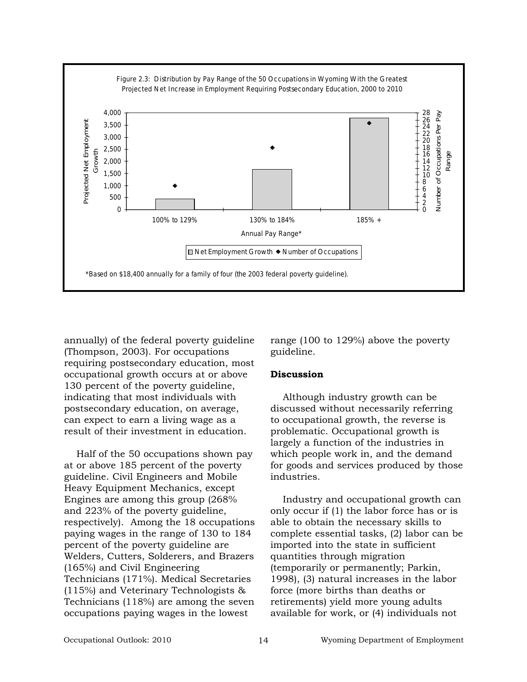

annually) of the federal poverty guideline (Thompson, 2003). For occupations requiring postsecondary education, most occupational growth occurs at or above 130 percent of the poverty guideline, indicating that most individuals with postsecondary education, on average, can expect to earn a living wage as a result of their investment in education.

Half of the 50 occupations shown pay at or above 185 percent of the poverty guideline. Civil Engineers and Mobile Heavy Equipment Mechanics, except Engines are among this group (268% and 223% of the poverty guideline, respectively). Among the 18 occupations paying wages in the range of 130 to 184 percent of the poverty guideline are Welders, Cutters, Solderers, and Brazers (165%) and Civil Engineering Technicians (171%). Medical Secretaries (115%) and Veterinary Technologists & Technicians (118%) are among the seven occupations paying wages in the lowest

range (100 to 129%) above the poverty guideline.

#### **Discussion**

Although industry growth can be discussed without necessarily referring to occupational growth, the reverse is problematic. Occupational growth is largely a function of the industries in which people work in, and the demand for goods and services produced by those industries.

Industry and occupational growth can only occur if (1) the labor force has or is able to obtain the necessary skills to complete essential tasks, (2) labor can be imported into the state in sufficient quantities through migration (temporarily or permanently; Parkin, 1998), (3) natural increases in the labor force (more births than deaths or retirements) yield more young adults available for work, or (4) individuals not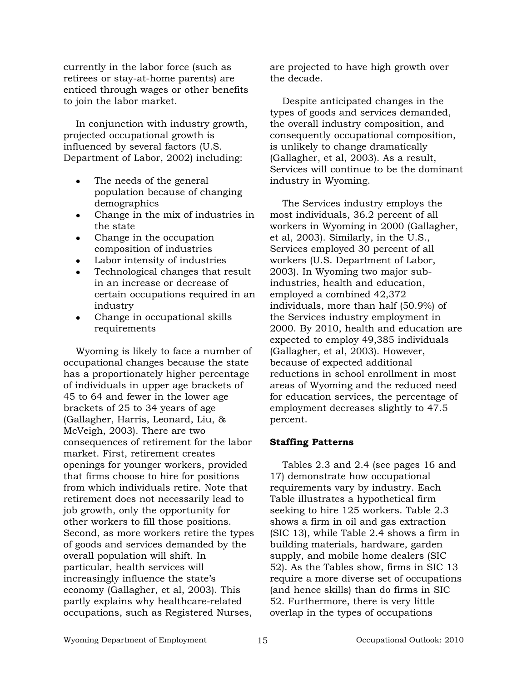currently in the labor force (such as retirees or stay-at-home parents) are enticed through wages or other benefits to join the labor market.

In conjunction with industry growth, projected occupational growth is influenced by several factors (U.S. Department of Labor, 2002) including:

- The needs of the general population because of changing demographics
- Change in the mix of industries in the state
- Change in the occupation composition of industries
- Labor intensity of industries
- Technological changes that result in an increase or decrease of certain occupations required in an industry
- Change in occupational skills requirements

Wyoming is likely to face a number of occupational changes because the state has a proportionately higher percentage of individuals in upper age brackets of 45 to 64 and fewer in the lower age brackets of 25 to 34 years of age (Gallagher, Harris, Leonard, Liu, & McVeigh, 2003). There are two consequences of retirement for the labor market. First, retirement creates openings for younger workers, provided that firms choose to hire for positions from which individuals retire. Note that retirement does not necessarily lead to job growth, only the opportunity for other workers to fill those positions. Second, as more workers retire the types of goods and services demanded by the overall population will shift. In particular, health services will increasingly influence the state's economy (Gallagher, et al, 2003). This partly explains why healthcare-related occupations, such as Registered Nurses,

are projected to have high growth over the decade.

Despite anticipated changes in the types of goods and services demanded, the overall industry composition, and consequently occupational composition, is unlikely to change dramatically (Gallagher, et al, 2003). As a result, Services will continue to be the dominant industry in Wyoming.

The Services industry employs the most individuals, 36.2 percent of all workers in Wyoming in 2000 (Gallagher, et al, 2003). Similarly, in the U.S., Services employed 30 percent of all workers (U.S. Department of Labor, 2003). In Wyoming two major subindustries, health and education, employed a combined 42,372 individuals, more than half (50.9%) of the Services industry employment in 2000. By 2010, health and education are expected to employ 49,385 individuals (Gallagher, et al, 2003). However, because of expected additional reductions in school enrollment in most areas of Wyoming and the reduced need for education services, the percentage of employment decreases slightly to 47.5 percent.

#### **Staffing Patterns**

Tables 2.3 and 2.4 (see pages 16 and 17) demonstrate how occupational requirements vary by industry. Each Table illustrates a hypothetical firm seeking to hire 125 workers. Table 2.3 shows a firm in oil and gas extraction (SIC 13), while Table 2.4 shows a firm in building materials, hardware, garden supply, and mobile home dealers (SIC 52). As the Tables show, firms in SIC 13 require a more diverse set of occupations (and hence skills) than do firms in SIC 52. Furthermore, there is very little overlap in the types of occupations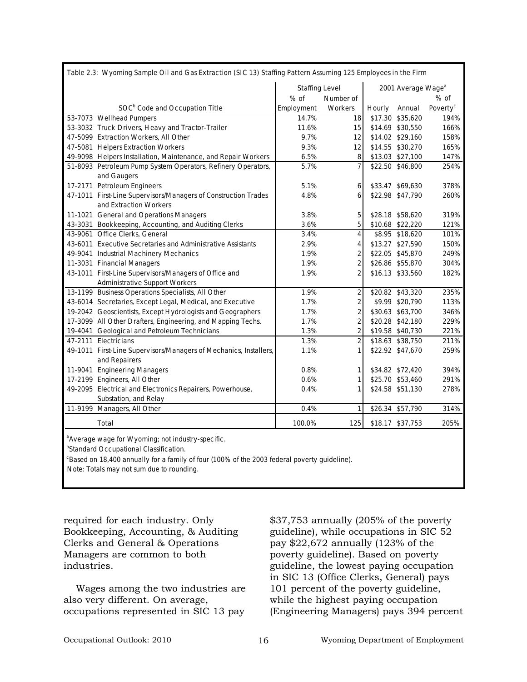|                                                                   | <b>Staffing Level</b> |                         |        | 2001 Average Wage <sup>a</sup> |                      |
|-------------------------------------------------------------------|-----------------------|-------------------------|--------|--------------------------------|----------------------|
|                                                                   | $%$ of                | Number of               |        |                                | $%$ of               |
| SOC <sup>b</sup> Code and Occupation Title                        | Employment            | Workers                 | Hourly | Annual                         | Poverty <sup>c</sup> |
| 53-7073 Wellhead Pumpers                                          | 14.7%                 | 18                      |        | \$17.30 \$35,620               | 194%                 |
| 53-3032 Truck Drivers, Heavy and Tractor-Trailer                  | 11.6%                 | 15                      |        | \$14.69 \$30,550               | 166%                 |
| 47-5099 Extraction Workers, All Other                             | 9.7%                  | 12                      |        | \$14.02 \$29,160               | 158%                 |
| 47-5081 Helpers Extraction Workers                                | 9.3%                  | 12                      |        | \$14.55 \$30,270               | 165%                 |
| 49-9098 Helpers Installation, Maintenance, and Repair Workers     | 6.5%                  | 8                       |        | \$13.03 \$27,100               | 147%                 |
| 51-8093 Petroleum Pump System Operators, Refinery Operators,      | 5.7%                  |                         |        | \$22.50 \$46,800               | 254%                 |
| and Gaugers                                                       |                       |                         |        |                                |                      |
| 17-2171 Petroleum Engineers                                       | 5.1%                  | 6                       |        | \$33.47 \$69,630               | 378%                 |
| 47-1011 First-Line Supervisors/Managers of Construction Trades    | 4.8%                  | 6                       |        | \$22.98 \$47,790               | 260%                 |
| and Extraction Workers                                            |                       |                         |        |                                |                      |
| 11-1021 General and Operations Managers                           | 3.8%                  | 5                       |        | \$28.18 \$58,620               | 319%                 |
| 43-3031 Bookkeeping, Accounting, and Auditing Clerks              | 3.6%                  | 5                       |        | \$10.68 \$22,220               | 121%                 |
| 43-9061 Office Clerks, General                                    | 3.4%                  | 4                       |        | \$8.95 \$18,620                | 101%                 |
| 43-6011 Executive Secretaries and Administrative Assistants       | 2.9%                  | 4                       |        | \$13.27 \$27,590               | 150%                 |
| 49-9041 Industrial Machinery Mechanics                            | 1.9%                  | 2                       |        | \$22.05 \$45,870               | 249%                 |
| 11-3031 Financial Managers                                        | 1.9%                  | $\overline{2}$          |        | \$26.86 \$55,870               | 304%                 |
| 43-1011 First-Line Supervisors/Managers of Office and             | 1.9%                  |                         |        | \$16.13 \$33,560               | 182%                 |
| <b>Administrative Support Workers</b>                             |                       |                         |        |                                |                      |
| 13-1199 Business Operations Specialists, All Other                | 1.9%                  | $\overline{2}$          |        | \$20.82 \$43,320               | 235%                 |
| 43-6014 Secretaries, Except Legal, Medical, and Executive         | 1.7%                  | $\overline{\mathbf{c}}$ |        | \$9.99 \$20,790                | 113%                 |
| 19-2042 Geoscientists, Except Hydrologists and Geographers        | 1.7%                  | $\overline{2}$          |        | \$30.63 \$63,700               | 346%                 |
| 17-3099 All Other Drafters, Engineering, and Mapping Techs.       | 1.7%                  | 2                       |        | \$20.28 \$42,180               | 229%                 |
| 19-4041 Geological and Petroleum Technicians                      | 1.3%                  | $\overline{2}$          |        | \$19.58 \$40,730               | 221%                 |
| 47-2111 Electricians                                              | 1.3%                  |                         |        | \$18.63 \$38,750               | 211%                 |
| 49-1011 First-Line Supervisors/Managers of Mechanics, Installers, | 1.1%                  |                         |        | \$22.92 \$47,670               | 259%                 |
| and Repairers                                                     |                       |                         |        |                                |                      |
| 11-9041 Engineering Managers                                      | 0.8%                  | 1                       |        | \$34.82 \$72,420               | 394%                 |
| 17-2199 Engineers, All Other                                      | 0.6%                  | 1                       |        | \$25.70 \$53,460               | 291%                 |
| 49-2095 Electrical and Electronics Repairers, Powerhouse,         | 0.4%                  |                         |        | \$24.58 \$51,130               | 278%                 |
| Substation, and Relay                                             |                       |                         |        |                                |                      |
| 11-9199 Managers, All Other                                       | 0.4%                  | 1                       |        | \$26.34 \$57,790               | 314%                 |
| Total                                                             | 100.0%                | 125                     |        | \$18.17 \$37,753               | 205%                 |

**Standard Occupational Classification.** 

<sup>c</sup>Based on 18,400 annually for a family of four (100% of the 2003 federal poverty guideline).

Note: Totals may not sum due to rounding.

required for each industry. Only Bookkeeping, Accounting, & Auditing Clerks and General & Operations Managers are common to both industries.

Wages among the two industries are also very different. On average, occupations represented in SIC 13 pay

\$37,753 annually (205% of the poverty guideline), while occupations in SIC 52 pay \$22,672 annually (123% of the poverty guideline). Based on poverty guideline, the lowest paying occupation in SIC 13 (Office Clerks, General) pays 101 percent of the poverty guideline, while the highest paying occupation (Engineering Managers) pays 394 percent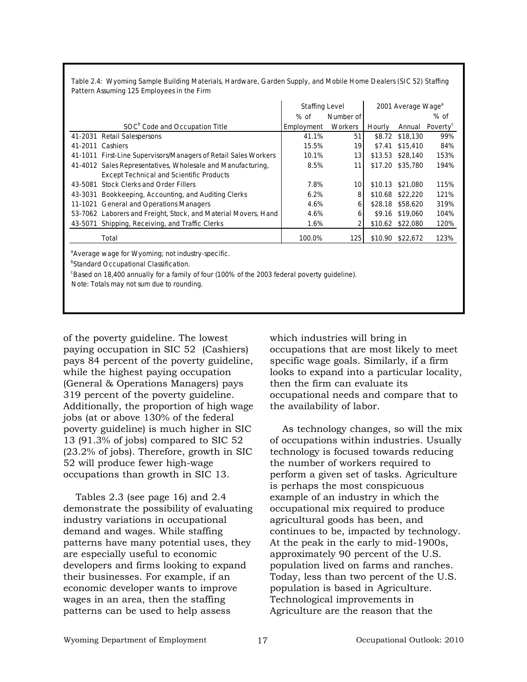|                                                                 | <b>Staffing Level</b> |                |         | 2001 Average Wage <sup>a</sup> |                      |
|-----------------------------------------------------------------|-----------------------|----------------|---------|--------------------------------|----------------------|
|                                                                 | % of                  | Number of      |         |                                | % of                 |
| SOC <sup>b</sup> Code and Occupation Title                      | Employment            | <b>Workers</b> | Hourly  | Annual                         | Poverty <sup>c</sup> |
| 41-2031 Retail Salespersons                                     | 41.1%                 | 51             |         | \$8.72 \$18,130                | 99%                  |
| 41-2011 Cashiers                                                | 15.5%                 | 19             | \$7.41  | \$15,410                       | 84%                  |
| 41-1011 First-Line Supervisors/Managers of Retail Sales Workers | 10.1%                 | 13             | \$13.53 | \$28,140                       | 153%                 |
| 41-4012 Sales Representatives, Wholesale and Manufacturing,     | 8.5%                  | 11             |         | \$17.20 \$35,780               | 194%                 |
| <b>Except Technical and Scientific Products</b>                 |                       |                |         |                                |                      |
| Stock Clerks and Order Fillers<br>43-5081                       | 7.8%                  | 10             |         | \$10.13 \$21,080               | 115%                 |
| Bookkeeping, Accounting, and Auditing Clerks<br>43-3031         | 6.2%                  | 8              |         | \$10.68 \$22,220               | 121%                 |
| 11-1021 General and Operations Managers                         | 4.6%                  | 6              |         | \$28.18 \$58,620               | 319%                 |
| 53-7062 Laborers and Freight, Stock, and Material Movers, Hand  | 4.6%                  | 6              | \$9.16  | \$19,060                       | 104%                 |
| Shipping, Receiving, and Traffic Clerks<br>43-5071              | 1.6%                  |                |         | \$10.62 \$22,080               | 120%                 |
| Total                                                           | 100.0%                | 1251           |         | \$10.90 \$22,672               | 123%                 |

**Table 2.4: Wyoming Sample Building Materials, Hardware, Garden Supply, and Mobile Home Dealers (SIC 52) Staffing Pattern Assuming 125 Employees in the Firm**

Average wage for Wyoming; not industry-specific.

<sup>b</sup>Standard Occupational Classification.

<sup>c</sup>Based on 18,400 annually for a family of four (100% of the 2003 federal poverty guideline).

Note: Totals may not sum due to rounding.

of the poverty guideline. The lowest paying occupation in SIC 52 (Cashiers) pays 84 percent of the poverty guideline, while the highest paying occupation (General & Operations Managers) pays 319 percent of the poverty guideline. Additionally, the proportion of high wage jobs (at or above 130% of the federal poverty guideline) is much higher in SIC 13 (91.3% of jobs) compared to SIC 52 (23.2% of jobs). Therefore, growth in SIC 52 will produce fewer high-wage occupations than growth in SIC 13.

Tables 2.3 (see page 16) and 2.4 demonstrate the possibility of evaluating industry variations in occupational demand and wages. While staffing patterns have many potential uses, they are especially useful to economic developers and firms looking to expand their businesses. For example, if an economic developer wants to improve wages in an area, then the staffing patterns can be used to help assess

which industries will bring in occupations that are most likely to meet specific wage goals. Similarly, if a firm looks to expand into a particular locality, then the firm can evaluate its occupational needs and compare that to the availability of labor.

As technology changes, so will the mix of occupations within industries. Usually technology is focused towards reducing the number of workers required to perform a given set of tasks. Agriculture is perhaps the most conspicuous example of an industry in which the occupational mix required to produce agricultural goods has been, and continues to be, impacted by technology. At the peak in the early to mid-1900s, approximately 90 percent of the U.S. population lived on farms and ranches. Today, less than two percent of the U.S. population is based in Agriculture. Technological improvements in Agriculture are the reason that the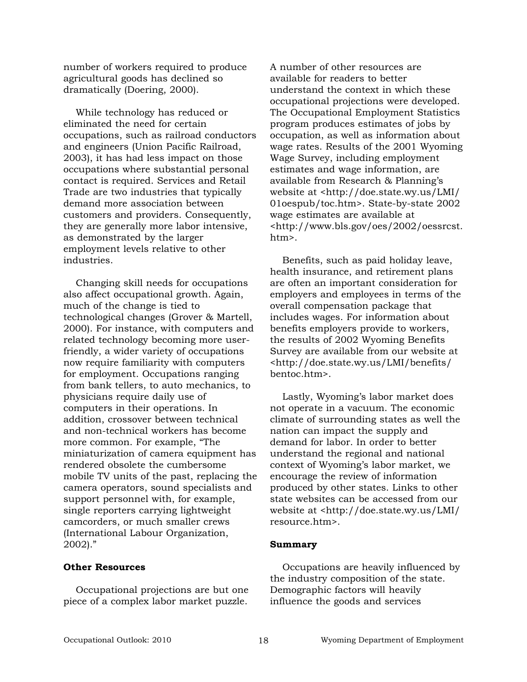number of workers required to produce agricultural goods has declined so dramatically (Doering, 2000).

While technology has reduced or eliminated the need for certain occupations, such as railroad conductors and engineers (Union Pacific Railroad, 2003), it has had less impact on those occupations where substantial personal contact is required. Services and Retail Trade are two industries that typically demand more association between customers and providers. Consequently, they are generally more labor intensive, as demonstrated by the larger employment levels relative to other industries.

Changing skill needs for occupations also affect occupational growth. Again, much of the change is tied to technological changes (Grover & Martell, 2000). For instance, with computers and related technology becoming more userfriendly, a wider variety of occupations now require familiarity with computers for employment. Occupations ranging from bank tellers, to auto mechanics, to physicians require daily use of computers in their operations. In addition, crossover between technical and non-technical workers has become more common. For example, "The miniaturization of camera equipment has rendered obsolete the cumbersome mobile TV units of the past, replacing the camera operators, sound specialists and support personnel with, for example, single reporters carrying lightweight camcorders, or much smaller crews (International Labour Organization, 2002)."

#### **Other Resources**

Occupational projections are but one piece of a complex labor market puzzle.

A number of other resources are available for readers to better understand the context in which these occupational projections were developed. The Occupational Employment Statistics program produces estimates of jobs by occupation, as well as information about wage rates. Results of the 2001 Wyoming Wage Survey, including employment estimates and wage information, are available from Research & Planning's website at <http://doe.state.wy.us/LMI/ 01oespub/toc.htm>. State-by-state 2002 wage estimates are available at <http://www.bls.gov/oes/2002/oessrcst. htm>.

Benefits, such as paid holiday leave, health insurance, and retirement plans are often an important consideration for employers and employees in terms of the overall compensation package that includes wages. For information about benefits employers provide to workers, the results of 2002 Wyoming Benefits Survey are available from our website at <http://doe.state.wy.us/LMI/benefits/ bentoc.htm>.

Lastly, Wyoming's labor market does not operate in a vacuum. The economic climate of surrounding states as well the nation can impact the supply and demand for labor. In order to better understand the regional and national context of Wyoming's labor market, we encourage the review of information produced by other states. Links to other state websites can be accessed from our website at <http://doe.state.wy.us/LMI/ resource.htm>.

#### **Summary**

Occupations are heavily influenced by the industry composition of the state. Demographic factors will heavily influence the goods and services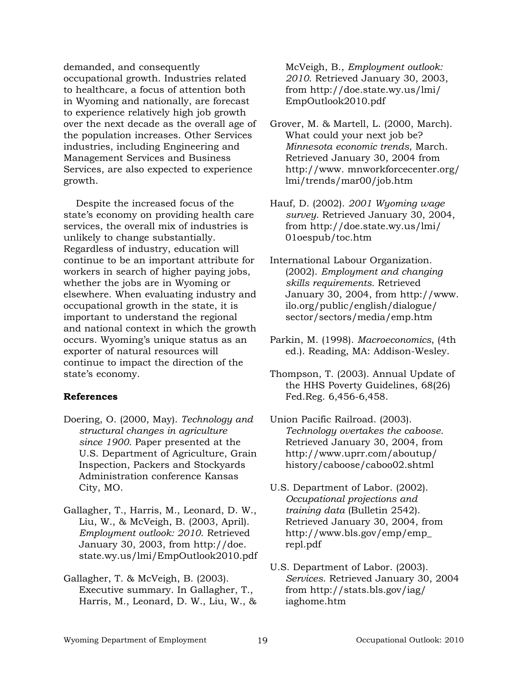demanded, and consequently occupational growth. Industries related to healthcare, a focus of attention both in Wyoming and nationally, are forecast to experience relatively high job growth over the next decade as the overall age of the population increases. Other Services industries, including Engineering and Management Services and Business Services, are also expected to experience growth.

Despite the increased focus of the state's economy on providing health care services, the overall mix of industries is unlikely to change substantially. Regardless of industry, education will continue to be an important attribute for workers in search of higher paying jobs, whether the jobs are in Wyoming or elsewhere. When evaluating industry and occupational growth in the state, it is important to understand the regional and national context in which the growth occurs. Wyoming's unique status as an exporter of natural resources will continue to impact the direction of the state's economy.

#### **References**

- Doering, O. (2000, May). *Technology and structural changes in agriculture since 1900.* Paper presented at the U.S. Department of Agriculture, Grain Inspection, Packers and Stockyards Administration conference Kansas City, MO.
- Gallagher, T., Harris, M., Leonard, D. W., Liu, W., & McVeigh, B. (2003, April). *Employment outlook: 2010*. Retrieved January 30, 2003, from http://doe. state.wy.us/lmi/EmpOutlook2010.pdf
- Gallagher, T. & McVeigh, B. (2003). Executive summary. In Gallagher, T., Harris, M., Leonard, D. W., Liu, W., &

McVeigh, B., *Employment outlook: 2010*. Retrieved January 30, 2003, from http://doe.state.wy.us/lmi/ EmpOutlook2010.pdf

- Grover, M. & Martell, L. (2000, March). What could your next job be? *Minnesota economic trends*, March. Retrieved January 30, 2004 from http://www. mnworkforcecenter.org/ lmi/trends/mar00/job.htm
- Hauf, D. (2002). *2001 Wyoming wage survey.* Retrieved January 30, 2004, from http://doe.state.wy.us/lmi/ 01oespub/toc.htm
- International Labour Organization. (2002). *Employment and changing skills requirements.* Retrieved January 30, 2004, from http://www. ilo.org/public/english/dialogue/ sector/sectors/media/emp.htm
- Parkin, M. (1998). *Macroeconomics*, (4th ed.). Reading, MA: Addison-Wesley.
- Thompson, T. (2003). Annual Update of the HHS Poverty Guidelines, 68(26) Fed.Reg. 6,456-6,458.
- Union Pacific Railroad. (2003). *Technology overtakes the caboose.*  Retrieved January 30, 2004, from http://www.uprr.com/aboutup/ history/caboose/caboo02.shtml
- U.S. Department of Labor. (2002). *Occupational projections and training data* (Bulletin 2542). Retrieved January 30, 2004, from http://www.bls.gov/emp/emp\_ repl.pdf
- U.S. Department of Labor. (2003). *Services*. Retrieved January 30, 2004 from http://stats.bls.gov/iag/ iaghome.htm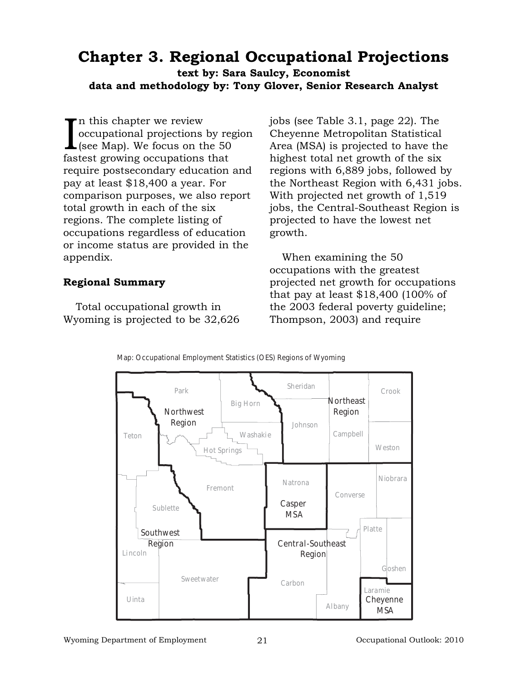# **Chapter 3. Regional Occupational Projections**

**text by: Sara Saulcy, Economist data and methodology by: Tony Glover, Senior Research Analyst**

In this chapter we review<br>occupational projections by re<br>(see Map). We focus on the 50<br>fastest growing occupations that n this chapter we review occupational projections by region (see Map). We focus on the 50 require postsecondary education and pay at least \$18,400 a year. For comparison purposes, we also report total growth in each of the six regions. The complete listing of occupations regardless of education or income status are provided in the appendix.

#### **Regional Summary**

Total occupational growth in Wyoming is projected to be 32,626 jobs (see Table 3.1, page 22). The Cheyenne Metropolitan Statistical Area (MSA) is projected to have the highest total net growth of the six regions with 6,889 jobs, followed by the Northeast Region with 6,431 jobs. With projected net growth of 1,519 jobs, the Central-Southeast Region is projected to have the lowest net growth.

When examining the 50 occupations with the greatest projected net growth for occupations that pay at least \$18,400 (100% of the 2003 federal poverty guideline; Thompson, 2003) and require



#### **Map: Occupational Employment Statistics (OES) Regions of Wyoming**

Wyoming Department of Employment 21 Cocupational Outlook: 2010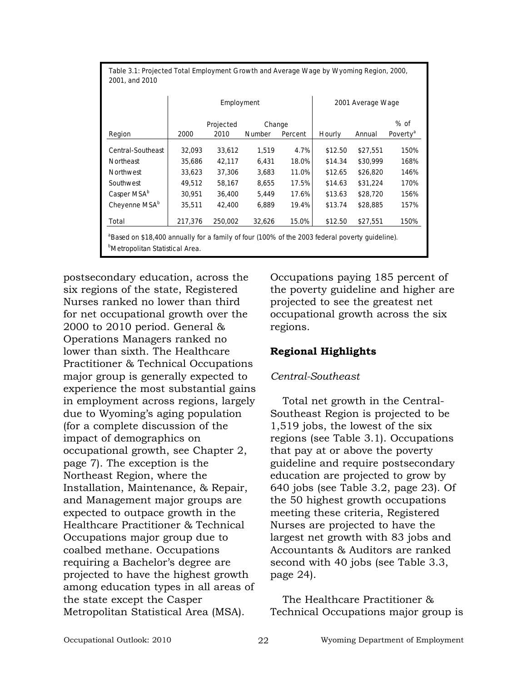|                           |         | Employment |               |         |         | 2001 Average Wage |                      |
|---------------------------|---------|------------|---------------|---------|---------|-------------------|----------------------|
|                           |         | Projected  | Change        |         |         |                   | $%$ of               |
| Region                    | 2000    | 2010       | <b>Number</b> | Percent | Hourly  | Annual            | Poverty <sup>a</sup> |
| Central-Southeast         | 32,093  | 33,612     | 1,519         | 4.7%    | \$12.50 | \$27.551          | 150%                 |
| Northeast                 | 35,686  | 42,117     | 6,431         | 18.0%   | \$14.34 | \$30,999          | 168%                 |
| Northwest                 | 33,623  | 37,306     | 3,683         | 11.0%   | \$12.65 | \$26,820          | 146%                 |
| Southwest                 | 49,512  | 58,167     | 8,655         | 17.5%   | \$14.63 | \$31,224          | 170%                 |
| Casper MSA <sup>b</sup>   | 30,951  | 36,400     | 5,449         | 17.6%   | \$13.63 | \$28,720          | 156%                 |
| Cheyenne MSA <sup>b</sup> | 35,511  | 42,400     | 6,889         | 19.4%   | \$13.74 | \$28,885          | 157%                 |
| Total                     | 217,376 | 250,002    | 32,626        | 15.0%   | \$12.50 | \$27,551          | 150%                 |

postsecondary education, across the six regions of the state, Registered Nurses ranked no lower than third for net occupational growth over the 2000 to 2010 period. General & Operations Managers ranked no lower than sixth. The Healthcare Practitioner & Technical Occupations major group is generally expected to experience the most substantial gains in employment across regions, largely due to Wyoming's aging population (for a complete discussion of the impact of demographics on occupational growth, see Chapter 2, page 7). The exception is the Northeast Region, where the Installation, Maintenance, & Repair, and Management major groups are expected to outpace growth in the Healthcare Practitioner & Technical Occupations major group due to coalbed methane. Occupations requiring a Bachelor's degree are projected to have the highest growth among education types in all areas of the state except the Casper Metropolitan Statistical Area (MSA).

Occupations paying 185 percent of the poverty guideline and higher are projected to see the greatest net occupational growth across the six regions.

#### **Regional Highlights**

#### *Central-Southeast*

Total net growth in the Central-Southeast Region is projected to be 1,519 jobs, the lowest of the six regions (see Table 3.1). Occupations that pay at or above the poverty guideline and require postsecondary education are projected to grow by 640 jobs (see Table 3.2, page 23). Of the 50 highest growth occupations meeting these criteria, Registered Nurses are projected to have the largest net growth with 83 jobs and Accountants & Auditors are ranked second with 40 jobs (see Table 3.3, page 24).

The Healthcare Practitioner & Technical Occupations major group is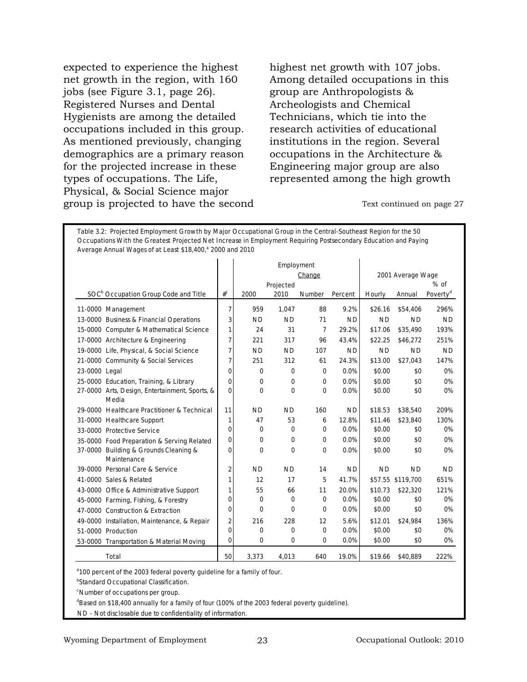expected to experience the highest net growth in the region, with 160 jobs (see Figure 3.1, page 26). Registered Nurses and Dental Hygienists are among the detailed occupations included in this group. As mentioned previously, changing demographics are a primary reason for the projected increase in these types of occupations. The Life, Physical, & Social Science major group is projected to have the second highest net growth with 107 jobs. Among detailed occupations in this group are Anthropologists & Archeologists and Chemical Technicians, which tie into the research activities of educational institutions in the region. Several occupations in the Architecture & Engineering major group are also represented among the high growth

Text continued on page 27

|                                                         |                |             | Employment        |                |           |           |                   |                              |
|---------------------------------------------------------|----------------|-------------|-------------------|----------------|-----------|-----------|-------------------|------------------------------|
|                                                         |                |             |                   | Change         |           |           | 2001 Average Wage |                              |
| SOC <sup>b</sup> Occupation Group Code and Title        | $#^C$          | 2000        | Projected<br>2010 | Number         | Percent   | Hourly    | Annual            | % of<br>Poverty <sup>d</sup> |
| 11-0000 Management                                      | $\overline{7}$ | 959         | 1,047             | 88             | 9.2%      | \$26.16   | \$54,406          | 296%                         |
| 13-0000 Business & Financial Operations                 | 3              | <b>ND</b>   | <b>ND</b>         | 71             | <b>ND</b> | <b>ND</b> | <b>ND</b>         | <b>ND</b>                    |
| 15-0000 Computer & Mathematical Science                 | 1              | 24          | 31                | $\overline{7}$ | 29.2%     | \$17.06   | \$35,490          | 193%                         |
| 17-0000 Architecture & Engineering                      | 7              | 221         | 317               | 96             | 43.4%     | \$22.25   | \$46,272          | 251%                         |
| 19-0000 Life, Physical, & Social Science                | $\overline{7}$ | <b>ND</b>   | <b>ND</b>         | 107            | <b>ND</b> | <b>ND</b> | <b>ND</b>         | <b>ND</b>                    |
| 21-0000 Community & Social Services                     | 7              | 251         | 312               | 61             | 24.3%     | \$13.00   | \$27,043          | 147%                         |
| 23-0000 Legal                                           | $\mathbf 0$    | 0           | 0                 | 0              | 0.0%      | \$0.00    | \$0               | 0%                           |
| 25-0000 Education, Training, & Library                  | $\mathbf 0$    | 0           | 0                 | 0              | 0.0%      | \$0.00    | \$0               | 0%                           |
| 27-0000 Arts, Design, Entertainment, Sports, &<br>Media | $\mathbf 0$    | $\Omega$    | $\mathbf 0$       | 0              | 0.0%      | \$0.00    | \$0               | 0%                           |
| 29-0000 Healthcare Practitioner & Technical             | 11             | <b>ND</b>   | <b>ND</b>         | 160            | <b>ND</b> | \$18.53   | \$38,540          | 209%                         |
| 31-0000 Healthcare Support                              | 1              | 47          | 53                | 6              | 12.8%     | \$11.46   | \$23,840          | 130%                         |
| 33-0000 Protective Service                              | $\mathbf 0$    | 0           | 0                 | 0              | 0.0%      | \$0.00    | \$0               | 0%                           |
| 35-0000 Food Preparation & Serving Related              | $\mathbf 0$    | $\mathbf 0$ | $\mathbf 0$       | 0              | 0.0%      | \$0.00    | \$0               | 0%                           |
| 37-0000 Building & Grounds Cleaning &<br>Maintenance    | $\mathbf 0$    | $\Omega$    | $\Omega$          | 0              | 0.0%      | \$0.00    | \$0               | 0%                           |
| 39-0000 Personal Care & Service                         | $\overline{2}$ | <b>ND</b>   | <b>ND</b>         | 14             | <b>ND</b> | <b>ND</b> | <b>ND</b>         | <b>ND</b>                    |
| 41-0000 Sales & Related                                 | 1              | 12          | 17                | 5              | 41.7%     |           | \$57.55 \$119,700 | 651%                         |
| 43-0000 Office & Administrative Support                 | 1              | 55          | 66                | 11             | 20.0%     | \$10.73   | \$22,320          | 121%                         |
| 45-0000 Farming, Fishing, & Forestry                    | 0              | 0           | 0                 | 0              | 0.0%      | \$0.00    | \$0               | 0%                           |
| 47-0000 Construction & Extraction                       | $\mathbf 0$    | 0           | 0                 | 0              | 0.0%      | \$0.00    | \$0               | 0%                           |
| 49-0000 Installation, Maintenance, & Repair             | $\overline{2}$ | 216         | 228               | 12             | 5.6%      | \$12.01   | \$24,984          | 136%                         |
| 51-0000 Production                                      | $\mathbf 0$    | $\mathbf 0$ | 0                 | 0              | 0.0%      | \$0.00    | \$0               | 0%                           |
| 53-0000 Transportation & Material Moving                | $\overline{0}$ | $\mathbf 0$ | 0                 | 0              | 0.0%      | \$0.00    | \$0               | 0%                           |
| Total                                                   | 50             | 3,373       | 4,013             | 640            | 19.0%     | \$19.66   | \$40.889          | 222%                         |

**Table 3.2: Projected Employment Growth by Major Occupational Group in the Central-Southeast Region for the 50** 

<sup>a</sup> 100 percent of the 2003 federal poverty guideline for a family of four.

**Standard Occupational Classification.** 

c Number of occupations per group.

<sup>d</sup>Based on \$18,400 annually for a family of four (100% of the 2003 federal poverty guideline).

ND - Not disclosable due to confidentiality of information.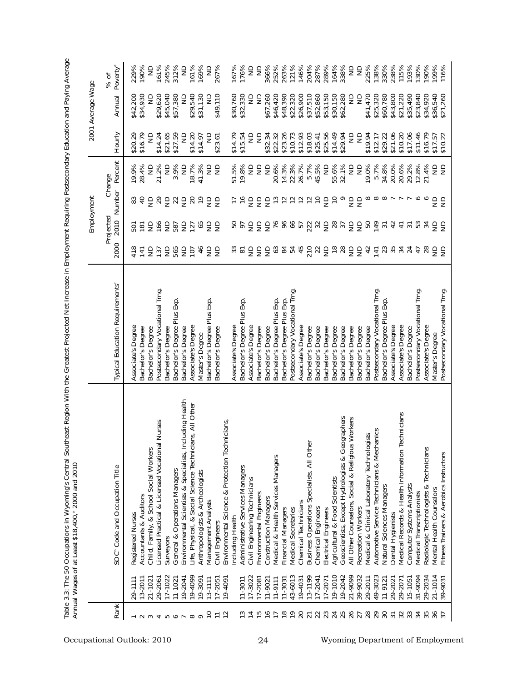|                                                                                                                                                                                             |             |                                                             |                                             |                     | Employment                 |                                                 |                                                                   |                                 | 2001 Average Wage       |                              |
|---------------------------------------------------------------------------------------------------------------------------------------------------------------------------------------------|-------------|-------------------------------------------------------------|---------------------------------------------|---------------------|----------------------------|-------------------------------------------------|-------------------------------------------------------------------|---------------------------------|-------------------------|------------------------------|
| Rank                                                                                                                                                                                        |             | SOC <sup>®</sup> Code and Occupation Title                  | Typical Education Requirements <sup>®</sup> | 2000                | Projected<br>2010          | Number                                          | Percent<br>Change                                                 | Hourly                          | Annual                  | Poverty <sup>d</sup><br>% of |
|                                                                                                                                                                                             | 29-1111     | Registered Nurses                                           | Associate's Degree                          | 418                 | 501<br>181                 | $\frac{3}{4}$                                   | 19.9%                                                             | \$20.29                         | \$42,200                | 229%                         |
| $\sim$                                                                                                                                                                                      | 13-2011     | Accountants & Auditors                                      | Bachelor's Degree                           | $\overline{4}$      |                            |                                                 | 28.4%                                                             | \$16.79                         | \$34,930                | 190%                         |
| $\sim$                                                                                                                                                                                      | 21-1021     | Child, Family, & School Social Workers                      | Bachelor's Degree                           | $\frac{1}{2}$       |                            | $\frac{1}{2}$                                   | $\frac{1}{2}$                                                     | $\frac{\Omega}{\Omega}$         | $\supseteq$             | $\supseteq$                  |
|                                                                                                                                                                                             | 29-2061     | Licensed Practical & Licensed Vocational Nurses             | Postsecondary Vocational Trng.              | 137                 |                            | 29                                              | 21.2%                                                             | \$14.24                         | \$29,620                | 161%                         |
| 4 IO 0                                                                                                                                                                                      | 17-1022     | Surveyors                                                   | Bachelor's Degree                           |                     | 5 ş 5                      | $\frac{1}{2}$                                   | $\Xi$                                                             | \$21.65                         | \$45,040                | 245%                         |
|                                                                                                                                                                                             | 11-1021     | General & Operations Managers                               | Bachelor's Degree Plus Exp                  |                     | 587                        |                                                 | 3.9%                                                              | \$27.59                         | \$57,380                | 312%                         |
|                                                                                                                                                                                             | 19-2041     | Including Health<br>Environmental Scientists & Specialists, | Bachelor's Degree                           | 5%55 <del>4</del>   |                            | $\approx$ $\approx$                             | $\frac{\Omega}{\Sigma}$                                           | $\frac{\Omega}{\Sigma}$         | $\frac{1}{2}$           | $\Xi$                        |
|                                                                                                                                                                                             | 19-4099     | Life, Physical, & Social Science Technicians, All Other     | Associate's Degree                          |                     | $\frac{5}{2}$              |                                                 | 18.7%                                                             | \$14.20                         | \$29,540                | 161%                         |
| $\sim \infty$                                                                                                                                                                               | 19-3091     | Anthropologists & Archeologists                             | Master's Degree                             |                     |                            | 20                                              | 41.3%                                                             | \$14.97                         | \$31,130                | 169%                         |
| $\overline{C}$                                                                                                                                                                              | $13 - 1111$ | Management Analysts                                         | Bachelor's Degree Plus Exp                  |                     |                            |                                                 |                                                                   | $\supseteq$                     | $\epsilon$              | $\frac{1}{2}$                |
| $\overline{r}$                                                                                                                                                                              | $17 - 2051$ | Civil Engineers                                             | Bachelor's Degree                           | as                  | <b>855</b>                 | 52                                              | as                                                                | \$23.61                         | \$49,110                | 267%                         |
| $\overline{12}$                                                                                                                                                                             | $19 - 4091$ | hnicians,<br>Environmental Science & Protection Tec         |                                             |                     |                            |                                                 |                                                                   |                                 |                         |                              |
|                                                                                                                                                                                             |             | ncluding Health                                             | Associate's Degree                          | $3\overline{5}$     | <b>50</b>                  | $\frac{5}{10}$                                  | 51.5%                                                             | \$14.79                         | \$30,760                | 167%                         |
|                                                                                                                                                                                             | $11 - 3011$ | Administrative Services Managers                            | Bachelor's Degree Plus Exp.                 |                     |                            |                                                 | 19.8%                                                             | \$15.54                         | \$32,330                | 176%                         |
| $\begin{array}{l} \mathbb{C} \mathbb{1} \mathbb{1} \mathbb{1} \mathbb{1} \mathbb{1} \mathbb{1} \\ \mathbb{C} \mathbb{1} \mathbb{1} \mathbb{1} \mathbb{1} \mathbb{1} \mathbb{1} \end{array}$ | 17-3022     | Civil Engineering Technicians                               | Associate's Degree                          |                     |                            | 55555                                           | $\Xi$                                                             | $\frac{\mathsf{D}}{\mathsf{D}}$ | $\epsilon$              | $\frac{1}{2}$                |
|                                                                                                                                                                                             | 17-2081     | Environmental Engineers                                     | Bachelor's Degree                           |                     |                            |                                                 | $\frac{1}{2}$                                                     | $\frac{\Omega}{\Omega}$         | $\frac{\Omega}{\Omega}$ | $\epsilon$                   |
|                                                                                                                                                                                             | 11-9021     | <b>Construction Managers</b>                                | Bachelor's Degree                           | 555                 | $555$ $58$                 |                                                 | $\epsilon$                                                        | \$32.34                         | \$67,260                | 366%                         |
|                                                                                                                                                                                             | $11 - 9111$ | Medical & Health Services Managers                          | Bachelor's Degree Plus Exp.                 |                     |                            |                                                 | 20.6%                                                             | \$22.32                         | \$46,420                | 252%                         |
| $\frac{8}{10}$                                                                                                                                                                              | $11 - 3031$ | Financial Managers                                          | Bachelor's Degree Plus Exp.                 |                     |                            |                                                 | 14.3%                                                             | \$23.26                         | \$48,390                | 263%                         |
| $\frac{6}{1}$                                                                                                                                                                               | 43-6013     | Medical Secretaries                                         | Postsecondary Vocational Trng.              |                     |                            | $\Xi$                                           | 22.3%                                                             | \$10.73                         | \$22,320                | 121%                         |
| 20                                                                                                                                                                                          | $9 - 4031$  | Chemical Technicians                                        | Associate's Degree                          |                     |                            | $\overline{c}$                                  | 26.7%                                                             | \$12.93                         | \$26,900                | 146%                         |
| $\overline{2}1$                                                                                                                                                                             | 13-1199     | Specialists, All Other<br><b>Business Operations</b>        | Bachelor's Degree                           |                     |                            |                                                 | 5.7%                                                              | \$18.03                         | \$37,510                | 204%                         |
| 22                                                                                                                                                                                          | 17-2041     | Chemical Engineers                                          | Bachelor's Degree                           | 3877577             | \$ 时 었 ង 글 떫 ង 글 글         | 222222                                          | 45.5%                                                             | \$25.41                         | \$52,860                | 287%                         |
| 23                                                                                                                                                                                          | 17-2071     | Electrical Engineers                                        | Bachelor's Degree                           |                     |                            |                                                 | $\mathrel{\mathop{\sqsubseteq}\limits_{\scriptscriptstyle \sim}}$ | \$25.56                         | \$53,150                | 289%                         |
| 24                                                                                                                                                                                          | 19-1010     | Agricultural & Food Scientists                              | Bachelor's Degree                           | e s a a             |                            |                                                 | 55.6%                                                             | \$14.49                         | \$30,150                | 164%                         |
|                                                                                                                                                                                             | 19-2042     | Geoscientists, Except Hydrologists & Geographers            | Bachelor's Degree                           |                     |                            |                                                 | 32.1%                                                             | \$29.94                         | \$62,280                | 338%                         |
| 26                                                                                                                                                                                          | 21-9099     | All Other Counselors, Social & Religious Workers            | Bachelor's Degree                           |                     |                            |                                                 | $\frac{\Omega}{\Omega}$                                           | $\frac{\Omega}{Z}$              | $\frac{\Omega}{\Sigma}$ | $\frac{\Omega}{\Sigma}$      |
| 27                                                                                                                                                                                          | 39-9032     | Recreation Workers                                          | Bachelor's Degree                           |                     |                            |                                                 | $\frac{1}{2}$                                                     | $\frac{1}{2}$                   | $\epsilon$              | $\Xi$                        |
| 28                                                                                                                                                                                          | 29-2011     | Medical & Clinical Laboratory Technologists                 | Bachelor's Degree                           |                     |                            |                                                 | 19.0%                                                             | \$19.94                         | \$41,470                | 225%                         |
|                                                                                                                                                                                             | 49-3023     | nanics<br>Automotive Service Technicians & Mech             | Postsecondary Vocational Trng.              |                     |                            |                                                 | 5.7%                                                              | \$12.17                         | \$25,320                | 138%                         |
| 30                                                                                                                                                                                          | $11 - 912$  | Natural Sciences Managers                                   | Bachelor's Degree Plus Exp                  | $\frac{1}{2}$       | <b>B</b> $\frac{1}{2}$ 2 3 |                                                 | 34.8%                                                             | \$29.22                         | \$60,780                | 330%                         |
| $\overline{3}$                                                                                                                                                                              | 29-202      | Dental Hygienists                                           | Associate's Degree                          |                     |                            |                                                 | 20.0%                                                             | \$21.06                         | \$43,800                | 238%                         |
| 32                                                                                                                                                                                          | 29-2071     | echnicians<br>Medical Records & Health Information          | Associate's Degree                          | 34                  | $\overline{4}$             | $\infty$ $\infty$ $\infty$ $\sim$ $\sim$ $\sim$ | 20.6%                                                             | \$10.20                         | \$21,220                | 115%                         |
| 33                                                                                                                                                                                          | 15-1051     | Computer Systems Analysts                                   | Bachelor's Degree                           | 24                  | $\overline{3}$             |                                                 | 29.2%                                                             | \$17.06                         | \$35,490                | 193%                         |
| 34                                                                                                                                                                                          | 31-9094     | Medical Transcriptionists                                   | Postsecondary Vocational Trng.              | 47                  |                            | $\circ$ $\circ$                                 | 12.8%                                                             | \$11.46                         | \$23,840                | 130%                         |
| 35                                                                                                                                                                                          | 29-2034     | Technicians<br>Radiologic Technologists &                   | Associate's Degree                          | $R \in \mathcal{S}$ | $\ddot{a}$ and $\ddot{a}$  |                                                 | 21.4%                                                             | \$16.79                         | \$34,920                | 190%                         |
| 36                                                                                                                                                                                          | 21-1014     | Mental Health Counselor                                     | Master's Degree                             |                     |                            | as                                              | 99                                                                | \$17.57                         | \$36,540                | 199%                         |
|                                                                                                                                                                                             | 39-903      | Fitness Trainers & Aerobics Instructors                     | Postsecondary Vocational Trng.              |                     |                            |                                                 |                                                                   | 22<br>\$10.                     | \$21,260                | 116%                         |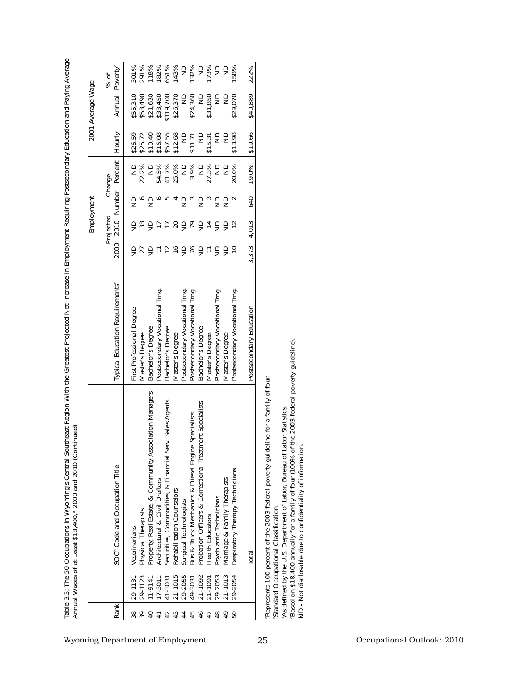|                   | Poverty <sup>d</sup><br>% of               | 291%<br>118%<br>651%<br>143%<br>132%<br>173%<br>301%<br>182%<br>$\frac{1}{2}$<br>$\frac{1}{2}$<br>$\frac{1}{2}$<br>$\frac{\Omega}{\Omega}$<br>158%                                                                                                                                                                                                                                                                                                                                       | 222%                    |                                                                                                                                                                                                                                                                                                                                                                         |
|-------------------|--------------------------------------------|------------------------------------------------------------------------------------------------------------------------------------------------------------------------------------------------------------------------------------------------------------------------------------------------------------------------------------------------------------------------------------------------------------------------------------------------------------------------------------------|-------------------------|-------------------------------------------------------------------------------------------------------------------------------------------------------------------------------------------------------------------------------------------------------------------------------------------------------------------------------------------------------------------------|
| 2001 Average Wage | Annual                                     | \$26,370<br>\$24,360<br>\$31,850<br>\$21,630<br>\$33,450<br>\$119,700<br>$\supseteq$<br>$\frac{1}{2}$<br>\$29,070<br>\$55,310<br>\$53,490<br>$\frac{\Omega}{\Omega}$<br>$\supseteq$                                                                                                                                                                                                                                                                                                      | \$40,889                |                                                                                                                                                                                                                                                                                                                                                                         |
|                   | Hourly                                     | \$13.98<br>\$10.40<br>\$16.08<br>\$12.68<br>$\supseteq$<br>\$25.72<br>\$57.55<br>$\frac{1}{2}$<br>$\supseteq$<br>$\frac{\Omega}{\Omega}$<br>\$26.59<br>\$11.71<br>\$15.31                                                                                                                                                                                                                                                                                                                | \$19.66                 |                                                                                                                                                                                                                                                                                                                                                                         |
|                   | Percent<br>Change                          | 41.7%<br>25.0%<br>3.9%<br>ND<br>22.2%<br>$\frac{1}{2}$<br>54.5%<br>$\frac{\Omega}{\Sigma}$<br>$\Xi$<br>27.3%<br>$\frac{1}{2}$<br>$\frac{1}{2}$<br>20.0%                                                                                                                                                                                                                                                                                                                                  | 19.0%                   |                                                                                                                                                                                                                                                                                                                                                                         |
| Employment        | Number                                     | $\overline{\mathsf{S}}$ .<br>$\epsilon$<br>$\sigma$ ru $\sigma$<br>9°2<br>$\mathfrak{c}$<br>$\epsilon$<br>$\epsilon$<br>$\sim$                                                                                                                                                                                                                                                                                                                                                           | 640                     |                                                                                                                                                                                                                                                                                                                                                                         |
|                   | Projected<br>2010                          | 5 <i>2</i> 5 <del>L</del> L 8 5 L 5 4 5 5<br>$\tilde{c}$                                                                                                                                                                                                                                                                                                                                                                                                                                 | 4,013                   |                                                                                                                                                                                                                                                                                                                                                                         |
|                   | 2000                                       | $\epsilon$<br>5589<br>$\epsilon$<br>$\overline{C}$<br>27<br>$\overline{\phantom{a}}$<br>$\overleftarrow{\phantom{a}}$<br>$\frac{1}{2}$<br>$\frac{1}{2}$                                                                                                                                                                                                                                                                                                                                  | 373<br>∽                |                                                                                                                                                                                                                                                                                                                                                                         |
|                   | <b>Typical Education Requirements®</b>     | Postsecondary Vocational Trng.<br>Postsecondary Vocational Trng.<br>Postsecondary Vocational Trng.<br>Postsecondary Vocational Trng.<br>Postsecondary Vocational Trng.<br>Degree<br>Bachelor's Degree<br>Bachelor's Degree<br>Bachelor's Degree<br>First Professional<br>Master's Degree<br>Master's Degree<br>Master's Degree<br>Master's Degree                                                                                                                                        | Postsecondary Education |                                                                                                                                                                                                                                                                                                                                                                         |
|                   | SOC <sup>®</sup> Code and Occupation Title | & Community Association Managers<br>Securities, Commodities, & Financial Serv. Sales Agents<br>Probation Officers & Correctional Treatment Specialists<br>Bus & Truck Mechanics & Diesel Engine Specialists<br>Respiratory Therapy Technicians<br>Marriage & Family Therapists<br>Architectural & Civil Drafters<br>Rehabilitation Counselors<br>Psychiatric Technicians<br>Surgical Technologists<br>Property, Real Estate,<br>Physical Therapists<br>Health Educators<br>Veterinarians | Total                   | the 2003 federal poverty guideline).<br>Represents 100 percent of the 2003 federal poverty guideline for a family of four.<br>As defined by the U.S. Department of Labor, Bureau of Labor Statistics<br>ND - Not disclosable due to confidentiality of information<br>Based on \$18,400 annually for a family of four (100% of<br>Standard Occupational Classification. |
|                   |                                            | 21-1015<br>29-2053<br>21-1013<br>29-2055<br>21-1092<br>29-2054<br>29-1123<br>21-1091<br>$11 - 9141$<br>17-3011<br>41-3031<br>49-3031<br>29-1131                                                                                                                                                                                                                                                                                                                                          |                         |                                                                                                                                                                                                                                                                                                                                                                         |
|                   | Rank                                       | 444<br>46<br>$\frac{8}{3}$<br>$\overline{49}$<br>$\overline{a}$<br>$\overline{4}$<br>42<br>$\overline{47}$<br>50<br>$38\,$<br>39                                                                                                                                                                                                                                                                                                                                                         |                         |                                                                                                                                                                                                                                                                                                                                                                         |

**Table 3.3: The 50 Occupations in Wyoming's Central-Southeast Region With the Greatest Projected Net Increase in Employment Requiring Postsecondary Education and Paying Average Annual Wages of at Least \$18,400,a 2000 and 2010 (Continued)**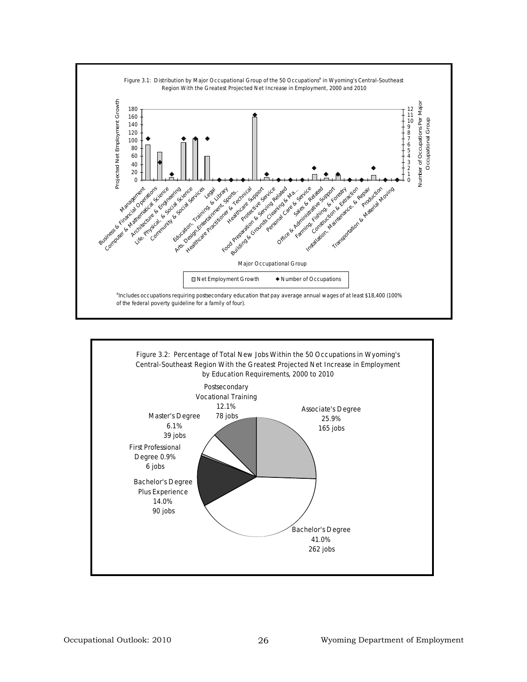

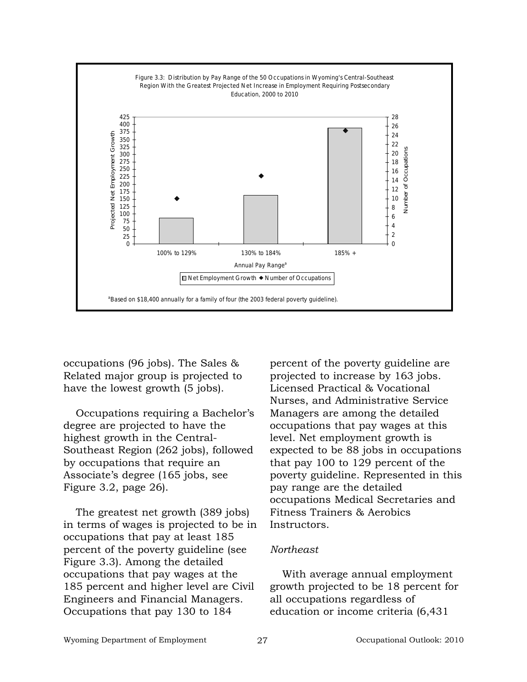

occupations (96 jobs). The Sales & Related major group is projected to have the lowest growth (5 jobs).

Occupations requiring a Bachelor's degree are projected to have the highest growth in the Central-Southeast Region (262 jobs), followed by occupations that require an Associate's degree (165 jobs, see Figure 3.2, page 26).

The greatest net growth (389 jobs) in terms of wages is projected to be in occupations that pay at least 185 percent of the poverty guideline (see Figure 3.3). Among the detailed occupations that pay wages at the 185 percent and higher level are Civil Engineers and Financial Managers. Occupations that pay 130 to 184

percent of the poverty guideline are projected to increase by 163 jobs. Licensed Practical & Vocational Nurses, and Administrative Service Managers are among the detailed occupations that pay wages at this level. Net employment growth is expected to be 88 jobs in occupations that pay 100 to 129 percent of the poverty guideline. Represented in this pay range are the detailed occupations Medical Secretaries and Fitness Trainers & Aerobics Instructors.

# *Northeast*

With average annual employment growth projected to be 18 percent for all occupations regardless of education or income criteria (6,431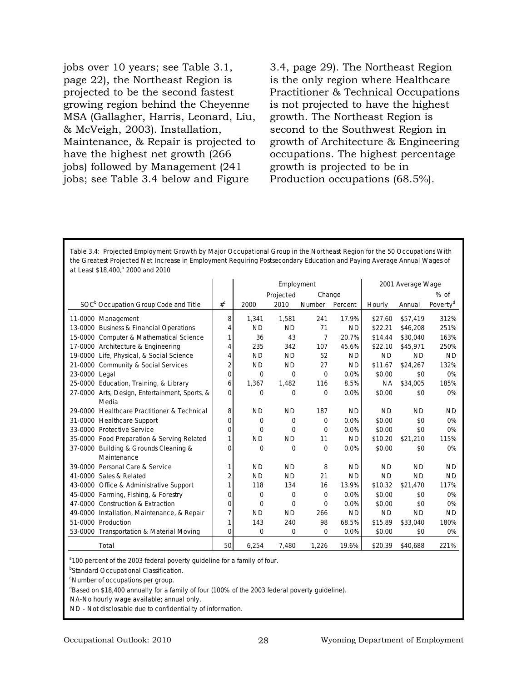jobs over 10 years; see Table 3.1, page 22), the Northeast Region is projected to be the second fastest growing region behind the Cheyenne MSA (Gallagher, Harris, Leonard, Liu, & McVeigh, 2003). Installation, Maintenance, & Repair is projected to have the highest net growth (266 jobs) followed by Management (241 jobs; see Table 3.4 below and Figure

3.4, page 29). The Northeast Region is the only region where Healthcare Practitioner & Technical Occupations is not projected to have the highest growth. The Northeast Region is second to the Southwest Region in growth of Architecture & Engineering occupations. The highest percentage growth is projected to be in Production occupations (68.5%).

**Table 3.4: Projected Employment Growth by Major Occupational Group in the Northeast Region for the 50 Occupations With the Greatest Projected Net Increase in Employment Requiring Postsecondary Education and Paying Average Annual Wages of at Least \$18,400,a 2000 and 2010**

|                                                           |                  |           | Employment |               |           |           | 2001 Average Wage |                      |
|-----------------------------------------------------------|------------------|-----------|------------|---------------|-----------|-----------|-------------------|----------------------|
|                                                           |                  |           | Projected  | Change        |           |           |                   | $%$ of               |
| SOC <sup>b</sup> Occupation Group Code and Title          | $#^{\mathsf{C}}$ | 2000      | 2010       | <b>Number</b> | Percent   | Hourly    | Annual            | Poverty <sup>a</sup> |
| 11-0000 Management                                        | 8                | 1,341     | 1,581      | 241           | 17.9%     | \$27.60   | \$57,419          | 312%                 |
| 13-0000 Business & Financial Operations                   | 4                | <b>ND</b> | <b>ND</b>  | 71            | <b>ND</b> | \$22.21   | \$46,208          | 251%                 |
| 15-0000 Computer & Mathematical Science                   | 1                | 36        | 43         | 7             | 20.7%     | \$14.44   | \$30,040          | 163%                 |
| 17-0000 Architecture & Engineering                        | 4                | 235       | 342        | 107           | 45.6%     | \$22.10   | \$45,971          | 250%                 |
| 19-0000 Life, Physical, & Social Science                  | 4                | <b>ND</b> | <b>ND</b>  | 52            | ND.       | <b>ND</b> | <b>ND</b>         | <b>ND</b>            |
| 21-0000 Community & Social Services                       | $\overline{2}$   | <b>ND</b> | <b>ND</b>  | 27            | ND.       | \$11.67   | \$24,267          | 132%                 |
| 23-0000 Legal                                             | 0                | 0         | 0          | $\mathbf 0$   | 0.0%      | \$0.00    | \$0               | 0%                   |
| 25-0000 Education, Training, & Library                    | 6                | 1,367     | 1,482      | 116           | 8.5%      | <b>NA</b> | \$34,005          | 185%                 |
| 27-0000 Arts, Design, Entertainment, Sports, &            | 0                | 0         | 0          | 0             | 0.0%      | \$0.00    | \$0               | 0%                   |
| Media                                                     |                  |           |            |               |           |           |                   |                      |
| 29-0000<br><b>Healthcare Practitioner &amp; Technical</b> | 8                | <b>ND</b> | <b>ND</b>  | 187           | <b>ND</b> | <b>ND</b> | <b>ND</b>         | <b>ND</b>            |
| 31-0000 Healthcare Support                                | 0                | 0         | 0          | 0             | 0.0%      | \$0.00    | \$0               | 0%                   |
| 33-0000 Protective Service                                | 0                | $\Omega$  | $\Omega$   | 0             | 0.0%      | \$0.00    | \$0               | 0%                   |
| 35-0000 Food Preparation & Serving Related                | 1                | <b>ND</b> | <b>ND</b>  | 11            | <b>ND</b> | \$10.20   | \$21,210          | 115%                 |
| Building & Grounds Cleaning &<br>37-0000                  | $\Omega$         | 0         | 0          | 0             | 0.0%      | \$0.00    | \$0               | 0%                   |
| Maintenance                                               |                  |           |            |               |           |           |                   |                      |
| 39-0000 Personal Care & Service                           | 1                | <b>ND</b> | <b>ND</b>  | 8             | <b>ND</b> | <b>ND</b> | <b>ND</b>         | <b>ND</b>            |
| 41-0000 Sales & Related                                   | 2                | <b>ND</b> | <b>ND</b>  | 21            | ND.       | <b>ND</b> | <b>ND</b>         | <b>ND</b>            |
| 43-0000 Office & Administrative Support                   | 1                | 118       | 134        | 16            | 13.9%     | \$10.32   | \$21,470          | 117%                 |
| 45-0000 Farming, Fishing, & Forestry                      | 0                | 0         | 0          | 0             | 0.0%      | \$0.00    | \$0               | 0%                   |
| 47-0000 Construction & Extraction                         | $\Omega$         | $\Omega$  | $\Omega$   | $\Omega$      | 0.0%      | \$0.00    | \$0               | 0%                   |
| 49-0000 Installation, Maintenance, & Repair               | 7                | <b>ND</b> | <b>ND</b>  | 266           | <b>ND</b> | <b>ND</b> | <b>ND</b>         | <b>ND</b>            |
| 51-0000 Production                                        | 1                | 143       | 240        | 98            | 68.5%     | \$15.89   | \$33,040          | 180%                 |
| 53-0000 Transportation & Material Moving                  | 0                | 0         | 0          | $\mathbf 0$   | 0.0%      | \$0.00    | \$0               | 0%                   |
| Total                                                     | 50               | 6,254     | 7.480      | 1,226         | 19.6%     | \$20.39   | \$40.688          | 221%                 |

<sup>a</sup> 100 percent of the 2003 federal poverty guideline for a family of four.

**Standard Occupational Classification.** 

c Number of occupations per group.

<sup>d</sup>Based on \$18,400 annually for a family of four (100% of the 2003 federal poverty guideline).

NA-No hourly wage available; annual only.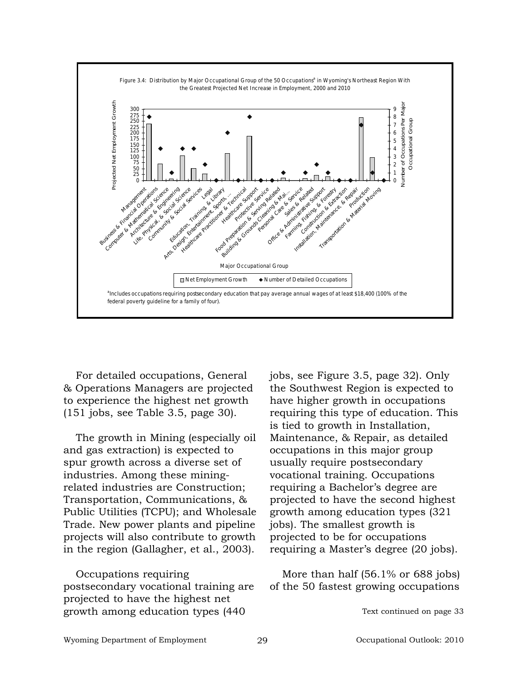

For detailed occupations, General & Operations Managers are projected to experience the highest net growth (151 jobs, see Table 3.5, page 30).

The growth in Mining (especially oil and gas extraction) is expected to spur growth across a diverse set of industries. Among these miningrelated industries are Construction; Transportation, Communications, & Public Utilities (TCPU); and Wholesale Trade. New power plants and pipeline projects will also contribute to growth in the region (Gallagher, et al., 2003).

Occupations requiring postsecondary vocational training are projected to have the highest net growth among education types (440

jobs, see Figure 3.5, page 32). Only the Southwest Region is expected to have higher growth in occupations requiring this type of education. This is tied to growth in Installation, Maintenance, & Repair, as detailed occupations in this major group usually require postsecondary vocational training. Occupations requiring a Bachelor's degree are projected to have the second highest growth among education types (321 jobs). The smallest growth is projected to be for occupations requiring a Master's degree (20 jobs).

More than half (56.1% or 688 jobs) of the 50 fastest growing occupations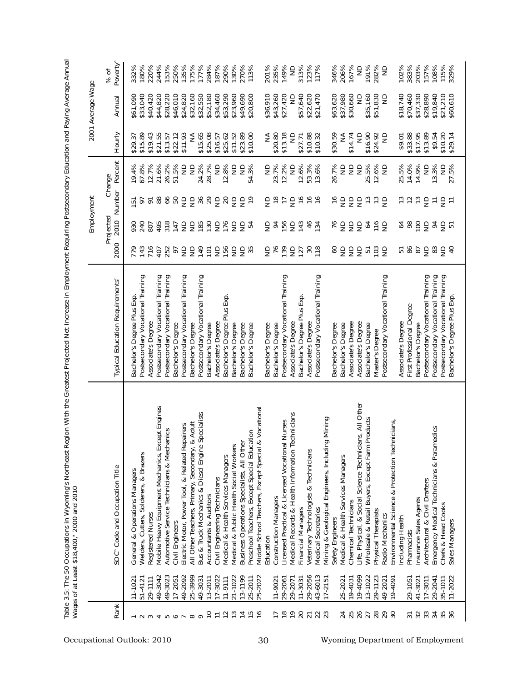|                     |                    | Wages of at Least \$18,400, <sup>2000</sup> and 2010                        |                                                        |                         |                               |                                       |                                          |                         |                         |                              |
|---------------------|--------------------|-----------------------------------------------------------------------------|--------------------------------------------------------|-------------------------|-------------------------------|---------------------------------------|------------------------------------------|-------------------------|-------------------------|------------------------------|
|                     |                    |                                                                             |                                                        |                         | Employment                    |                                       |                                          |                         | 2001 Average Wage       |                              |
| Rank                |                    | SOC <sup>®</sup> Code and Occupation Title                                  | Typical Education Requirements <sup>®</sup>            | 2000                    | Projected<br>2010             | Number                                | Percent<br>Change                        | Hourly                  | Annual                  | Poverty <sup>d</sup><br>% of |
|                     | 11-1021            | General & Operations Managers                                               | Bachelor's Degree Plus Exp.                            | 779                     | 930                           | 으                                     | 19.4%                                    | \$29.37                 | \$61,090                | 332%                         |
|                     | $51 - 412$         | Welders, Cutters, Solderers, & Brazers                                      | Postsecondary Vocational Training                      | 143                     | 240                           | ρ                                     | 67.8%                                    | \$15.89                 | \$33,040                | 180%                         |
|                     | 29-1111            | Registered Nurses                                                           | Associate's Degree                                     | 716                     | 807                           | $\overline{\sigma}$                   | 12.7%                                    | \$19.43                 | \$40,420                | 220%                         |
| 4                   | 49-3042            | Mobile Heavy Equipment Mechanics, Except Engines                            | Postsecondary Vocational Training                      | 407                     | 495                           | 88                                    | 21.6%                                    | \$21.55                 | \$44,820                | 244%                         |
| $\Omega$            | 49-3023            | Automotive Service Technicians & Mechanics                                  | Postsecondary Vocational Training                      | 252                     | 318<br>147                    | 66                                    | 26.2%                                    | \$13.57                 | \$28,220                | 153%                         |
| ∘                   | $17 - 2051$        | Civil Engineers                                                             | Bachelor's Degree                                      | 6                       |                               |                                       | 51.5%                                    | \$22.12                 | \$46,010                | 250%                         |
|                     | 49-2092            | Electric Motor, Power Tool, & Related Repairers                             | Postsecondary Vocational Training                      | $\frac{\Omega}{\Omega}$ | $\epsilon$                    | B 5 5 % % 5 8                         | $\frac{\Omega}{\Sigma}$<br>$\frac{1}{2}$ | \$11.93                 | \$24,820                | 135%<br>175%                 |
| $\circ$<br>$\infty$ | 25-3999<br>49-3031 | & Adult<br>All Other Teachers, Primary, Secondary,                          | Postsecondary Vocational Training<br>Bachelor's Degree | $\epsilon$<br>149       | $\epsilon$                    |                                       | 24.2%                                    | \$15.65<br>≸            | \$32,160<br>\$32,550    | 177%                         |
| $\overline{C}$      | $13 - 2011$        | Bus & Truck Mechanics & Diesel Engine Specialists<br>Accountants & Auditors | Bachelor's Degree                                      | $\overline{5}$          | $\frac{185}{130}$             |                                       | 28.7%                                    | \$25.08                 | \$52,180                | 284%                         |
| $\overline{1}$      | 17-3022            | Civil Engineering Technicians                                               | Associate's Degree                                     | $\epsilon$              | $\epsilon$                    |                                       | $\supseteq$                              | \$16.57                 | \$34,460                | 187%                         |
| $\overline{c}$      | $11 - 9111$        | Medical & Health Services Managers                                          | Bachelor's Degree Plus Exp.                            | 156                     | 176                           |                                       | 12.8%                                    | \$25.62                 | \$53,290                | 290%                         |
| $\frac{2}{1}$       | 21-1022            | Medical & Public Health Social Workers                                      | Bachelor's Degree                                      | $\epsilon$              | 오오                            | ege                                   | $\supseteq$                              | \$11.52                 | \$23,960                | 130%                         |
|                     | 13-1199            | Business Operations Specialists, All Other                                  | Bachelor's Degree                                      | $\epsilon$              |                               |                                       | $\frac{1}{2}$                            | \$23.89                 | \$49,690                | 270%                         |
| $\overline{15}$     | 25-2011            | Preschool Teachers, Except Special Education                                | Bachelor's Degree                                      | 35                      | 54                            |                                       | 54.3%                                    | \$10.00                 | \$20,800                | 113%                         |
| $\frac{6}{2}$       | 25-2022            | & Vocational<br>Middle School Teachers, Except Special                      |                                                        |                         |                               |                                       |                                          |                         |                         |                              |
|                     |                    | Education                                                                   | Bachelor's Degree                                      | 98                      | $\overline{5}$ $\overline{4}$ | $\frac{1}{2}$ $\approx$ $\frac{1}{2}$ | $\frac{\Omega}{Z}$                       | ≸                       | \$36,910                | 201%                         |
| π                   | 11-9021            | <b>Construction Managers</b>                                                | Bachelor's Degree                                      |                         |                               |                                       | 23.7%                                    | \$20.80                 | \$43,260                | 235%                         |
| $\frac{8}{10}$      | 29-2061            | Licensed Practical & Licensed Vocational Nurses                             | Postsecondary Vocational Training                      |                         | 156                           |                                       | 12.2%                                    | \$13.18                 | \$27,420                | 149%                         |
| $\frac{1}{2}$       | 29-2071            | Technicians<br>Medical Records & Health Information                         | Associate's Degree                                     | 92                      | 243                           | $\frac{9}{5}$                         | $\frac{1}{2}$                            | $\frac{\Omega}{\Omega}$ | $\frac{\Omega}{\Omega}$ | $\epsilon$                   |
| 20                  | $11 - 3031$        | Financial Managers                                                          | Bachelor's Degree Plus Exp.                            |                         |                               |                                       | 12.6%                                    | \$27.71                 | \$57,640                | 313%                         |
| $\overline{21}$     | 29-2056            | Veterinary Technologists & Technicians                                      | Associate's Degree                                     | $30^{18}$               | 46<br>134                     | $\frac{6}{2}$                         | 53.3%                                    | \$10.88                 | \$22,620                | 123%<br>117%                 |
| 23                  | 43-6013            | Medical Secretaries                                                         | Postsecondary Vocational Training                      |                         |                               | $\frac{6}{2}$                         | 13.6%                                    | \$10.32                 | \$21,470                |                              |
|                     | $17 - 2151$        | ng Mining<br>Mining & Geological Engineers, Includi                         |                                                        |                         |                               |                                       |                                          |                         |                         |                              |
|                     |                    | Safety Engineers                                                            | Bachelor's Degree                                      | SO                      | $\frac{1}{6}$                 | $\frac{6}{1}$                         | 26.7%                                    | \$30.59                 | \$63,620                | 346%                         |
| 24                  | 25-202             | Medical & Health Services Managers                                          | Bachelor's Degree                                      | 999                     | 555                           | 999                                   | $\frac{1}{2}$                            | ≨                       | \$37,980                | 206%                         |
| 25                  | 19-4031            | Chemical Technicians                                                        | Associate's Degree                                     |                         |                               |                                       | $\frac{1}{2}$                            | \$14.74                 | \$30,660                | 167%                         |
| 26                  | 19-4099            | ians, All Other<br>Life, Physical, & Social Science Technic                 | Associate's Degree                                     |                         |                               |                                       | $\frac{1}{2}$                            | $\supseteq$             | $\supseteq$             | $\infty$                     |
| 27                  | 13-1022            | Wholesale & Retail Buyers, Except Farm Products                             | Bachelor's Degree                                      | <sub>먼</sub> 등 등        | 64                            | $\frac{3}{2}$                         | 25.5%                                    | \$16.90                 | \$35,160                | 191%                         |
| $28$                | 29-1123            | Physical Therapists                                                         | Master's Degree                                        |                         | 음 :                           | $\frac{3}{2}$                         | 12.6%                                    | \$24.92                 | \$51,830                | 282%                         |
| 29                  | 49-2021            | Radio Mechanics                                                             | Postsecondary Vocational Training                      |                         |                               |                                       | $\frac{1}{2}$                            | $\frac{1}{2}$           | $\frac{1}{2}$           | $\epsilon$                   |
|                     | 19-4091            | Environmental Science & Protection Technicians,                             |                                                        |                         |                               |                                       |                                          |                         |                         |                              |
|                     |                    | ncluding Health                                                             | Associate's Degree                                     | <b>5영영</b> 연            | 64                            | $\frac{3}{2}$                         | 25.5%                                    | \$9.01                  | \$18,740                | 102%                         |
| 21                  | 29-1051            | Pharmacists                                                                 | First Professional Degree                              |                         |                               | $\overline{c}$                        | 14.0%                                    | \$33.88                 | \$70,460                | 383%                         |
| 32                  | 41-3021            | Insurance Sales Agents                                                      | Bachelor's Degree                                      |                         | āā                            | $\frac{2}{5}$                         | 14.9%                                    | \$17.95                 | \$37,330                | 203%                         |
| 33                  | 17-3011            | Architectural & Civil Drafters                                              | Postsecondary Vocational Training                      |                         |                               |                                       | $\frac{1}{2}$                            | \$13.89                 | \$28,890                | 157%                         |
| 34                  | 29-2041            | Emergency Medical Technicians & Paramedics                                  | Postsecondary Vocational Training                      | 83                      | 64                            | $z \in \exists z$                     | 13.3%                                    | \$9.54                  | \$19,840                | 108%                         |
| 35 <sub>6</sub>     | 35-1011            | Chefs & Head Cooks                                                          | Postsecondary Vocational Training                      | $\frac{1}{2}$           | 군 도                           |                                       | $\supseteq$                              | \$10.20                 | \$21,210                | 115%<br>329%                 |
|                     | 11-2022            | Sales Managers                                                              | Bachelor's Degree Plus Exp.                            | $\overline{4}$          |                               |                                       | 27.5%                                    | \$29.14                 | \$60,610                |                              |
|                     |                    |                                                                             |                                                        |                         |                               |                                       |                                          |                         |                         |                              |

Table 3.5: The 50 Occupations in Wyoming's Northeast Region With the Greatest Projected Net Increase in Employment Requiring Postsecondary Education and Paying Average Annual **Table 3.5: The 50 Occupations in Wyoming's Northeast Region With the Greatest Projected Net Increase in Employment Requiring Postsecondary Education and Paying Average Annual**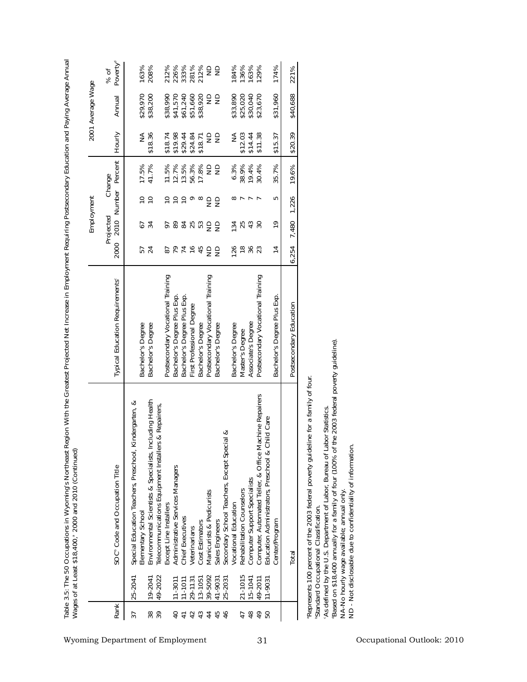| Rank                                                                                      |                                                                                                                                                                                                                                                                                                                                                                                                                      |                                                                                                          |                                       |                              |                                 |                                                             |                                                        |                              |
|-------------------------------------------------------------------------------------------|----------------------------------------------------------------------------------------------------------------------------------------------------------------------------------------------------------------------------------------------------------------------------------------------------------------------------------------------------------------------------------------------------------------------|----------------------------------------------------------------------------------------------------------|---------------------------------------|------------------------------|---------------------------------|-------------------------------------------------------------|--------------------------------------------------------|------------------------------|
|                                                                                           |                                                                                                                                                                                                                                                                                                                                                                                                                      |                                                                                                          |                                       | Employment                   |                                 |                                                             | 2001 Average Wage                                      |                              |
|                                                                                           | SOC <sup>®</sup> Code and Occupation Title                                                                                                                                                                                                                                                                                                                                                                           | Typical Education Requirements <sup>®</sup>                                                              | Projected<br>2010<br>2000             | Number                       | Percent<br>Change               | Hourly                                                      | Annual                                                 | Poverty <sup>d</sup><br>% of |
| 25-2041<br>19-2041<br>38<br>37                                                            | Environmental Scientists & Specialists, Including Health<br>∢<br>Kindergarten,<br>Special Education Teachers, Preschool,<br>Elementary School                                                                                                                                                                                                                                                                        | Bachelor's Degree<br>Bachelor's Degree                                                                   | $57$<br>24                            | $\frac{1}{2}$<br>54          | 17.5%<br>41.7%                  | \$18.36<br>≨                                                | \$29,970<br>\$38,200                                   | 163%<br>208%                 |
| 49-2022<br>$11 - 3011$<br>$11 - 1011$<br>$40 +$                                           | 's & Repairers,<br>Telecommunications Equipment Installer<br>Administrative Services Managers<br>Except Line Installers<br>Chief Executives                                                                                                                                                                                                                                                                          | Postsecondary Vocational Training<br>Bachelor's Degree Plus Exp.<br>Bachelor's Degree Plus Exp.          | 27145<br>$87$                         | 55500                        | 13.5%<br>11.5%<br>12.7%         | $$18.74$<br>$$19.98$<br>\$29.44                             | \$41,570<br>\$38,990<br>\$61,240                       | 212%<br>226%<br>333%         |
| 39-5092<br>41-9031<br>13-1051<br>$29 - 113'$<br>42<br>43<br>$\overline{4}$<br>45          | Manicurists & Pedicurists<br>Sales Engineers<br>Cost Estimators<br>Veterinarians                                                                                                                                                                                                                                                                                                                                     | Postsecondary Vocational Training<br>First Professional Degree<br>Bachelor's Degree<br>Bachelor's Degree | as                                    | as<br>5835029                | 56.3%<br>17.8%<br>es            | $\frac{\Omega}{\Sigma}$<br>$\epsilon$<br>\$24.84<br>\$18.71 | \$51,660<br>\$38,920<br>$\frac{1}{2}$<br>$\frac{1}{2}$ | 281%<br>212%<br>as           |
| $21 - 1015$<br>49-2011<br>15-1041<br>25-2031<br>$11 - 9031$<br>46<br>48<br>49<br>50<br>47 | lachine Repairers<br>Education Administrators, Preschool & Child Care<br>∞<br>Secondary School Teachers, Except Special<br>Computer, Automated Teller, & Office M<br>Computer Support Specialists<br>Rehabilitation Counselors<br><b>Vocational Education</b>                                                                                                                                                        | Associate's Degree<br>Postsecondary Vocational Training<br>Bachelor's Degree<br>Master's Degree          | $36$<br>$23$<br>126<br>$\frac{8}{10}$ | $\frac{1}{2}$<br>2540<br>134 | 38.9%<br>6.3%<br>19.4%<br>30.4% | ₹<br>$$14.44$<br>$$11.38$<br>\$12.03                        | \$33,890<br>\$25,020<br>\$30,040<br>\$23,670           | 136%<br>184%<br>163%<br>129% |
|                                                                                           | Center/Program                                                                                                                                                                                                                                                                                                                                                                                                       | Bachelor's Degree Plus Exp                                                                               | $\overline{4}$                        | 5<br>$\frac{9}{2}$           | 35.7%                           | \$15.37                                                     | \$31,960                                               | 174%                         |
|                                                                                           | Total                                                                                                                                                                                                                                                                                                                                                                                                                | Postsecondary Education                                                                                  | 7,480<br>.254<br>تم                   | 1,226                        | 19.6%                           | \$20.39                                                     | \$40,688                                               | 221%                         |
|                                                                                           | the 2003 federal poverty guideline)<br>Represents 100 percent of the 2003 federal poverty guideline for a family of four.<br>As defined by the U.S. Department of Labor, Bureau of Labor Statistics<br>ND - Not disclosable due to confidentiality of information<br>"Based on \$18,400 annually for a family of four (100% of<br>NA-No hourly wage available; annual only.<br>Standard Occupational Classification. |                                                                                                          |                                       |                              |                                 |                                                             |                                                        |                              |
|                                                                                           |                                                                                                                                                                                                                                                                                                                                                                                                                      |                                                                                                          |                                       |                              |                                 |                                                             |                                                        |                              |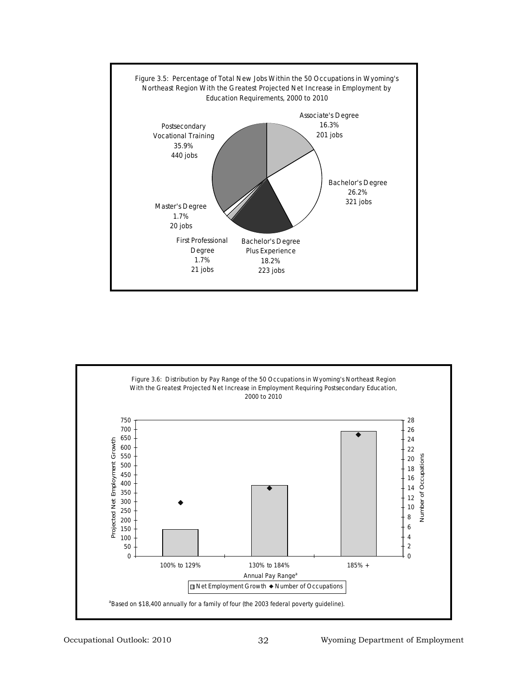

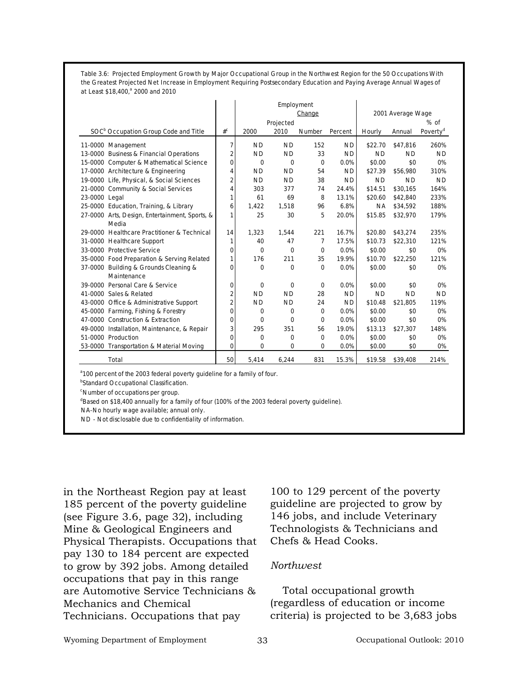**Table 3.6: Projected Employment Growth by Major Occupational Group in the Northwest Region for the 50 Occupations With the Greatest Projected Net Increase in Employment Requiring Postsecondary Education and Paying Average Annual Wages of at Least \$18,400,a 2000 and 2010**

|                                                  |                |           | Employment  | Change      |           |           | 2001 Average Wage |                      |
|--------------------------------------------------|----------------|-----------|-------------|-------------|-----------|-----------|-------------------|----------------------|
|                                                  |                |           | Projected   |             |           |           |                   | $%$ of               |
| SOC <sup>b</sup> Occupation Group Code and Title | $#^C$          | 2000      | 2010        | Number      | Percent   | Hourly    | Annual            | Poverty <sup>d</sup> |
| 11-0000 Management                               | 7              | <b>ND</b> | <b>ND</b>   | 152         | <b>ND</b> | \$22.70   | \$47.816          | 260%                 |
| 13-0000 Business & Financial Operations          | $\overline{2}$ | <b>ND</b> | <b>ND</b>   | 33          | <b>ND</b> | <b>ND</b> | <b>ND</b>         | <b>ND</b>            |
| 15-0000 Computer & Mathematical Science          | $\Omega$       | $\Omega$  | $\mathbf 0$ | $\mathbf 0$ | 0.0%      | \$0.00    | \$0               | 0%                   |
| 17-0000 Architecture & Engineering               | 4              | <b>ND</b> | <b>ND</b>   | 54          | <b>ND</b> | \$27.39   | \$56,980          | 310%                 |
| 19-0000 Life, Physical, & Social Sciences        | $\overline{c}$ | <b>ND</b> | <b>ND</b>   | 38          | <b>ND</b> | <b>ND</b> | <b>ND</b>         | <b>ND</b>            |
| 21-0000 Community & Social Services              | 4              | 303       | 377         | 74          | 24.4%     | \$14.51   | \$30,165          | 164%                 |
| 23-0000 Legal                                    | 1              | 61        | 69          | 8           | 13.1%     | \$20.60   | \$42,840          | 233%                 |
| 25-0000 Education, Training, & Library           | 6              | 1,422     | 1,518       | 96          | 6.8%      | ΝA        | \$34,592          | 188%                 |
| 27-0000 Arts, Design, Entertainment, Sports, &   | 1              | 25        | 30          | 5           | 20.0%     | \$15.85   | \$32,970          | 179%                 |
| Media                                            |                |           |             |             |           |           |                   |                      |
| 29-0000 Healthcare Practitioner & Technical      | 14             | 1.323     | 1.544       | 221         | 16.7%     | \$20.80   | \$43.274          | 235%                 |
| 31-0000 Healthcare Support                       | 1              | 40        | 47          | 7           | 17.5%     | \$10.73   | \$22,310          | 121%                 |
| 33-0000 Protective Service                       | 0              | 0         | $\Omega$    | $\Omega$    | 0.0%      | \$0.00    | \$0               | 0%                   |
| 35-0000 Food Preparation & Serving Related       | 1              | 176       | 211         | 35          | 19.9%     | \$10.70   | \$22,250          | 121%                 |
| 37-0000 Building & Grounds Cleaning &            | 0              | 0         | 0           | 0           | 0.0%      | \$0.00    | \$0               | 0%                   |
| Maintenance                                      |                |           |             |             |           |           |                   |                      |
| 39-0000 Personal Care & Service                  | 0              | 0         | 0           | 0           | 0.0%      | \$0.00    | \$0               | 0%                   |
| 41-0000 Sales & Related                          | $\overline{2}$ | <b>ND</b> | <b>ND</b>   | 28          | <b>ND</b> | <b>ND</b> | <b>ND</b>         | <b>ND</b>            |
| 43-0000 Office & Administrative Support          | $\overline{2}$ | <b>ND</b> | ND.         | 24          | ND.       | \$10.48   | \$21,805          | 119%                 |
| 45-0000 Farming, Fishing & Forestry              | 0              | 0         | $\mathbf 0$ | 0           | 0.0%      | \$0.00    | \$0               | 0%                   |
| 47-0000 Construction & Extraction                | 0              | $\Omega$  | $\Omega$    | $\Omega$    | 0.0%      | \$0.00    | \$0               | 0%                   |
| 49-0000 Installation, Maintenance, & Repair      | $\overline{3}$ | 295       | 351         | 56          | 19.0%     | \$13.13   | \$27,307          | 148%                 |
| 51-0000 Production                               | 0              | $\Omega$  | $\Omega$    | $\Omega$    | 0.0%      | \$0.00    | \$0               | 0%                   |
| 53-0000 Transportation & Material Moving         | 0              | 0         | 0           | 0           | 0.0%      | \$0.00    | \$0               | 0%                   |
| Total                                            | 50             | 5,414     | 6,244       | 831         | 15.3%     | \$19.58   | \$39,408          | 214%                 |

<sup>a</sup> 100 percent of the 2003 federal poverty guideline for a family of four.

<sup>b</sup>Standard Occupational Classification.

c Number of occupations per group.

<sup>d</sup>Based on \$18,400 annually for a family of four (100% of the 2003 federal poverty guideline).

NA-No hourly wage available; annual only.

ND - Not disclosable due to confidentiality of information.

in the Northeast Region pay at least 185 percent of the poverty guideline (see Figure 3.6, page 32), including Mine & Geological Engineers and Physical Therapists. Occupations that pay 130 to 184 percent are expected to grow by 392 jobs. Among detailed occupations that pay in this range are Automotive Service Technicians & Mechanics and Chemical Technicians. Occupations that pay

100 to 129 percent of the poverty guideline are projected to grow by 146 jobs, and include Veterinary Technologists & Technicians and Chefs & Head Cooks.

#### *Northwest*

Total occupational growth (regardless of education or income criteria) is projected to be 3,683 jobs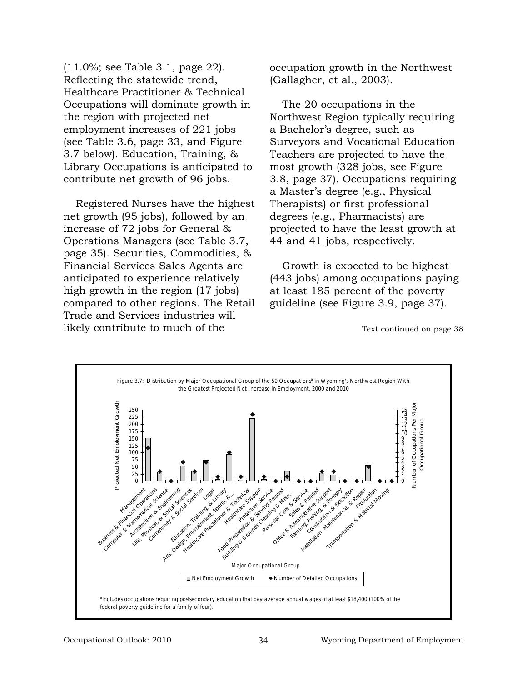(11.0%; see Table 3.1, page 22). Reflecting the statewide trend, Healthcare Practitioner & Technical Occupations will dominate growth in the region with projected net employment increases of 221 jobs (see Table 3.6, page 33, and Figure 3.7 below). Education, Training, & Library Occupations is anticipated to contribute net growth of 96 jobs.

Registered Nurses have the highest net growth (95 jobs), followed by an increase of 72 jobs for General & Operations Managers (see Table 3.7, page 35). Securities, Commodities, & Financial Services Sales Agents are anticipated to experience relatively high growth in the region (17 jobs) compared to other regions. The Retail Trade and Services industries will likely contribute to much of the

occupation growth in the Northwest (Gallagher, et al., 2003).

The 20 occupations in the Northwest Region typically requiring a Bachelor's degree, such as Surveyors and Vocational Education Teachers are projected to have the most growth (328 jobs, see Figure 3.8, page 37). Occupations requiring a Master's degree (e.g., Physical Therapists) or first professional degrees (e.g., Pharmacists) are projected to have the least growth at 44 and 41 jobs, respectively.

Growth is expected to be highest (443 jobs) among occupations paying at least 185 percent of the poverty guideline (see Figure 3.9, page 37).

Text continued on page 38

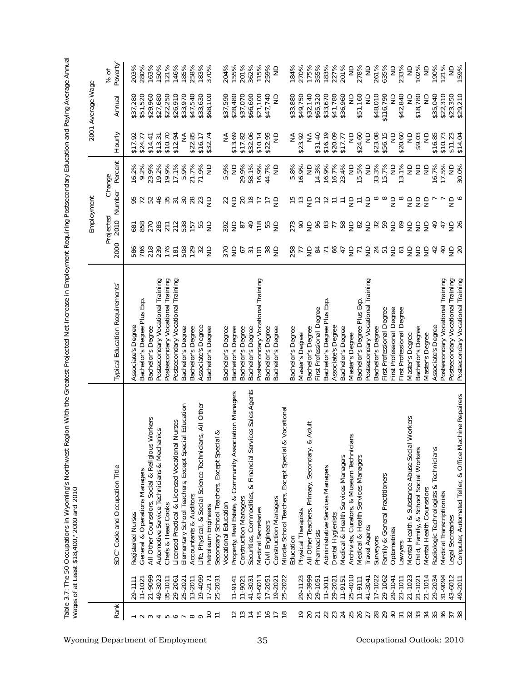|                                                                  |             | Wages of at Least \$18,400, <sup>9</sup> 2000 and 2010                     |                                             |                                |                              |                                              |                         |               |                         |                              |
|------------------------------------------------------------------|-------------|----------------------------------------------------------------------------|---------------------------------------------|--------------------------------|------------------------------|----------------------------------------------|-------------------------|---------------|-------------------------|------------------------------|
|                                                                  |             |                                                                            |                                             |                                | Employment                   |                                              |                         |               | 2001 Average Wage       |                              |
| Rank                                                             |             | SOC <sup>®</sup> Code and Occupation Title                                 | Typical Education Requirements <sup>®</sup> | 2000                           | Projected<br>2010            | Number                                       | Percent<br>Change       | Hourly        | Annual                  | Poverty <sup>d</sup><br>% of |
|                                                                  | 29-1111     | Registered Nurses                                                          | Associate's Degree                          | 586                            | 681                          | 95                                           | 16.2%                   | \$17.92       | \$37,280                | 203%                         |
| $\sim$                                                           | $11 - 1021$ | General & Operations Managers                                              | Bachelor's Degree Plus Exp.                 | 786                            | 858                          | $\overline{7}$                               | 9.2%                    | \$24.77       | \$51,520                | 280%                         |
| S                                                                | 21-9099     | All Other Counselors, Social & Religious Workers                           | Bachelor's Degree                           | 218                            | 270                          | 52                                           | 23.9%                   | \$14.41       | \$29,960                | 163%                         |
|                                                                  | 49-3023     | Automotive Service Technicians & Mechanics                                 | Postsecondary Vocational Training           | 239                            | 285                          | 46                                           | 19.2%                   | \$13.31       | \$27,680                | 150%                         |
|                                                                  | 35-1011     | Chefs & Head Cooks                                                         | Postsecondary Vocational Training           | 176                            | 211                          | 35                                           | 19.9%                   | \$10.70       | \$22,250                | 121%                         |
|                                                                  | 29-2061     | Licensed Practical & Licensed Vocational Nurses                            | Postsecondary Vocational Training           | $\overline{181}$               | 212                          | $\frac{2}{3}$                                | 17.1%                   | \$12.94       | \$26,910                | 146%                         |
| $\begin{array}{c} 4 & \text{no} \\ 0 & \text{no} \\ \end{array}$ | 25-2021     | Elementary School Teachers, Except Special Education                       | Bachelor's Degree                           | 508                            | 538                          |                                              | 5.9%                    | ≨             | \$33,970                | 185%                         |
|                                                                  | $13 - 2011$ | Accountants & Auditors                                                     | Bachelor's Degree                           | 129                            | 157                          | 28                                           | 21.7%                   | \$22.85       | \$47,540                | 258%                         |
|                                                                  | 19-4099     | Life, Physical, & Social Science Technicians, All Other                    | Associate's Degree                          | 32                             | 55                           |                                              | 71.9%                   | \$16.17       | \$33,630                | 183%                         |
| $\overline{C}$                                                   | $17 - 2171$ | Petroleum Engineers                                                        | Bachelor's Degree                           |                                | $\epsilon$                   | $\epsilon$                                   | $\Xi$                   | \$32.74       | \$68,100                | 370%                         |
| $\overline{v}$                                                   | 25-2031     | Secondary School Teachers, Except Special &<br><b>Vocational Education</b> |                                             |                                |                              |                                              |                         |               |                         | 204%                         |
|                                                                  |             |                                                                            | Bachelor's Degree                           | 370                            | 392                          | $\frac{2}{9}$                                | 5.9%                    | ≨             | \$37,590                |                              |
| $\sim$ $\sim$                                                    | $11 - 9141$ | Community Association Managers<br>Property, Real Estate, &                 | Bachelor's Degree                           | $\epsilon$                     |                              |                                              | $\frac{1}{2}$           | \$13.69       | \$28,480                | 155%                         |
|                                                                  | 11-9021     | <b>Construction Managers</b>                                               | Bachelor's Degree                           | 57                             | $\overline{8}$               |                                              | 29.9%                   | \$17.82       | \$37,070                | 201%                         |
| 115478                                                           | 41-3031     | Securities, Commodities, & Financial Services Sales Agents                 | Bachelor's Degree                           | $\overline{5}$                 | $^{49}$                      | 8877                                         | 58.1%                   | \$32.06       | \$66,690                | 362%                         |
|                                                                  | 43-6013     | Medical Secretaries                                                        | Postsecondary Vocational Training           |                                |                              |                                              | 16.9%                   | \$10.14       | \$21,100                | 115%                         |
|                                                                  | 17-2051     | Civil Engineers                                                            | Bachelor's Degree                           | 585                            | $\frac{5}{5}$ $\frac{15}{5}$ |                                              | 44.7%                   | \$22.95       | \$47,740                | 259%                         |
|                                                                  | 19-202      | <b>Construction Managers</b>                                               | Bachelor's Degree                           |                                |                              | $\epsilon$                                   | $\frac{\Omega}{Z}$      | $\epsilon$    | $\frac{1}{2}$           | g                            |
|                                                                  | 25-2022     | & Vocational<br>Middle School Teachers, Except Special                     |                                             |                                |                              |                                              |                         |               |                         |                              |
|                                                                  |             | Education                                                                  | Bachelor's Degree                           | 258<br>77                      | 273<br>90                    | $\frac{15}{13}$                              | 5.8%                    | ≨             | \$33,880                | 184%                         |
| ٩P,                                                              | 29-1123     | Physical Therapists                                                        | Master's Degree                             |                                |                              |                                              | 16.9%                   | \$23.92       | \$49,750                | 270%                         |
| 20                                                               | 25-3999     | & Adult<br>All Other Teachers, Primary, Secondary,                         | Bachelor's Degree                           | $\epsilon$                     | $\epsilon$                   | $\epsilon$                                   | $\epsilon$              | ₹             | \$32,140                | 175%                         |
| $\overline{21}$                                                  | 29-1051     | Pharmacists                                                                | First Professional Degree                   |                                | 96                           |                                              | 14.3%                   | \$31.40       | \$65,320                | 355%                         |
| 22                                                               | $11 - 3011$ | Administrative Services Managers                                           | Bachelor's Degree Plus Exp.                 |                                | $rac{27}{7}$                 | $\overline{5}$ $\overline{5}$ $\overline{5}$ | 16.9%                   | \$16.19       | \$33,670                | 183%                         |
| 23                                                               | 29-2021     | Dental Hygienists                                                          | Associate's Degree                          |                                |                              |                                              | 16.7%                   | \$20.09       | \$41,780                | 227%                         |
| 24                                                               | $11 - 9151$ | Medical & Health Services Managers                                         | Bachelor's Degree                           |                                |                              | $\overleftarrow{\phantom{a}}$                | 23.4%                   | \$17.77       | \$36,960                | 201%                         |
| 25                                                               | 25-4010     | lans<br>Archivists, Curators, & Museum Technici                            | Master's Degree                             |                                |                              | $\epsilon$                                   | $\epsilon$              | $\frac{1}{2}$ | $\frac{1}{2}$           | $\frac{1}{2}$                |
| 26                                                               | $11 - 9111$ | Medical & Health Services Managers                                         | Bachelor's Degree Plus Exp.                 |                                |                              | $\overline{\phantom{a}}$                     | 15.5%                   | \$24.60       | \$51,160                | 278%                         |
| 27                                                               | 41-3041     | <b>Travel Agents</b>                                                       | Postsecondary Vocational Training           |                                |                              | $\epsilon$                                   | $\frac{\Omega}{\Sigma}$ | $\frac{1}{2}$ | $\frac{\Omega}{\Sigma}$ | $\epsilon$                   |
|                                                                  | 17-1022     | Surveyors                                                                  | Bachelor's Degree                           |                                |                              | $\infty$ $\infty$                            | 33.3%                   | \$23.08       | \$48,010                | 261%                         |
| 29                                                               | 29-1062     | Family & General Practitioners                                             | First Professional Degree                   |                                |                              |                                              | 15.7%                   | \$56.15       | \$116,790               | 635%                         |
| 30                                                               | 29-1041     | Optometrists                                                               | First Professional Degree                   |                                |                              | $\epsilon$                                   | $\frac{1}{2}$           | $\epsilon$    | $\Xi$                   | $\Xi$                        |
| $\overline{31}$                                                  | 23-1011     | Lawyers                                                                    | First Professional Degree                   |                                |                              | $\infty$                                     | 13.1%                   | \$20.60       | \$42,840                | 233%                         |
| 32                                                               | 21-1023     | I Workers<br>Mental Health & Substance Abuse Socia                         | Master's Degree                             |                                |                              | $\frac{1}{2}$                                | $\frac{\Omega}{\Omega}$ | $\frac{1}{2}$ | $\frac{1}{2}$           | $\Xi$                        |
| 33                                                               | 21-1021     | Child, Family, & School Social Workers                                     | Bachelor's Degree                           | \$ 노 @ 순 흡 눈 흡 낯 한 글 흥 흥 흥 흥 충 |                              | $\epsilon$                                   | $\frac{1}{2}$           | \$9.03        | \$18,780                | 102%                         |
| 34                                                               | 21-1014     | Mental Health Counselors                                                   | Master's Degree                             |                                |                              | $\epsilon$                                   | $\frac{0}{2}$           | $\frac{1}{2}$ | $\frac{1}{2}$           | $\frac{1}{2}$                |
| 35                                                               | 29-2034     | Technicians<br>Radiologic Technologists &                                  | Associate's Degree                          |                                |                              |                                              | 16.7%                   | \$16.85       | \$35,040                | 190%                         |
| 36                                                               | 31-9094     | Medical Transcriptionists                                                  | Postsecondary Vocational Training           | $\overline{4}$                 | $\overline{4}$               |                                              | 17.5%                   | \$10.73       | \$22,310                | 121%                         |
| 37                                                               | 43-6012     | Legal Secretaries                                                          | Postsecondary Vocational Training           | ਰੇ ਨੂ                          | e €                          | $\frac{1}{2}$                                | $\frac{\Omega}{\Omega}$ | \$11.23       | \$23,350                | $\frac{1}{2}$                |
|                                                                  | 49-2011     | Computer, Automated Teller, & Office Machine Repairers                     | Postsecondary Vocational Training           |                                |                              | $\circ$                                      | 30.0%                   | \$14.04       | \$29,210                | 159%                         |

Table 3.7: The 50 Occupations in Wyoming's Northwest Region With the Greatest Projected Net Increase in Employment Requiring Postsecondary Education and Paying Average Annual **stsecondary Education and Paying Average Annual Table 3.7: The 50 Occupations in Wyoming's Northwest Region With the Greatest Projected Net Increase in Employment Requiring Po**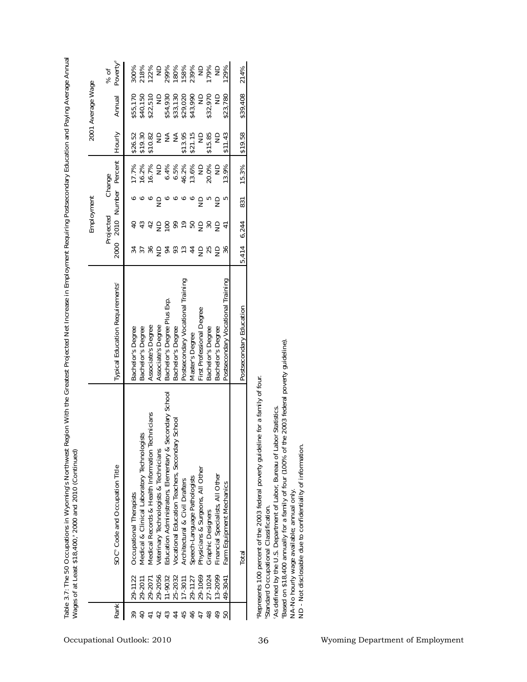|                                                                                                                                        |                                                                                                                                  | Table 3.7: The 50 Occupations in Wyoming's Northwest Region With the Greatest Projected Net Increase in Employment Requiring Postsecondary Education and Paying Average Annual<br>Wages of at Least \$18,400, <sup>®</sup> 2000 and 2010 (Continued)                                                                                                                                                                                                                                    |                                                                                                                                                                                                                                                                                                            |                                                                                                                                                                                                                                                                                                                                                                                                                                                                                                                                                      |                                                                                                                |                                                                                                                                |                                                                                                                                                                             |                                                                                                                                                             |                                                                                                                      |
|----------------------------------------------------------------------------------------------------------------------------------------|----------------------------------------------------------------------------------------------------------------------------------|-----------------------------------------------------------------------------------------------------------------------------------------------------------------------------------------------------------------------------------------------------------------------------------------------------------------------------------------------------------------------------------------------------------------------------------------------------------------------------------------|------------------------------------------------------------------------------------------------------------------------------------------------------------------------------------------------------------------------------------------------------------------------------------------------------------|------------------------------------------------------------------------------------------------------------------------------------------------------------------------------------------------------------------------------------------------------------------------------------------------------------------------------------------------------------------------------------------------------------------------------------------------------------------------------------------------------------------------------------------------------|----------------------------------------------------------------------------------------------------------------|--------------------------------------------------------------------------------------------------------------------------------|-----------------------------------------------------------------------------------------------------------------------------------------------------------------------------|-------------------------------------------------------------------------------------------------------------------------------------------------------------|----------------------------------------------------------------------------------------------------------------------|
|                                                                                                                                        |                                                                                                                                  |                                                                                                                                                                                                                                                                                                                                                                                                                                                                                         |                                                                                                                                                                                                                                                                                                            |                                                                                                                                                                                                                                                                                                                                                                                                                                                                                                                                                      | Employment                                                                                                     |                                                                                                                                |                                                                                                                                                                             | 2001 Average Wage                                                                                                                                           |                                                                                                                      |
| Rank                                                                                                                                   |                                                                                                                                  | SOC <sup>®</sup> Code and Occupation Title                                                                                                                                                                                                                                                                                                                                                                                                                                              | <b>Typical Education Requirements®</b>                                                                                                                                                                                                                                                                     | Projected<br>2010<br>2000                                                                                                                                                                                                                                                                                                                                                                                                                                                                                                                            | Number                                                                                                         | Percent<br>Change                                                                                                              | Hourly                                                                                                                                                                      | Annual                                                                                                                                                      | Poverty <sup>d</sup><br>% of                                                                                         |
| 46<br>48<br>43<br>45<br>$\frac{6}{4}$<br>$\overline{40}$<br>42<br>44<br>47<br>50<br>39<br>$\overline{4}$<br>Occupational Outlook: 2010 | 29-2056<br>29-1069<br>13-2099<br>25-2032<br>27-1024<br>11-9032<br>17-3011<br>29-1122<br>29-2011<br>29-2071<br>49-3041<br>29-1127 | Secondary School<br>echnicians<br>ry School<br>Medical & Clinical Laboratory Technologists<br>Vocational Education Teachers, Secondar<br>Education Administrators, Elementary &<br>Medical Records & Health Information<br>Veterinary Technologists & Technicians<br>Physicians & Surgeons, All Other<br>Financial Specialists, All Other<br>Speech-Language Pathologists<br>Architectural & Civil Drafters<br>Farm Equipment Mechanics<br>Occupational Therapists<br>Graphic Designers | Postsecondary Vocational Training<br>Postsecondary Vocational Training<br>Bachelor's Degree Plus Exp.<br>First Professional Degree<br>Associate's Degree<br>Associate's Degree<br>Bachelor's Degree<br>Bachelor's Degree<br>Bachelor's Degree<br>Bachelor's Degree<br>Bachelor's Degree<br>Master's Degree | 5858585<br>$\frac{4}{3}$ $\frac{4}{9}$<br>$\overline{a}$<br>$\frac{1}{4}$<br>$\begin{array}{c} \approx \infty \; \text{and} \; \text{and} \; \text{and} \; \text{and} \; \text{and} \; \text{and} \; \text{and} \; \text{and} \; \text{and} \; \text{and} \; \text{and} \; \text{and} \; \text{and} \; \text{and} \; \text{and} \; \text{and} \; \text{and} \; \text{and} \; \text{and} \; \text{and} \; \text{and} \; \text{and} \; \text{and} \; \text{and} \; \text{and} \; \text{and} \; \text{and} \; \text{and} \; \text{and} \; \text{$<br>37 | $\begin{array}{c}\n\circ \\ \circ \\ \circ \\ \circ\n\end{array}$<br>৽৽<br>$\overline{5}$ m<br>S<br>$\epsilon$ | 16.2%<br>16.7%<br>6.4%<br>6.5%<br>46.2%<br>13.6%<br>20.0%<br>$\frac{1}{2}$<br>$\frac{1}{2}$<br>17.7%<br>$\frac{1}{2}$<br>13.9% | \$21.15<br>$\lessgtr$<br>$\frac{\mathcal{A}}{\mathcal{D}}$<br>\$13.95<br>\$15.85<br>\$26.52<br>\$19.30<br>\$10.82<br>$\frac{1}{2}$<br>$\supseteq$<br>$\supseteq$<br>\$11.43 | \$22,510<br>\$54,930<br>\$33,130<br>\$29,020<br>\$43,990<br>\$32,970<br>\$55,170<br>\$40,150<br>$\frac{1}{2}$<br>$\frac{1}{2}$<br>\$23,780<br>$\frac{1}{2}$ | 218%<br>122%<br>299%<br>180%<br>158%<br>239%<br>179%<br>300%<br>$\epsilon$<br>$\frac{1}{2}$<br>$\frac{1}{2}$<br>129% |
|                                                                                                                                        |                                                                                                                                  | Total                                                                                                                                                                                                                                                                                                                                                                                                                                                                                   | Postsecondary Education                                                                                                                                                                                                                                                                                    | 6,244<br>414<br>ທັ                                                                                                                                                                                                                                                                                                                                                                                                                                                                                                                                   | 831                                                                                                            | 15.3%                                                                                                                          | \$19.58                                                                                                                                                                     | \$39,408                                                                                                                                                    | 214%                                                                                                                 |
| 36                                                                                                                                     |                                                                                                                                  | the 2003 federal poverty guideline).<br>Represents 100 percent of the 2003 federal poverty guideline for a family of four.<br>As defined by the U.S. Department of Labor, Bureau of Labor Statistics.<br>ND - Not disclosable due to confidentiality of information<br>"Based on \$18,400 annually for a family of four (100% of<br>NA-No hourly wage available; annual only.<br>Standard Occupational Classification.                                                                  |                                                                                                                                                                                                                                                                                                            |                                                                                                                                                                                                                                                                                                                                                                                                                                                                                                                                                      |                                                                                                                |                                                                                                                                |                                                                                                                                                                             |                                                                                                                                                             |                                                                                                                      |
| Wyoming Department of Employment                                                                                                       |                                                                                                                                  |                                                                                                                                                                                                                                                                                                                                                                                                                                                                                         |                                                                                                                                                                                                                                                                                                            |                                                                                                                                                                                                                                                                                                                                                                                                                                                                                                                                                      |                                                                                                                |                                                                                                                                |                                                                                                                                                                             |                                                                                                                                                             |                                                                                                                      |

**Table 3.7: The 50 Occupations in Wyoming's Northwest Region With the Greatest Projected Net Increase in Employment Requiring Postsecondary Education and Paying Average Annual Wages of at Least \$18,400,a 2000 and 2010 (Continued)**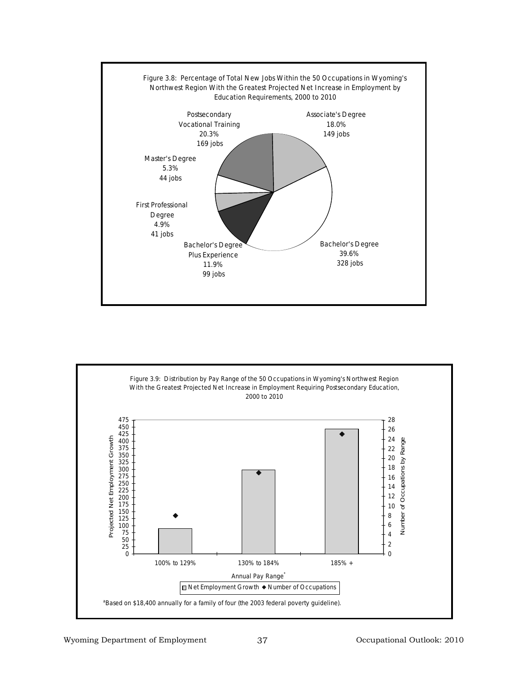

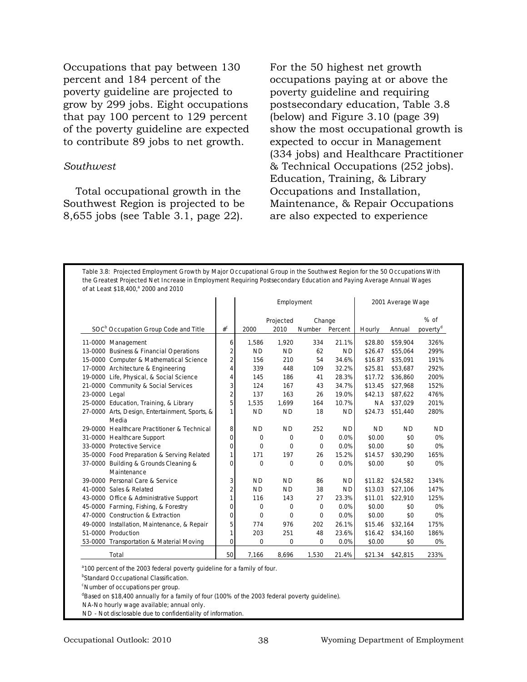Occupations that pay between 130 percent and 184 percent of the poverty guideline are projected to grow by 299 jobs. Eight occupations that pay 100 percent to 129 percent of the poverty guideline are expected to contribute 89 jobs to net growth.

#### *Southwest*

Total occupational growth in the Southwest Region is projected to be 8,655 jobs (see Table 3.1, page 22).

For the 50 highest net growth occupations paying at or above the poverty guideline and requiring postsecondary education, Table 3.8 (below) and Figure 3.10 (page 39) show the most occupational growth is expected to occur in Management (334 jobs) and Healthcare Practitioner & Technical Occupations (252 jobs). Education, Training, & Library Occupations and Installation, Maintenance, & Repair Occupations are also expected to experience

**Table 3.8: Projected Employment Growth by Major Occupational Group in the Southwest Region for the 50 Occupations With the Greatest Projected Net Increase in Employment Requiring Postsecondary Education and Paying Average Annual Wages of at Least \$18,400,a 2000 and 2010**

|                                                  |                |           | Employment |          |           |           | 2001 Average Wage |                      |
|--------------------------------------------------|----------------|-----------|------------|----------|-----------|-----------|-------------------|----------------------|
|                                                  |                |           | Projected  | Change   |           |           |                   | $%$ of               |
| SOC <sup>b</sup> Occupation Group Code and Title | $#^C$          | 2000      | 2010       | Number   | Percent   | Hourly    | Annual            | poverty <sup>d</sup> |
| 11-0000 Management                               | 6              | 1,586     | 1,920      | 334      | 21.1%     | \$28.80   | \$59,904          | 326%                 |
| 13-0000 Business & Financial Operations          | $\overline{2}$ | <b>ND</b> | <b>ND</b>  | 62       | <b>ND</b> | \$26.47   | \$55.064          | 299%                 |
| 15-0000 Computer & Mathematical Science          | $\overline{2}$ | 156       | 210        | 54       | 34.6%     | \$16.87   | \$35,091          | 191%                 |
| 17-0000 Architecture & Engineering               | 4              | 339       | 448        | 109      | 32.2%     | \$25.81   | \$53,687          | 292%                 |
| 19-0000 Life, Physical, & Social Science         | 4              | 145       | 186        | 41       | 28.3%     | \$17.72   | \$36,860          | 200%                 |
| 21-0000 Community & Social Services              | 3              | 124       | 167        | 43       | 34.7%     | \$13.45   | \$27.968          | 152%                 |
| 23-0000 Legal                                    | $\overline{2}$ | 137       | 163        | 26       | 19.0%     | \$42.13   | \$87.622          | 476%                 |
| 25-0000 Education, Training, & Library           | 5              | 1,535     | 1,699      | 164      | 10.7%     | <b>NA</b> | \$37,029          | 201%                 |
| 27-0000 Arts, Design, Entertainment, Sports, &   | $\mathbf{1}$   | <b>ND</b> | <b>ND</b>  | 18       | <b>ND</b> | \$24.73   | \$51,440          | 280%                 |
| Media                                            |                |           |            |          |           |           |                   |                      |
| 29-0000 Healthcare Practitioner & Technical      | 8              | <b>ND</b> | <b>ND</b>  | 252      | <b>ND</b> | <b>ND</b> | <b>ND</b>         | <b>ND</b>            |
| 31-0000 Healthcare Support                       | 0              | $\Omega$  | $\Omega$   | $\Omega$ | 0.0%      | \$0.00    | \$0               | 0%                   |
| 33-0000 Protective Service                       | 0              | $\Omega$  | $\Omega$   | $\Omega$ | 0.0%      | \$0.00    | \$0               | 0%                   |
| 35-0000 Food Preparation & Serving Related       | $\mathbf{1}$   | 171       | 197        | 26       | 15.2%     | \$14.57   | \$30,290          | 165%                 |
| 37-0000 Building & Grounds Cleaning &            | 0              | $\Omega$  | $\Omega$   | $\Omega$ | 0.0%      | \$0.00    | \$0               | 0%                   |
| Maintenance                                      |                |           |            |          |           |           |                   |                      |
| 39-0000 Personal Care & Service                  | 3              | <b>ND</b> | <b>ND</b>  | 86       | <b>ND</b> | \$11.82   | \$24,582          | 134%                 |
| 41-0000 Sales & Related                          | $\overline{2}$ | <b>ND</b> | <b>ND</b>  | 38       | <b>ND</b> | \$13.03   | \$27,106          | 147%                 |
| 43-0000 Office & Administrative Support          | 1              | 116       | 143        | 27       | 23.3%     | \$11.01   | \$22,910          | 125%                 |
| 45-0000 Farming, Fishing, & Forestry             | 0              | $\Omega$  | 0          | $\Omega$ | 0.0%      | \$0.00    | \$0               | 0%                   |
| 47-0000 Construction & Extraction                | 0              | $\Omega$  | $\Omega$   | $\Omega$ | 0.0%      | \$0.00    | \$0               | 0%                   |
| 49-0000 Installation, Maintenance, & Repair      | 5              | 774       | 976        | 202      | 26.1%     | \$15.46   | \$32,164          | 175%                 |
| 51-0000 Production                               | $\mathbf{1}$   | 203       | 251        | 48       | 23.6%     | \$16.42   | \$34,160          | 186%                 |
| 53-0000 Transportation & Material Moving         | 0              | 0         | 0          | 0        | 0.0%      | \$0.00    | \$0               | 0%                   |
| Total                                            | 50             | 7,166     | 8.696      | 1.530    | 21.4%     | \$21.34   | \$42.815          | 233%                 |

<sup>a</sup> 100 percent of the 2003 federal poverty guideline for a family of four.

<sup>b</sup>Standard Occupational Classification.

c Number of occupations per group.

<sup>d</sup>Based on \$18,400 annually for a family of four (100% of the 2003 federal poverty guideline).

NA-No hourly wage available; annual only.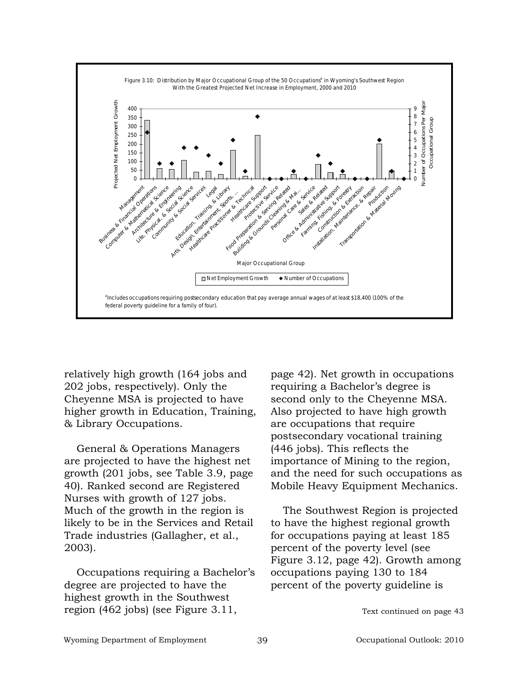

relatively high growth (164 jobs and 202 jobs, respectively). Only the Cheyenne MSA is projected to have higher growth in Education, Training, & Library Occupations.

General & Operations Managers are projected to have the highest net growth (201 jobs, see Table 3.9, page 40). Ranked second are Registered Nurses with growth of 127 jobs. Much of the growth in the region is likely to be in the Services and Retail Trade industries (Gallagher, et al., 2003).

Occupations requiring a Bachelor's degree are projected to have the highest growth in the Southwest region (462 jobs) (see Figure 3.11,

page 42). Net growth in occupations requiring a Bachelor's degree is second only to the Cheyenne MSA. Also projected to have high growth are occupations that require postsecondary vocational training (446 jobs). This reflects the importance of Mining to the region, and the need for such occupations as Mobile Heavy Equipment Mechanics.

The Southwest Region is projected to have the highest regional growth for occupations paying at least 185 percent of the poverty level (see Figure 3.12, page 42). Growth among occupations paying 130 to 184 percent of the poverty guideline is

Text continued on page 43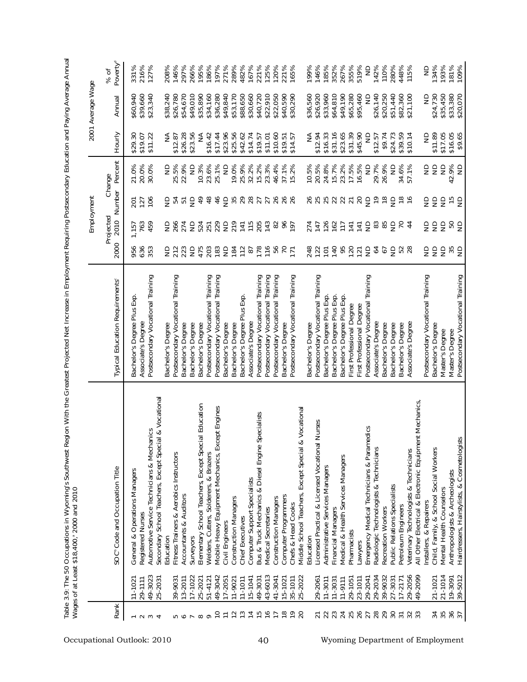|                                 |                        |                                                                                        |                                                                         |                       |                   | Employment     |                          |                      | 2001 Average Wage    |                              |
|---------------------------------|------------------------|----------------------------------------------------------------------------------------|-------------------------------------------------------------------------|-----------------------|-------------------|----------------|--------------------------|----------------------|----------------------|------------------------------|
| Rank                            |                        | SOC <sup>®</sup> Code and Occupation Title                                             | Typical Education Requirements <sup>®</sup>                             | 2000                  | Projected<br>2010 |                | Number Percent<br>Change | Hourly               | Annual               | Poverty <sup>d</sup><br>% of |
|                                 | $11 - 102$             | General & Operations Managers                                                          | Bachelor's Degree Plus Exp                                              | 956                   | 1,157             | 201            | 21.0%                    | \$29.30              | \$60,940             | 331%                         |
| $\sim$                          | 29-1111                | Registered Nurses                                                                      | Associate's Degree                                                      | 636                   | 763               | 127            | 20.0%                    | \$19.07              | \$39,660             | 216%                         |
| $\omega$ 4                      | 49-3023                | Automotive Service Technicians & Mechanics                                             | Postsecondary Vocational Training                                       | 353                   | 459               | 106            | 30.0%                    | \$11.22              | \$23,340             | 127%                         |
|                                 | 25-2031                | Secondary School Teachers, Except Special & Vocational<br>Education                    | Bachelor's Degree                                                       |                       | g                 | g              | $\frac{1}{2}$            | ₹                    | \$38,240             | 208%                         |
|                                 | 39-9031                | Fitness Trainers & Aerobics Instructors                                                | Postsecondary Vocational Training                                       | 272                   | 266               |                | 25.5%                    | \$12.87              | \$26,780             | 146%                         |
| <b>50 G</b>                     | 13-2011                | Accountants & Auditors                                                                 | Bachelor's Degree                                                       | 223                   | 274               | 오언             | 22.9%                    | \$26.28              | \$54,670             | 297%                         |
|                                 | 17-1022                | Surveyors                                                                              | Bachelor's Degree                                                       | $\epsilon$            | $\epsilon$        |                | $\frac{1}{2}$            | \$23.56              | \$49,010             | 266%                         |
| $\sim \infty$                   | 25-2021                | Elementary School Teachers, Except Special Education                                   | Bachelor's Degree                                                       | 475<br>203<br>183     | 524<br>251        | $\frac{6}{4}$  | 10.3%                    | ≨                    | \$35,890             | 195%                         |
|                                 | 51-4121                | Welders, Cutters, Solderers, & Brazers                                                 | Postsecondary Vocational Training                                       |                       |                   | $\frac{8}{3}$  | 23.6%                    | \$16.42              | \$34,160             | 186%                         |
| $\approx$                       | 49-3042                | Mobile Heavy Equipment Mechanics, Except Engines                                       | Postsecondary Vocational Training                                       |                       | 229               | 46             | 25.1%                    | \$17.44              | \$36,280             | 197%                         |
| $\overline{1}$                  | 17-2051                | Civil Engineers                                                                        | Bachelor's Degree                                                       |                       | $\epsilon$        | $\epsilon$     | $\Xi$                    | \$23.96              | \$49,840             | 271%                         |
| $\frac{1}{2}$                   | $11 - 902$             | <b>Construction Managers</b>                                                           | Bachelor's Degree                                                       |                       | 219               |                | 19.0%                    | \$25.56              | \$53,170             | 289%                         |
| $\frac{1}{2}$                   | $11 - 1011$            | Chief Executives                                                                       | Bachelor's Degree Plus Exp.                                             |                       | $\overline{141}$  |                | 25.9%                    | \$42.62              | 650,688              | 482%                         |
| $\overline{4}$                  | 49-3031<br>15-1041     | Bus & Truck Mechanics & Diesel Engine<br>Computer Support Specialists                  | Associate's Degree                                                      | 282822                | 115               | 58877888       | 32.2%<br>15.2%           | \$14.74              | \$30,660             | 167%<br>221%                 |
| $\frac{5}{2}$                   |                        | Specialists                                                                            | Postsecondary Vocational Training                                       |                       | 205               |                |                          | \$19.57              | \$40,720             |                              |
| $\frac{6}{2}$<br>$\overline{1}$ | 43-6013                | Medical Secretaries                                                                    | Training<br>Postsecondary Vocational                                    |                       | 143               |                | 23.3%                    | \$11.01              | \$22,910             | 125%                         |
|                                 | 41-3041                | <b>Construction Managers</b>                                                           | Postsecondary Vocational Training                                       |                       | 82                |                | 46.4%                    | \$10.60              | \$22,050             | 120%                         |
| $\frac{8}{10}$                  | $15 - 1021$            | Computer Programmers                                                                   | Bachelor's Degree                                                       | $56$<br>$77$          | 16L               |                | 37.1%<br>15.2%           | $$19.51$<br>$$14.57$ | \$40,590             | 221%                         |
| $\frac{6}{1}$<br>$\overline{c}$ | 25-2022<br>35-1011     | Chefs & Head Cooks                                                                     | Postsecondary Vocational Training                                       |                       |                   |                |                          |                      | \$30,290             | 165%                         |
|                                 |                        | & Vocational<br>Middle School Teachers, Except Special<br>Education                    | Bachelor's Degree                                                       | 248                   | 274               | 26             | 10.5%                    | ₹                    | \$36,560             | 199%                         |
|                                 |                        |                                                                                        |                                                                         |                       |                   |                |                          |                      |                      |                              |
| 22<br>$\overline{2}$            | 29-2061<br>$11 - 3011$ | Nurses<br>Licensed Practical & Licensed Vocational<br>Administrative Services Managers | Postsecondary Vocational Training<br><b>Bachelor's Degree Plus Exp.</b> | 122<br>$\overline{5}$ | 147               | 25             | 20.5%<br>24.8%           | \$16.33<br>\$12.94   | \$26,920<br>\$33,960 | 185%<br>146%                 |
| 23                              | $11 - 3031$            | Financial Managers                                                                     | Bachelor's Degree Plus Exp.                                             |                       |                   |                | 15.7%                    | \$31.16              | \$64,810             | 352%                         |
| $\overline{24}$                 | $11 - 9111$            | Medical & Health Services Managers                                                     | Bachelor's Degree Plus Exp.                                             | 5255                  | 120747            | 52352          | 23.2%                    | \$23.65              | \$49,190             | 267%                         |
|                                 | 29-1051                | Pharmacists                                                                            | First Professional Degree                                               |                       |                   |                | 17.5%                    | \$31.39              | \$65,280             | 355%                         |
| 25                              | 23-1011                | Lawyers                                                                                | First Professional Degree                                               |                       | $\overline{141}$  |                | 16.5%                    | \$45.90              | \$95,460             | 519%                         |
| 27                              | 29-2041                | Emergency Medical Technicians & Paramedics                                             | Postsecondary Vocational Training                                       | $\frac{1}{2}$         | $\epsilon$        | $\epsilon$     | $\Xi$                    | $\frac{1}{2}$        | $\Xi$                | $\epsilon$                   |
| 28                              | 29-2034                | Radiologic Technologists & Technicians                                                 | Associate's Degree                                                      |                       |                   | $\frac{6}{1}$  | 29.7%                    | \$12.57              | \$26,140             | 142%                         |
| 29                              | 39-9032                | Recreation Workers                                                                     | Bachelor's Degree                                                       | 22508                 | ≋ ≋ §             | $\frac{1}{2}$  | 26.9%                    | \$9.74               | \$20,250             | 110%                         |
|                                 | 27-3031                | Public Relations Specialists                                                           | Bachelor's Degree                                                       |                       |                   |                | $\epsilon$               | \$24.73              | \$51,440             | 280%                         |
| $\overline{5}$                  | $17 - 2171$            | Petroleum Engineers                                                                    | Bachelor's Degree                                                       |                       | $\overline{70}$   | $\frac{8}{10}$ | 34.6%                    | \$39.59              | \$82,360             | 448%                         |
| 33                              | 29-2056                | Veterinary Technologists & Technicians                                                 | Associate's Degree                                                      |                       | $\frac{4}{3}$     |                | 57.1%                    | \$10.14              | \$21,100             | 115%                         |
|                                 | 49-2099                | ent Mechanics,<br>All Other Electrical & Electronic Equipm                             |                                                                         |                       |                   |                |                          |                      |                      |                              |
|                                 |                        | Installers, & Repairers                                                                | Postsecondary Vocational Training                                       |                       |                   | $\epsilon$     | $\frac{\Omega}{\Sigma}$  | $\frac{1}{2}$        | $\Xi$                | $\epsilon$                   |
| 35<br>34                        | 21-1014<br>21-1021     | Child, Family, & School Social Workers<br>Mental Health Counselors                     | <b>Bachelor's Degree</b><br>Master's Degree                             | 555                   | 555               | 99             | $\epsilon$<br>$\epsilon$ | \$17.05<br>\$11.89   | \$24,730<br>\$35,450 | 193%<br>134%                 |
|                                 |                        |                                                                                        |                                                                         |                       |                   |                |                          |                      |                      |                              |
| 36<br>37                        | 39-5012<br>19-3091     | sts<br>Hairdressers, Hairstylists, & Cosmetologi<br>Anthropologists & Archeologists    | Postsecondary Vocational Training<br>Master's Degree                    | ₩₿                    | es<br>S           | $\frac{15}{2}$ | 42.9%<br>$\epsilon$      | \$16.05<br>\$9.65    | \$20,070<br>\$33,380 | 181%<br>109%                 |
|                                 |                        |                                                                                        |                                                                         |                       |                   |                |                          |                      |                      |                              |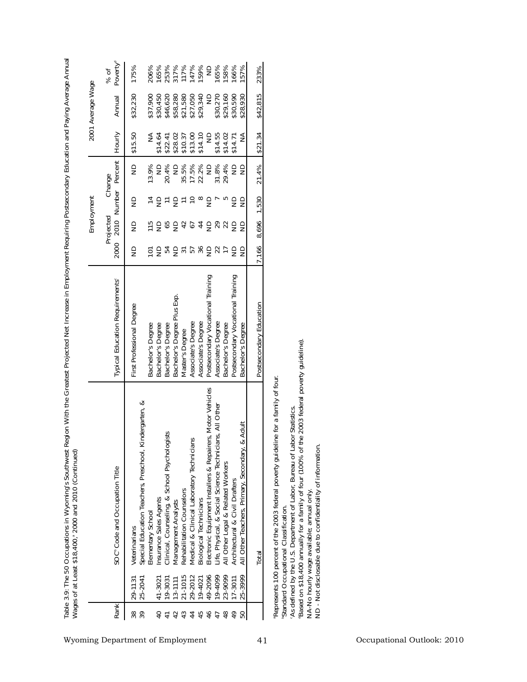| 2001 Average Wage<br>\$30,270<br>\$29,160<br>\$30,590<br>\$42,815<br>\$32,230<br>\$46,620<br>\$58,280<br>\$21,580<br>\$27,050<br>\$29,340<br>$\supseteq$<br>\$28,930<br>\$37,900<br>\$30,450<br>Annual<br>Hourly<br>$$10.37$<br>$$13.00$<br>\$14.10<br>\$14.55<br>\$14.02<br>\$21.34<br>\$15.50<br>₹<br>$\supseteq$<br>₹<br>\$14.64<br>\$22.41<br>\$28.02<br>\$14.71<br>Percent<br>35.5%<br>17.5%<br>22.2%<br>31.8%<br>29.4%<br>$\mathop{\mathsf{S}}\limits_\mathsf{Z}$<br>13.9%<br>$\frac{1}{2}$<br>20.4%<br>$\Xi$<br>$\Xi$<br>21.4%<br>$\epsilon$<br>$\epsilon$<br>Change<br>Number<br>Employment<br><u> 국 글 는 글 는 은 ∞ 을</u><br>1,530<br>5<br>$\epsilon$<br>$\overline{ }$<br>$\epsilon$<br>$\frac{\Omega}{\Sigma}$<br>Projected<br>2010<br>8,696<br>ES 25 3 2 4 5 2 2 2<br>$\Xi$<br>99<br>2000<br>7,166<br><b>DERBASBSH</b><br>52<br>$\epsilon$<br>Postsecondary Vocational Training<br>Postsecondary Vocational Training<br>Typical Education Requirements <sup>®</sup><br>Bachelor's Degree Plus Exp.<br>Postsecondary Education<br>First Professional Degree<br>Associate's Degree<br>Associate's Degree<br>Associate's Degree<br>Bachelor's Degree<br>Bachelor's Degree<br>Bachelor's Degree<br>Bachelor's Degree<br><b>Bachelor's Degree</b><br>Master's Degree<br>the 2003 federal poverty guideline)<br>Represents 100 percent of the 2003 federal poverty guideline for a family of four.<br>Electronic Equipment Installers & Repairers, Motor Vehicles<br>Kindergarten, &<br>Life, Physical, & Social Science Technicians, All Other<br>As defined by the U.S. Department of Labor, Bureau of Labor Statistics<br>& Adult<br>ojsts<br>Medical & Clinical Laboratory Technicians<br>School Psycholc<br>ND - Not disclosable due to confidentiality of information<br>Based on \$18,400 annually for a family of four (100% of<br>All Other Teachers, Primary, Secondary<br>Special Education Teachers, Preschool,<br>All Other Legal & Related Workers<br>SOC <sup>®</sup> Code and Occupation Title<br>Architectural & Civil Drafters<br>Rehabilitation Counselors<br>NA-No hourly wage available; annual only.<br>Clinical, Counseling, &<br>Insurance Sales Agents<br><b>Biological Technicians</b><br>Management Analysts<br>Standard Occupational Classification<br>Elementary School<br>Veterinarians<br>Total<br>49-2096<br>19-4099<br>23-9099<br>21-1015<br>29-2012<br>25-3999<br>25-2041<br>19-4021<br>17-3011<br>19-3031<br>41-3021<br>29-1131<br>$13 - 1111$<br>Rank<br>46<br>48<br>38<br>42<br>44<br>45<br>49<br>$\overline{a}$<br>47<br>50<br>$\frac{4}{1}$<br>Wyoming Department of Employment<br>41 |  |  |  |  |  |  |                              |
|--------------------------------------------------------------------------------------------------------------------------------------------------------------------------------------------------------------------------------------------------------------------------------------------------------------------------------------------------------------------------------------------------------------------------------------------------------------------------------------------------------------------------------------------------------------------------------------------------------------------------------------------------------------------------------------------------------------------------------------------------------------------------------------------------------------------------------------------------------------------------------------------------------------------------------------------------------------------------------------------------------------------------------------------------------------------------------------------------------------------------------------------------------------------------------------------------------------------------------------------------------------------------------------------------------------------------------------------------------------------------------------------------------------------------------------------------------------------------------------------------------------------------------------------------------------------------------------------------------------------------------------------------------------------------------------------------------------------------------------------------------------------------------------------------------------------------------------------------------------------------------------------------------------------------------------------------------------------------------------------------------------------------------------------------------------------------------------------------------------------------------------------------------------------------------------------------------------------------------------------------------------------------------------------------------------------------------------------------------------------------------------------------------------------------------------------------------------------------------------------------------------------------------------------------------------------------------------------------------------------------------|--|--|--|--|--|--|------------------------------|
|                                                                                                                                                                                                                                                                                                                                                                                                                                                                                                                                                                                                                                                                                                                                                                                                                                                                                                                                                                                                                                                                                                                                                                                                                                                                                                                                                                                                                                                                                                                                                                                                                                                                                                                                                                                                                                                                                                                                                                                                                                                                                                                                                                                                                                                                                                                                                                                                                                                                                                                                                                                                                                |  |  |  |  |  |  |                              |
| 233%<br>317%<br>117%<br>147%<br>165%<br>158%<br>175%<br>206%<br>165%<br>253%                                                                                                                                                                                                                                                                                                                                                                                                                                                                                                                                                                                                                                                                                                                                                                                                                                                                                                                                                                                                                                                                                                                                                                                                                                                                                                                                                                                                                                                                                                                                                                                                                                                                                                                                                                                                                                                                                                                                                                                                                                                                                                                                                                                                                                                                                                                                                                                                                                                                                                                                                   |  |  |  |  |  |  | Poverty <sup>d</sup><br>% of |
|                                                                                                                                                                                                                                                                                                                                                                                                                                                                                                                                                                                                                                                                                                                                                                                                                                                                                                                                                                                                                                                                                                                                                                                                                                                                                                                                                                                                                                                                                                                                                                                                                                                                                                                                                                                                                                                                                                                                                                                                                                                                                                                                                                                                                                                                                                                                                                                                                                                                                                                                                                                                                                |  |  |  |  |  |  |                              |
|                                                                                                                                                                                                                                                                                                                                                                                                                                                                                                                                                                                                                                                                                                                                                                                                                                                                                                                                                                                                                                                                                                                                                                                                                                                                                                                                                                                                                                                                                                                                                                                                                                                                                                                                                                                                                                                                                                                                                                                                                                                                                                                                                                                                                                                                                                                                                                                                                                                                                                                                                                                                                                |  |  |  |  |  |  |                              |
|                                                                                                                                                                                                                                                                                                                                                                                                                                                                                                                                                                                                                                                                                                                                                                                                                                                                                                                                                                                                                                                                                                                                                                                                                                                                                                                                                                                                                                                                                                                                                                                                                                                                                                                                                                                                                                                                                                                                                                                                                                                                                                                                                                                                                                                                                                                                                                                                                                                                                                                                                                                                                                |  |  |  |  |  |  |                              |
|                                                                                                                                                                                                                                                                                                                                                                                                                                                                                                                                                                                                                                                                                                                                                                                                                                                                                                                                                                                                                                                                                                                                                                                                                                                                                                                                                                                                                                                                                                                                                                                                                                                                                                                                                                                                                                                                                                                                                                                                                                                                                                                                                                                                                                                                                                                                                                                                                                                                                                                                                                                                                                |  |  |  |  |  |  |                              |
|                                                                                                                                                                                                                                                                                                                                                                                                                                                                                                                                                                                                                                                                                                                                                                                                                                                                                                                                                                                                                                                                                                                                                                                                                                                                                                                                                                                                                                                                                                                                                                                                                                                                                                                                                                                                                                                                                                                                                                                                                                                                                                                                                                                                                                                                                                                                                                                                                                                                                                                                                                                                                                |  |  |  |  |  |  |                              |
|                                                                                                                                                                                                                                                                                                                                                                                                                                                                                                                                                                                                                                                                                                                                                                                                                                                                                                                                                                                                                                                                                                                                                                                                                                                                                                                                                                                                                                                                                                                                                                                                                                                                                                                                                                                                                                                                                                                                                                                                                                                                                                                                                                                                                                                                                                                                                                                                                                                                                                                                                                                                                                |  |  |  |  |  |  |                              |
|                                                                                                                                                                                                                                                                                                                                                                                                                                                                                                                                                                                                                                                                                                                                                                                                                                                                                                                                                                                                                                                                                                                                                                                                                                                                                                                                                                                                                                                                                                                                                                                                                                                                                                                                                                                                                                                                                                                                                                                                                                                                                                                                                                                                                                                                                                                                                                                                                                                                                                                                                                                                                                |  |  |  |  |  |  |                              |
|                                                                                                                                                                                                                                                                                                                                                                                                                                                                                                                                                                                                                                                                                                                                                                                                                                                                                                                                                                                                                                                                                                                                                                                                                                                                                                                                                                                                                                                                                                                                                                                                                                                                                                                                                                                                                                                                                                                                                                                                                                                                                                                                                                                                                                                                                                                                                                                                                                                                                                                                                                                                                                |  |  |  |  |  |  |                              |
|                                                                                                                                                                                                                                                                                                                                                                                                                                                                                                                                                                                                                                                                                                                                                                                                                                                                                                                                                                                                                                                                                                                                                                                                                                                                                                                                                                                                                                                                                                                                                                                                                                                                                                                                                                                                                                                                                                                                                                                                                                                                                                                                                                                                                                                                                                                                                                                                                                                                                                                                                                                                                                |  |  |  |  |  |  |                              |
|                                                                                                                                                                                                                                                                                                                                                                                                                                                                                                                                                                                                                                                                                                                                                                                                                                                                                                                                                                                                                                                                                                                                                                                                                                                                                                                                                                                                                                                                                                                                                                                                                                                                                                                                                                                                                                                                                                                                                                                                                                                                                                                                                                                                                                                                                                                                                                                                                                                                                                                                                                                                                                |  |  |  |  |  |  |                              |
|                                                                                                                                                                                                                                                                                                                                                                                                                                                                                                                                                                                                                                                                                                                                                                                                                                                                                                                                                                                                                                                                                                                                                                                                                                                                                                                                                                                                                                                                                                                                                                                                                                                                                                                                                                                                                                                                                                                                                                                                                                                                                                                                                                                                                                                                                                                                                                                                                                                                                                                                                                                                                                |  |  |  |  |  |  |                              |
|                                                                                                                                                                                                                                                                                                                                                                                                                                                                                                                                                                                                                                                                                                                                                                                                                                                                                                                                                                                                                                                                                                                                                                                                                                                                                                                                                                                                                                                                                                                                                                                                                                                                                                                                                                                                                                                                                                                                                                                                                                                                                                                                                                                                                                                                                                                                                                                                                                                                                                                                                                                                                                |  |  |  |  |  |  |                              |
|                                                                                                                                                                                                                                                                                                                                                                                                                                                                                                                                                                                                                                                                                                                                                                                                                                                                                                                                                                                                                                                                                                                                                                                                                                                                                                                                                                                                                                                                                                                                                                                                                                                                                                                                                                                                                                                                                                                                                                                                                                                                                                                                                                                                                                                                                                                                                                                                                                                                                                                                                                                                                                |  |  |  |  |  |  |                              |
|                                                                                                                                                                                                                                                                                                                                                                                                                                                                                                                                                                                                                                                                                                                                                                                                                                                                                                                                                                                                                                                                                                                                                                                                                                                                                                                                                                                                                                                                                                                                                                                                                                                                                                                                                                                                                                                                                                                                                                                                                                                                                                                                                                                                                                                                                                                                                                                                                                                                                                                                                                                                                                |  |  |  |  |  |  |                              |
|                                                                                                                                                                                                                                                                                                                                                                                                                                                                                                                                                                                                                                                                                                                                                                                                                                                                                                                                                                                                                                                                                                                                                                                                                                                                                                                                                                                                                                                                                                                                                                                                                                                                                                                                                                                                                                                                                                                                                                                                                                                                                                                                                                                                                                                                                                                                                                                                                                                                                                                                                                                                                                |  |  |  |  |  |  |                              |
|                                                                                                                                                                                                                                                                                                                                                                                                                                                                                                                                                                                                                                                                                                                                                                                                                                                                                                                                                                                                                                                                                                                                                                                                                                                                                                                                                                                                                                                                                                                                                                                                                                                                                                                                                                                                                                                                                                                                                                                                                                                                                                                                                                                                                                                                                                                                                                                                                                                                                                                                                                                                                                |  |  |  |  |  |  |                              |
|                                                                                                                                                                                                                                                                                                                                                                                                                                                                                                                                                                                                                                                                                                                                                                                                                                                                                                                                                                                                                                                                                                                                                                                                                                                                                                                                                                                                                                                                                                                                                                                                                                                                                                                                                                                                                                                                                                                                                                                                                                                                                                                                                                                                                                                                                                                                                                                                                                                                                                                                                                                                                                |  |  |  |  |  |  |                              |
|                                                                                                                                                                                                                                                                                                                                                                                                                                                                                                                                                                                                                                                                                                                                                                                                                                                                                                                                                                                                                                                                                                                                                                                                                                                                                                                                                                                                                                                                                                                                                                                                                                                                                                                                                                                                                                                                                                                                                                                                                                                                                                                                                                                                                                                                                                                                                                                                                                                                                                                                                                                                                                |  |  |  |  |  |  |                              |
|                                                                                                                                                                                                                                                                                                                                                                                                                                                                                                                                                                                                                                                                                                                                                                                                                                                                                                                                                                                                                                                                                                                                                                                                                                                                                                                                                                                                                                                                                                                                                                                                                                                                                                                                                                                                                                                                                                                                                                                                                                                                                                                                                                                                                                                                                                                                                                                                                                                                                                                                                                                                                                |  |  |  |  |  |  |                              |
|                                                                                                                                                                                                                                                                                                                                                                                                                                                                                                                                                                                                                                                                                                                                                                                                                                                                                                                                                                                                                                                                                                                                                                                                                                                                                                                                                                                                                                                                                                                                                                                                                                                                                                                                                                                                                                                                                                                                                                                                                                                                                                                                                                                                                                                                                                                                                                                                                                                                                                                                                                                                                                |  |  |  |  |  |  |                              |
|                                                                                                                                                                                                                                                                                                                                                                                                                                                                                                                                                                                                                                                                                                                                                                                                                                                                                                                                                                                                                                                                                                                                                                                                                                                                                                                                                                                                                                                                                                                                                                                                                                                                                                                                                                                                                                                                                                                                                                                                                                                                                                                                                                                                                                                                                                                                                                                                                                                                                                                                                                                                                                |  |  |  |  |  |  |                              |
|                                                                                                                                                                                                                                                                                                                                                                                                                                                                                                                                                                                                                                                                                                                                                                                                                                                                                                                                                                                                                                                                                                                                                                                                                                                                                                                                                                                                                                                                                                                                                                                                                                                                                                                                                                                                                                                                                                                                                                                                                                                                                                                                                                                                                                                                                                                                                                                                                                                                                                                                                                                                                                |  |  |  |  |  |  |                              |
| Occupational Outlook: 2010                                                                                                                                                                                                                                                                                                                                                                                                                                                                                                                                                                                                                                                                                                                                                                                                                                                                                                                                                                                                                                                                                                                                                                                                                                                                                                                                                                                                                                                                                                                                                                                                                                                                                                                                                                                                                                                                                                                                                                                                                                                                                                                                                                                                                                                                                                                                                                                                                                                                                                                                                                                                     |  |  |  |  |  |  |                              |
|                                                                                                                                                                                                                                                                                                                                                                                                                                                                                                                                                                                                                                                                                                                                                                                                                                                                                                                                                                                                                                                                                                                                                                                                                                                                                                                                                                                                                                                                                                                                                                                                                                                                                                                                                                                                                                                                                                                                                                                                                                                                                                                                                                                                                                                                                                                                                                                                                                                                                                                                                                                                                                |  |  |  |  |  |  |                              |
|                                                                                                                                                                                                                                                                                                                                                                                                                                                                                                                                                                                                                                                                                                                                                                                                                                                                                                                                                                                                                                                                                                                                                                                                                                                                                                                                                                                                                                                                                                                                                                                                                                                                                                                                                                                                                                                                                                                                                                                                                                                                                                                                                                                                                                                                                                                                                                                                                                                                                                                                                                                                                                |  |  |  |  |  |  |                              |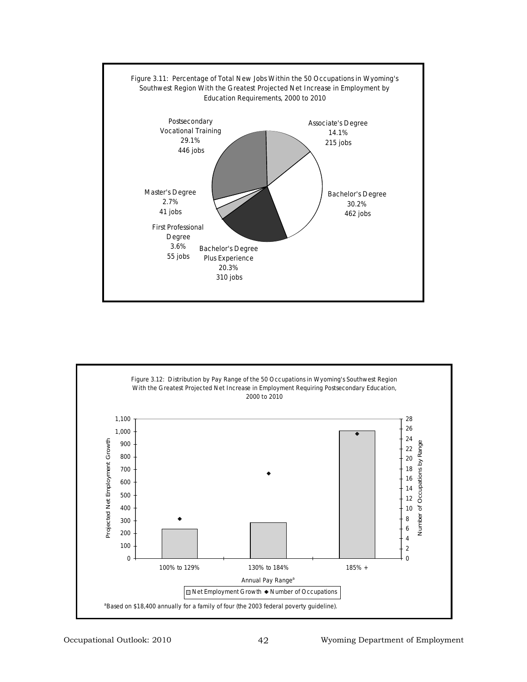

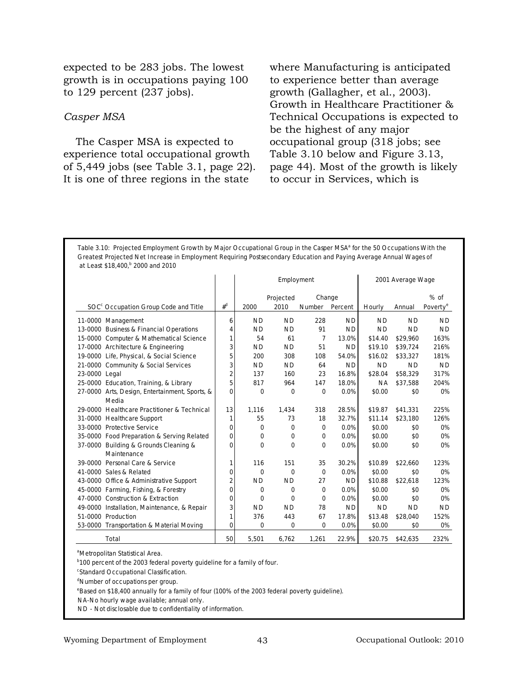expected to be 283 jobs. The lowest growth is in occupations paying 100 to 129 percent (237 jobs).

# *Casper MSA*

The Casper MSA is expected to experience total occupational growth of 5,449 jobs (see Table 3.1, page 22). It is one of three regions in the state

where Manufacturing is anticipated to experience better than average growth (Gallagher, et al., 2003). Growth in Healthcare Practitioner & Technical Occupations is expected to be the highest of any major occupational group (318 jobs; see Table 3.10 below and Figure 3.13, page 44). Most of the growth is likely to occur in Services, which is

Table 3.10: Projected Employment Growth by Major Occupational Group in the Casper MSA<sup>a</sup> for the 50 Occupations With the **Greatest Projected Net Increase in Employment Requiring Postsecondary Education and Paying Average Annual Wages of at Least \$18,400,b 2000 and 2010**

|                                                  |                |             | Employment |               |           |           | 2001 Average Wage |                      |
|--------------------------------------------------|----------------|-------------|------------|---------------|-----------|-----------|-------------------|----------------------|
|                                                  |                |             | Projected  | Change        |           |           |                   | $%$ of               |
| SOC <sup>c</sup> Occupation Group Code and Title | $#^d$          | 2000        | 2010       | <b>Number</b> | Percent   | Hourly    | Annual            | Poverty <sup>e</sup> |
| 11-0000 Management                               | 6              | <b>ND</b>   | <b>ND</b>  | 228           | <b>ND</b> | <b>ND</b> | <b>ND</b>         | <b>ND</b>            |
| 13-0000 Business & Financial Operations          | 4              | <b>ND</b>   | <b>ND</b>  | 91            | <b>ND</b> | <b>ND</b> | <b>ND</b>         | <b>ND</b>            |
| 15-0000 Computer & Mathematical Science          | 1              | 54          | 61         | 7             | 13.0%     | \$14.40   | \$29.960          | 163%                 |
| 17-0000 Architecture & Engineering               | 3              | <b>ND</b>   | <b>ND</b>  | 51            | <b>ND</b> | \$19.10   | \$39,724          | 216%                 |
| 19-0000 Life, Physical, & Social Science         | 5              | 200         | 308        | 108           | 54.0%     | \$16.02   | \$33,327          | 181%                 |
| 21-0000 Community & Social Services              | 3              | <b>ND</b>   | <b>ND</b>  | 64            | <b>ND</b> | <b>ND</b> | <b>ND</b>         | <b>ND</b>            |
| 23-0000 Legal                                    | 2              | 137         | 160        | 23            | 16.8%     | \$28.04   | \$58,329          | 317%                 |
| 25-0000 Education, Training, & Library           | 5              | 817         | 964        | 147           | 18.0%     | <b>NA</b> | \$37,588          | 204%                 |
| 27-0000 Arts, Design, Entertainment, Sports, &   | 0              | 0           | $\Omega$   | $\Omega$      | 0.0%      | \$0.00    | \$0               | 0%                   |
| Media                                            |                |             |            |               |           |           |                   |                      |
| 29-0000 Healthcare Practitioner & Technical      | 13             | 1,116       | 1,434      | 318           | 28.5%     | \$19.87   | \$41,331          | 225%                 |
| 31-0000 Healthcare Support                       | 1              | 55          | 73         | 18            | 32.7%     | \$11.14   | \$23,180          | 126%                 |
| 33-0000 Protective Service                       | $\Omega$       | 0           | $\Omega$   | 0             | 0.0%      | \$0.00    | \$0               | 0%                   |
| 35-0000 Food Preparation & Serving Related       | 0              | 0           | $\Omega$   | 0             | 0.0%      | \$0.00    | \$0               | 0%                   |
| 37-0000 Building & Grounds Cleaning &            | $\Omega$       | 0           | 0          | 0             | 0.0%      | \$0.00    | \$0               | 0%                   |
| Maintenance                                      |                |             |            |               |           |           |                   |                      |
| 39-0000 Personal Care & Service                  | 1 <sup>1</sup> | 116         | 151        | 35            | 30.2%     | \$10.89   | \$22,660          | 123%                 |
| 41-0000 Sales & Related                          | 0              | $\Omega$    | $\Omega$   | $\Omega$      | 0.0%      | \$0.00    | \$0               | 0%                   |
| 43-0000 Office & Administrative Support          | $\overline{2}$ | <b>ND</b>   | <b>ND</b>  | 27            | <b>ND</b> | \$10.88   | \$22,618          | 123%                 |
| 45-0000 Farming, Fishing, & Forestry             | 0              | $\mathbf 0$ | $\Omega$   | 0             | 0.0%      | \$0.00    | \$0               | 0%                   |
| 47-0000 Construction & Extraction                | 0              | $\Omega$    | $\Omega$   | $\Omega$      | 0.0%      | \$0.00    | \$0               | 0%                   |
| 49-0000 Installation, Maintenance, & Repair      | 3              | <b>ND</b>   | <b>ND</b>  | 78            | <b>ND</b> | <b>ND</b> | <b>ND</b>         | <b>ND</b>            |
| 51-0000 Production                               | 1              | 376         | 443        | 67            | 17.8%     | \$13.48   | \$28,040          | 152%                 |
| 53-0000 Transportation & Material Moving         | 0              | 0           | 0          | 0             | 0.0%      | \$0.00    | \$0               | 0%                   |
| <b>Total</b>                                     | 50             | 5,501       | 6.762      | 1.261         | 22.9%     | \$20.75   | \$42,635          | 232%                 |

a Metropolitan Statistical Area.

**b**100 percent of the 2003 federal poverty guideline for a family of four.

<sup>c</sup>Standard Occupational Classification.

<sup>d</sup>Number of occupations per group.

e Based on \$18,400 annually for a family of four (100% of the 2003 federal poverty guideline).

NA-No hourly wage available; annual only.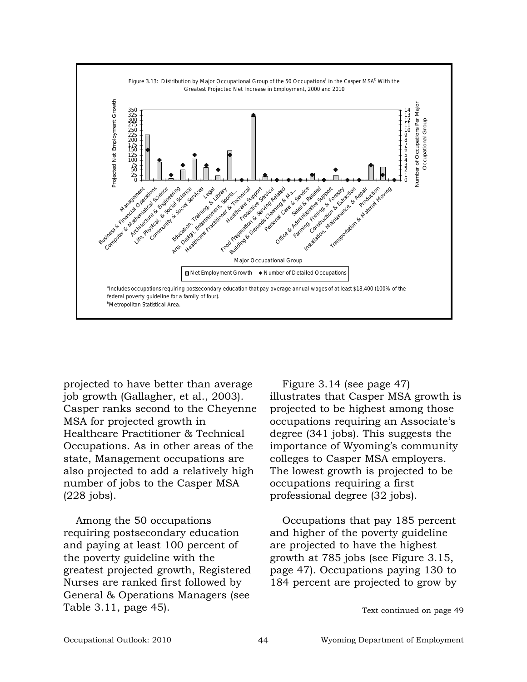

projected to have better than average job growth (Gallagher, et al., 2003). Casper ranks second to the Cheyenne MSA for projected growth in Healthcare Practitioner & Technical Occupations. As in other areas of the state, Management occupations are also projected to add a relatively high number of jobs to the Casper MSA (228 jobs).

Among the 50 occupations requiring postsecondary education and paying at least 100 percent of the poverty guideline with the greatest projected growth, Registered Nurses are ranked first followed by General & Operations Managers (see Table 3.11, page 45). Text continued on page 49

Figure 3.14 (see page 47) illustrates that Casper MSA growth is projected to be highest among those occupations requiring an Associate's degree (341 jobs). This suggests the importance of Wyoming's community colleges to Casper MSA employers. The lowest growth is projected to be occupations requiring a first professional degree (32 jobs).

Occupations that pay 185 percent and higher of the poverty guideline are projected to have the highest growth at 785 jobs (see Figure 3.15, page 47). Occupations paying 130 to 184 percent are projected to grow by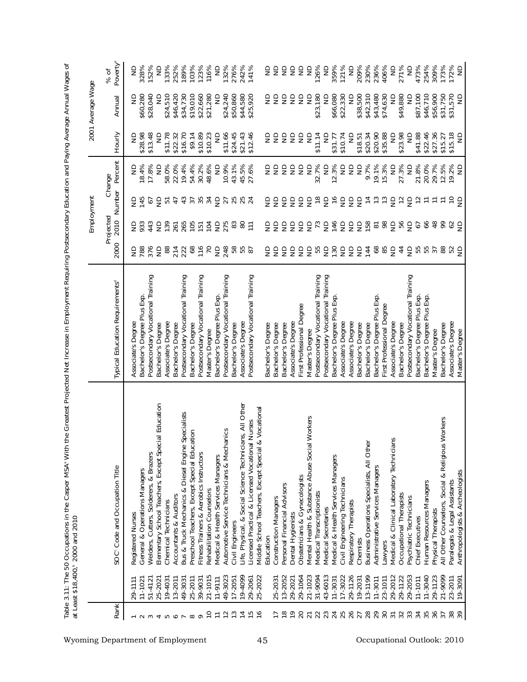|                 |                        | Table 3.11: The 50 Occupations in the Casper MSA° With the Greatest Projected Net Increase in Employment Requiring Postsecondary Education and Paying Average Annual Wages of<br>at Least \$18,400,* 2000 and 2010 |                                                   |                  |                             |                               |                                          |                         |                           |                      |
|-----------------|------------------------|--------------------------------------------------------------------------------------------------------------------------------------------------------------------------------------------------------------------|---------------------------------------------------|------------------|-----------------------------|-------------------------------|------------------------------------------|-------------------------|---------------------------|----------------------|
|                 |                        |                                                                                                                                                                                                                    |                                                   |                  |                             | Employment                    |                                          |                         | 2001 Average Wage         |                      |
| <b>Rank</b>     |                        | SOC <sup>c</sup> Code and Occupation Title                                                                                                                                                                         | Typical Education Requirements <sup>d</sup>       | 2000             | Projected<br>2010           |                               | Number Percent<br>Change                 | Hourly                  | Annual                    | Poverty®<br>% of     |
|                 | 29-1111                | Registered Nurses                                                                                                                                                                                                  | Associate's Degree                                | 9≋               | $\Xi$ $\tilde{z}$           | 을                             | $\frac{\Omega}{\Sigma}$                  | g                       | g                         | S                    |
|                 | $11 - 102$             | General & Operations Managers                                                                                                                                                                                      | Bachelor's Degree Plus Exp.                       |                  |                             | 145                           | 18.4%                                    | \$28.98                 | \$60,280                  | 328%                 |
| $\infty$        | $51 - 412$             | Welders, Cutters, Solderers, & Brazers                                                                                                                                                                             | Postsecondary Vocational Training                 |                  | 44 <sup>3</sup>             | 57                            | 17.8%                                    | \$13.48                 | \$28,040                  | 152%                 |
|                 | 25-202                 | Elementary School Teachers, Except Special Education                                                                                                                                                               | Bachelor's Degree                                 | $\frac{25}{25}$  | $\epsilon$                  | $\epsilon$                    | $\frac{1}{2}$                            | ₿                       | $\Xi$                     | $\frac{1}{2}$        |
| ഥ               | 19-403                 | Chemical Technicians                                                                                                                                                                                               | Associate's Degree                                | 88               | 139                         | 51                            | 58.0%                                    | \$11.78                 | \$24,510                  | 133%                 |
| ◡               | $13 - 2011$            | Accountants & Auditors                                                                                                                                                                                             | Bachelor's Degree                                 |                  |                             | 47                            | 22.0%                                    | \$22.32                 | \$46,420                  | 252%                 |
|                 | 49-3031                | Bus & Truck Mechanics & Diesel Engine Specialists                                                                                                                                                                  | Postsecondary Vocational Training                 | 214<br>223<br>68 | 2555                        | 4794                          | 19.4%                                    | \$16.70                 | \$34,730                  | 189%                 |
| $\infty$        | 25-2011                | Preschool Teachers, Except Special Education                                                                                                                                                                       | Bachelor's Degree                                 |                  |                             |                               | 54.4%                                    | \$9.14                  | \$19,010                  | 103%<br>123%<br>116% |
| $\circ$         | 39-9031                | Fitness Trainers & Aerobics Instructors                                                                                                                                                                            | Postsecondary Vocational Training                 | $\frac{27}{116}$ |                             |                               | 30.2%                                    | \$10.89                 | \$22,660                  |                      |
| $\overline{C}$  | 21-1015                | Rehabilitation Counselors                                                                                                                                                                                          | Master's Degree                                   |                  | 104                         |                               | 48.6%                                    | \$10.23                 | \$21,280                  |                      |
| $\overline{1}$  | $11 - 9111$            | Medical & Health Services Managers                                                                                                                                                                                 | Bachelor's Degree Plus Exp.                       | $\epsilon$       | 52385                       | $\epsilon$                    | $\frac{1}{2}$                            | $\frac{\Omega}{\Omega}$ | $\frac{\Omega}{\Omega}$   | $\epsilon$           |
| $\overline{12}$ | 49-3023                | Automotive Service Technicians & Mechanics                                                                                                                                                                         | Postsecondary Vocational Training                 | 248              |                             |                               | 10.9%                                    | \$11.66                 | \$24,240                  | 132%                 |
| $\frac{3}{2}$   | $17 - 2051$            | Civil Engineers                                                                                                                                                                                                    | Bachelor's Degree                                 |                  |                             |                               | 43.1%                                    | \$24.45                 | \$50,860                  | 276%                 |
| $\overline{4}$  | 19-4099                | Life, Physical, & Social Science Technicians, All Other                                                                                                                                                            | Associate's Degree                                | 855<br>85        |                             | 25<br>25<br>25<br>24          | 45.5%                                    | \$21.43                 | \$44,580                  | 242%                 |
|                 | 29-2061                | Licensed Practical & Licensed Vocational Nurses                                                                                                                                                                    | Postsecondary Vocational Training                 |                  |                             |                               | 27.6%                                    | \$12.46                 | \$25,920                  | 141%                 |
| $\frac{6}{2}$   | 25-2022                | & Vocational<br>Middle School Teachers, Except Special                                                                                                                                                             |                                                   |                  |                             |                               |                                          |                         |                           |                      |
|                 |                        | Education                                                                                                                                                                                                          | Bachelor's Degree                                 |                  | 용                           | 오오                            | ξŝ                                       | ξŝ                      | ŝ                         | 오오                   |
|                 | 25-2031                | <b>Construction Managers</b>                                                                                                                                                                                       | Bachelor's Degree                                 |                  |                             |                               |                                          |                         | ŝ                         |                      |
| $\frac{8}{1}$   | 13-2052                | Personal Financial Advisors                                                                                                                                                                                        | Bachelor's Degree                                 |                  |                             |                               | $\epsilon$                               | $\epsilon$              | $\epsilon$                | 555                  |
| $\frac{6}{1}$   | 29-2021                | Dental Hygienists                                                                                                                                                                                                  | Associate's Degree                                |                  |                             |                               | $\epsilon$                               |                         | g                         |                      |
| 20              | 29-1064                | Obstetricians & Gynecologists                                                                                                                                                                                      | First Professional Degree                         | 999999           | 3555%                       | 5555                          | $\epsilon$                               | esse                    | $\epsilon$                |                      |
| $\overline{21}$ | 21-1023                | Mental Health & Substance Abuse Social Workers                                                                                                                                                                     | Master's Degree                                   |                  |                             |                               | $\epsilon$                               |                         | $\frac{1}{2}$             | $\epsilon$           |
| 22              | 31-9094                | Medical Transcriptionists                                                                                                                                                                                          | Postsecondary Vocational Training                 | 55               |                             | $\frac{8}{10}$                | .7%<br>32.                               | \$11.14                 | \$23,180                  | 126%                 |
| 23              | 43-6013                | Medical Secretaries                                                                                                                                                                                                | Postsecondary Vocational Training                 |                  |                             | $\epsilon$                    | $\mathrel{\mathsf{S}}$                   | ₽                       | ₿                         | $\Xi$                |
| 24              | 17-3022<br>$11 - 3031$ | Medical & Health Services Managers<br>Civil Engineering Technicians                                                                                                                                                | Bachelor's Degree Plus Exp.<br>Associate's Degree | 525552           | 5 \$ 5 5 5 5 % % 5          | $\frac{6}{2}$                 | 3%<br>$\overline{z}$<br>$\overline{2}$ . | \$31.77<br>\$10.74      | \$66,080<br>\$22,330      | 359%<br>121%         |
|                 | 29-1126                | Respiratory Therapists                                                                                                                                                                                             | Associate's Degree                                |                  |                             |                               |                                          | $\frac{1}{2}$           | $\Xi$                     | $\epsilon$           |
| 25<br>26        | 19-2031                | Chemists                                                                                                                                                                                                           | Bachelor's Degree                                 |                  |                             | 555                           | 22                                       | \$18.51                 | \$38,500                  |                      |
| 28              | 13-1199                | Business Operations Specialists, All Other                                                                                                                                                                         | Bachelor's Degree                                 |                  |                             |                               | 9.7%                                     | \$20.34                 | \$42,310                  | 209%<br>230%         |
| 29              | $11 - 3011$            | Administrative Services Managers                                                                                                                                                                                   | Bachelor's Degree Plus Exp.                       |                  |                             | $z \approx 555$               | 19.1%                                    | \$20.90                 | \$43,480                  | 236%                 |
| 30              | 23-1011                | Lawyers                                                                                                                                                                                                            | First Professional Degree                         | 8 æ 5            |                             |                               | 15.3%                                    | \$35.88                 | \$74,630                  | 406%                 |
| $\overline{31}$ | 29-2012                | Medical & Clinical Laboratory Technicians                                                                                                                                                                          | Associate's Degree                                |                  |                             |                               | $\supseteq$                              | $\frac{\Omega}{\Omega}$ | $\frac{1}{2}$             | $\epsilon$           |
| 32              | 29-1122                | Occupational Therapists                                                                                                                                                                                            | Bachelor's Degree                                 | $\frac{4}{4}$    | es<br>S                     |                               | 27.3%                                    | \$23.98                 | \$49,880                  | 271%                 |
| 33              | 29-2053                | Psychiatric Technicians                                                                                                                                                                                            | Postsecondary Vocational Training                 | $\epsilon$       |                             |                               | $\mathrel{\mathop{\supseteq}}$           | $\frac{\Omega}{\Sigma}$ | $\frac{1}{2}$             | $\epsilon$           |
| 34              | $11 - 1011$            | Chief Executives                                                                                                                                                                                                   | Bachelor's Degree Plus Exp.                       | 55<br>55         | $\mathcal{L}_{\mathcal{O}}$ | $\tilde{c}$                   | 21.8%                                    | \$41.88                 | \$87,100                  | 473%<br>254%         |
| 35              | 11-3040                | Human Resources Managers                                                                                                                                                                                           | Bachelor's Degree Plus Exp.                       |                  | 66                          | $\overleftarrow{\phantom{a}}$ | 20.0%                                    | \$22.46                 | \$46,710                  |                      |
| 36              | 29-1123                | Physical Therapists                                                                                                                                                                                                | Master's Degree                                   | 37               | 48                          |                               | 29.7%                                    | \$27.36                 | \$56,900                  | 309%                 |
| $\overline{37}$ | 21-9099                | s Workers<br>All Other Counselors, Social & Religiou                                                                                                                                                               | Bachelor's Degree                                 | 88               | 99                          |                               | 12.5%                                    | \$15.27                 | \$31,750                  | 173%                 |
|                 | 23-2011<br>19-3091     | Anthropologists & Archeologists<br>Paralegals & Legal Assistants                                                                                                                                                   | Associate's Degree<br>Master's Degree             | 명 9              | 62<br>e                     | $E = 58$                      | 19.2%<br>$\epsilon$                      | \$15.18<br>S            | \$31,570<br>$\frac{1}{2}$ | 172%<br>ND           |
|                 |                        |                                                                                                                                                                                                                    |                                                   |                  |                             |                               |                                          |                         |                           |                      |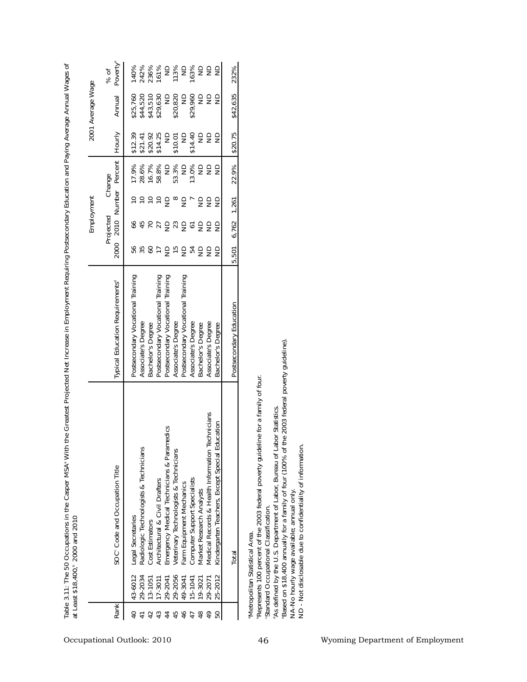|                                                                                                     |                                                                                                                           | Table 3.11: The 50 Occupations in the Casper MSA <sup>®</sup> Wit<br>at Least \$18,400, <sup>6</sup> 2000 and 2010                                                                                                                                                                                                                                                                                                                                    |                                                                                                                                                                                                                                                                                                         |                                                              | Employment                                                                          |                                                                                                                 |                                                                                                                             |                                                                                                                                         | h the Greatest Projected Net Increase in Employment Requiring Postsecondary Education and Paying Average Annual Wages of<br>2001 Average Wage |                                                                                       |
|-----------------------------------------------------------------------------------------------------|---------------------------------------------------------------------------------------------------------------------------|-------------------------------------------------------------------------------------------------------------------------------------------------------------------------------------------------------------------------------------------------------------------------------------------------------------------------------------------------------------------------------------------------------------------------------------------------------|---------------------------------------------------------------------------------------------------------------------------------------------------------------------------------------------------------------------------------------------------------------------------------------------------------|--------------------------------------------------------------|-------------------------------------------------------------------------------------|-----------------------------------------------------------------------------------------------------------------|-----------------------------------------------------------------------------------------------------------------------------|-----------------------------------------------------------------------------------------------------------------------------------------|-----------------------------------------------------------------------------------------------------------------------------------------------|---------------------------------------------------------------------------------------|
| Rank                                                                                                |                                                                                                                           | SOC <sup>c</sup> Code and Occupation Title                                                                                                                                                                                                                                                                                                                                                                                                            | <b>Typical Education Requirements®</b>                                                                                                                                                                                                                                                                  | 2000                                                         | Projected<br>2010                                                                   | Change<br>Number                                                                                                | Percent                                                                                                                     | Hourly                                                                                                                                  | Annual                                                                                                                                        | Poverty <sup>e</sup><br>% of                                                          |
| 43<br>45<br>46<br>$48$<br>$\frac{4}{9}$<br>$\overline{4}$<br>42<br>44<br>47<br>50<br>$\overline{4}$ | 29-2056<br>43-6012<br>29-2034<br>25-2012<br>13-1051<br>29-2041<br>$17 - 3011$<br>49-3041<br>29-2071<br>15-1041<br>19-3021 | Technicians<br>ducation<br>Emergency Medical Technicians & Paramedics<br>Radiologic Technologists & Technicians<br>Veterinary Technologists & Technicians<br>Kindergarten Teachers, Except Special E<br>Medical Records & Health Information<br>Computer Support Specialists<br>Architectural & Civil Drafters<br>Farm Equipment Mechanics<br>Market Research Analysts<br>Legal Secretaries<br>Cost Estimators                                        | Postsecondary Vocational Training<br>Postsecondary Vocational Training<br>Postsecondary Vocational Training<br>Postsecondary Vocational Training<br>Associate's Degree<br>Associate's Degree<br>Bachelor's Degree<br>Associate's Degree<br>Bachelor's Degree<br>Associate's Degree<br>Bachelor's Degree | <b>2525</b><br>$\frac{1}{2}$<br>$\frac{5}{2}$<br>등 꽃 등<br>as | $\overline{C}$<br>66<br>32<br>27<br>$\epsilon$<br>$\epsilon$<br>$\overline{6}$<br>ŝ | $\frac{1}{2}$<br>e e g<br>$\infty$<br>$\epsilon$<br>$\overline{a}$<br>$\frac{1}{2}$<br>$\epsilon$<br>$\epsilon$ | 53.3%<br>28.6%<br>16.7%<br>58.8%<br>13.0%<br>17.9%<br>$\infty$<br>$\frac{\Omega}{\Sigma}$<br>$\frac{\Omega}{\Omega}$<br>e g | \$14.40<br>\$14.25<br>$\supseteq$<br>$\Xi$<br>$\frac{\Omega}{\Omega}$<br>\$12.39<br>\$20.92<br>\$10.01<br>$\frac{1}{2}$<br>\$21.41<br>ŝ | \$29,960<br>\$43,510<br>\$29,630<br>\$20,820<br>\$25,760<br>\$44,520<br>$\Xi$<br>$\frac{1}{2}$<br>$\frac{\Omega}{\Omega}$<br>es               | 163%<br>242%<br>113%<br>ND<br>$\supseteq$<br>22<br>140%<br>236%<br>161%<br>$\epsilon$ |
|                                                                                                     |                                                                                                                           | Total                                                                                                                                                                                                                                                                                                                                                                                                                                                 | Postsecondary Education                                                                                                                                                                                                                                                                                 | 501<br>$\overline{a}$                                        | 6,762                                                                               | 1,261                                                                                                           | 22.9%                                                                                                                       | \$20.75                                                                                                                                 | \$42,635                                                                                                                                      | 232%                                                                                  |
|                                                                                                     |                                                                                                                           | Based on \$18,400 annually for a family of four (100% of the 2003 federal poverty guideline)<br>Represents 100 percent of the 2003 federal poverty guideline for a family of four.<br>'As defined by the U.S. Department of Labor, Bureau of Labor Statistics.<br>ND - Not disclosable due to confidentiality of information.<br>NA-No hourly wage available; annual only.<br>Standard Occupational Classification.<br>Metropolitan Statistical Area. |                                                                                                                                                                                                                                                                                                         |                                                              |                                                                                     |                                                                                                                 |                                                                                                                             |                                                                                                                                         |                                                                                                                                               |                                                                                       |
|                                                                                                     |                                                                                                                           |                                                                                                                                                                                                                                                                                                                                                                                                                                                       |                                                                                                                                                                                                                                                                                                         |                                                              |                                                                                     |                                                                                                                 |                                                                                                                             |                                                                                                                                         |                                                                                                                                               |                                                                                       |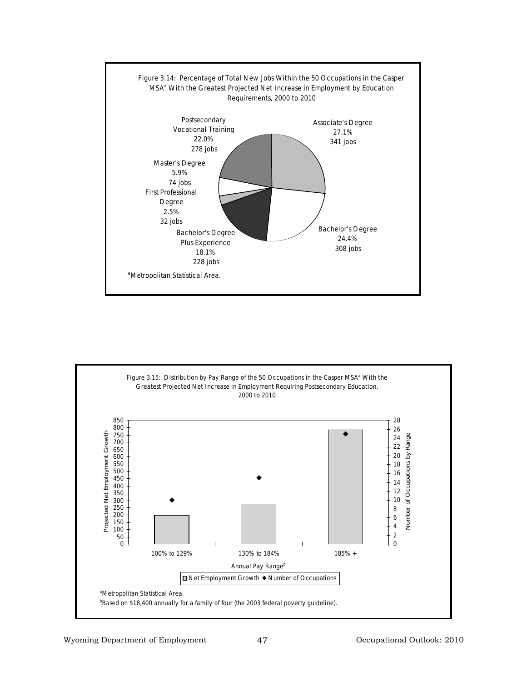

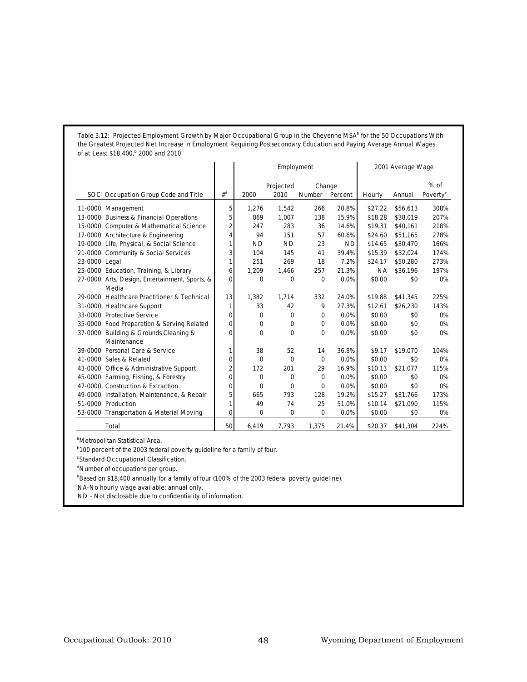Table 3.12: Projected Employment Growth by Major Occupational Group in the Cheyenne MSA<sup>a</sup> for the 50 Occupations With **the Greatest Projected Net Increase in Employment Requiring Postsecondary Education and Paying Average Annual Wages of at Least \$18,400,b 2000 and 2010**

|                                                  |                | Employment  |                   |                          |           | 2001 Average Wage |          |                                |
|--------------------------------------------------|----------------|-------------|-------------------|--------------------------|-----------|-------------------|----------|--------------------------------|
| SOC <sup>c</sup> Occupation Group Code and Title | $#^d$          | 2000        | Projected<br>2010 | Change<br>Number Percent |           | Hourly            | Annual   | $%$ of<br>Poverty <sup>e</sup> |
|                                                  |                |             |                   |                          |           |                   |          |                                |
| 11-0000 Management                               | 5              | 1,276       | 1,542             | 266                      | 20.8%     | \$27.22           | \$56,613 | 308%                           |
| 13-0000 Business & Financial Operations          | 5              | 869         | 1,007             | 138                      | 15.9%     | \$18.28           | \$38,019 | 207%                           |
| 15-0000 Computer & Mathematical Science          | $\overline{2}$ | 247         | 283               | 36                       | 14.6%     | \$19.31           | \$40,161 | 218%                           |
| 17-0000 Architecture & Engineering               | 4              | 94          | 151               | 57                       | 60.6%     | \$24.60           | \$51,165 | 278%                           |
| 19-0000 Life, Physical, & Social Science         | 1              | <b>ND</b>   | <b>ND</b>         | 23                       | <b>ND</b> | \$14.65           | \$30,470 | 166%                           |
| 21-0000 Community & Social Services              | 3              | 104         | 145               | 41                       | 39.4%     | \$15.39           | \$32,024 | 174%                           |
| 23-0000 Legal                                    | 1              | 251         | 269               | 18                       | 7.2%      | \$24.17           | \$50,280 | 273%                           |
| 25-0000 Education, Training, & Library           | 6              | 1,209       | 1,466             | 257                      | 21.3%     | <b>NA</b>         | \$36,196 | 197%                           |
| 27-0000 Arts, Design, Entertainment, Sports, &   | 0              | 0           | $\mathbf 0$       | $\mathbf 0$              | 0.0%      | \$0.00            | \$0      | 0%                             |
| Media                                            |                |             |                   |                          |           |                   |          |                                |
| 29-0000 Healthcare Practitioner & Technical      | 13             | 1,382       | 1.714             | 332                      | 24.0%     | \$19.88           | \$41,345 | 225%                           |
| 31-0000 Healthcare Support                       | 1              | 33          | 42                | 9                        | 27.3%     | \$12.61           | \$26,230 | 143%                           |
| 33-0000 Protective Service                       | 0              | $\mathbf 0$ | $\Omega$          | $\mathbf 0$              | 0.0%      | \$0.00            | \$0      | 0%                             |
| 35-0000 Food Preparation & Serving Related       | 0              | $\Omega$    | $\Omega$          | $\Omega$                 | 0.0%      | \$0.00            | \$0      | 0%                             |
| 37-0000 Building & Grounds Cleaning &            | 0              | $\mathbf 0$ | $\mathbf 0$       | $\Omega$                 | 0.0%      | \$0.00            | \$0      | 0%                             |
| Maintenance                                      |                |             |                   |                          |           |                   |          |                                |
| 39-0000 Personal Care & Service                  | 1              | 38          | 52                | 14                       | 36.8%     | \$9.17            | \$19,070 | 104%                           |
| 41-0000 Sales & Related                          | $\Omega$       | $\Omega$    | $\Omega$          | $\Omega$                 | 0.0%      | \$0.00            | \$0      | 0%                             |
| 43-0000 Office & Administrative Support          | $\overline{2}$ | 172         | 201               | 29                       | 16.9%     | \$10.13           | \$21,077 | 115%                           |
| 45-0000 Farming, Fishing, & Forestry             | $\Omega$       | 0           | 0                 | 0                        | 0.0%      | \$0.00            | \$0      | 0%                             |
| 47-0000 Construction & Extraction                | 0              | $\Omega$    | $\Omega$          | $\Omega$                 | 0.0%      | \$0.00            | \$0      | 0%                             |
| 49-0000 Installation, Maintenance, & Repair      | 5              | 665         | 793               | 128                      | 19.2%     | \$15.27           | \$31,766 | 173%                           |
| 51-0000 Production                               | 1              | 49          | 74                | 25                       | 51.0%     | \$10.14           | \$21,090 | 115%                           |
| 53-0000 Transportation & Material Moving         | 0              | 0           | $\mathbf 0$       | 0                        | 0.0%      | \$0.00            | \$0      | 0%                             |
| <b>Total</b>                                     | 50             | 6,419       | 7.793             | 1.375                    | 21.4%     | \$20.37           | \$41,304 | 224%                           |

<sup>a</sup>Metropolitan Statistical Area.

**b100 percent of the 2003 federal poverty guideline for a family of four.** 

c Standard Occupational Classification.

<sup>d</sup>Number of occupations per group.

e Based on \$18,400 annually for a family of four (100% of the 2003 federal poverty guideline).

NA-No hourly wage available; annual only.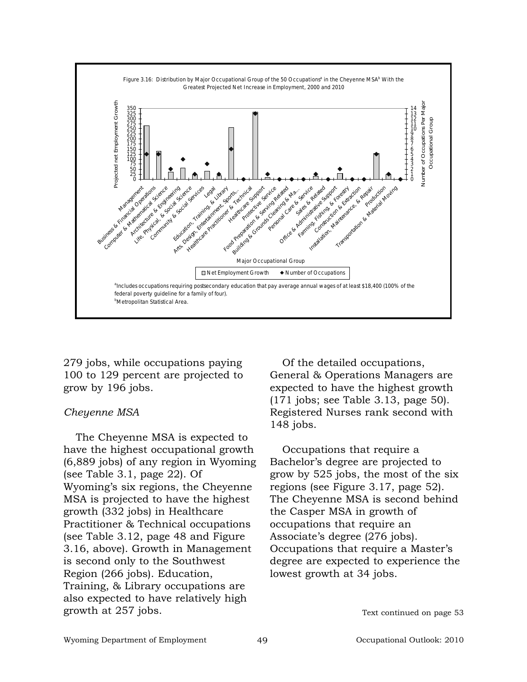

279 jobs, while occupations paying 100 to 129 percent are projected to grow by 196 jobs.

# *Cheyenne MSA*

The Cheyenne MSA is expected to have the highest occupational growth (6,889 jobs) of any region in Wyoming (see Table 3.1, page 22). Of Wyoming's six regions, the Cheyenne MSA is projected to have the highest growth (332 jobs) in Healthcare Practitioner & Technical occupations (see Table 3.12, page 48 and Figure 3.16, above). Growth in Management is second only to the Southwest Region (266 jobs). Education, Training, & Library occupations are also expected to have relatively high growth at 257 jobs.

Of the detailed occupations, General & Operations Managers are expected to have the highest growth (171 jobs; see Table 3.13, page 50). Registered Nurses rank second with 148 jobs.

Occupations that require a Bachelor's degree are projected to grow by 525 jobs, the most of the six regions (see Figure 3.17, page 52). The Cheyenne MSA is second behind the Casper MSA in growth of occupations that require an Associate's degree (276 jobs). Occupations that require a Master's degree are expected to experience the lowest growth at 34 jobs.

Text continued on page 53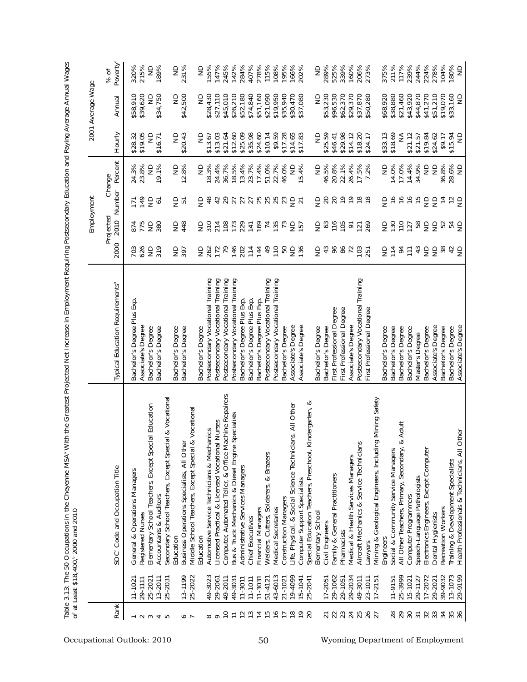| ֘֝֕                            |                        |
|--------------------------------|------------------------|
|                                |                        |
|                                |                        |
|                                |                        |
|                                |                        |
|                                |                        |
|                                |                        |
|                                |                        |
|                                |                        |
|                                |                        |
|                                |                        |
|                                |                        |
|                                |                        |
|                                |                        |
|                                |                        |
|                                |                        |
| I                              |                        |
|                                |                        |
|                                |                        |
| ---------                      |                        |
|                                |                        |
| :<br>ì<br>$\frac{1}{2}$        | את ההתה בני האת ה      |
| )<br>)<br>)                    | Ĩ<br>֚֚֚֝<br>֚֚֚<br>֚֝ |
| こうせい とんど トマッピ<br>$\frac{1}{2}$ | ;                      |
| 2<br>I                         | $\overline{a}$         |

|                            |                                  |                                                                                                            |                                                                           |                   | Employment            |                                           |                         |                                               | 2001 Average Wage                     |                                 |
|----------------------------|----------------------------------|------------------------------------------------------------------------------------------------------------|---------------------------------------------------------------------------|-------------------|-----------------------|-------------------------------------------|-------------------------|-----------------------------------------------|---------------------------------------|---------------------------------|
| Rank                       |                                  | SOC <sup>c</sup> Code and Occupation Title                                                                 | Typical Education Requirements <sup>d</sup>                               | 2000              | Projected             | 2010 Number                               | Percent<br>Change       | Hourly                                        | Annual                                | Poverty <sup>®</sup><br>% of    |
| $\sim$ $\sim$              | 25-2021<br>29-1111<br>$11 - 102$ | Elementary School Teachers, Except Special Education<br>General & Operations Managers<br>Registered Nurses | Bachelor's Degree Plus Exp<br>Associate's Degree<br>Bachelor's Degree     | 703<br>626        | 874<br>15<br>16<br>16 | 149<br>$\epsilon$<br>$\overline{1}$       | 24.3%<br>23.8%<br>$\Xi$ | \$19.05<br>\$28.32<br>$\frac{\Omega}{\Omega}$ | \$58,910<br>\$39,620<br>$\frac{1}{2}$ | 320%<br>215%<br>$\frac{1}{2}$   |
| 40                         | 13-2011<br>25-203                | Secondary School Teachers, Except Special & Vocational<br>Accountants & Auditors                           | Bachelor's Degree                                                         | $2\frac{6}{2}$    | 380                   | $\overline{6}$                            | 19.1%                   | \$16.71                                       | \$34,750                              | 189%                            |
|                            |                                  | Education                                                                                                  | Bachelor's Degree                                                         | $\frac{56}{25}$   | 248                   | $\frac{1}{2}$                             | $\frac{\Omega}{\Sigma}$ | $\frac{\Omega}{\Sigma}$                       | g                                     | $\frac{1}{2}$                   |
| J o                        | 13-1199<br>25-2022               | & Vocationa<br>Business Operations Specialists, All Other<br>Middle School Teachers, Except Special        | Bachelor's Degree                                                         |                   |                       | ら                                         | 12.8%                   | \$20.43                                       | \$42,500                              | 231%                            |
|                            |                                  | Education                                                                                                  | Bachelor's Degree                                                         |                   | 을 있                   | $\frac{1}{2}$                             | $\frac{\Omega}{\Sigma}$ | $\frac{\mathsf{D}}{\mathsf{D}}$               | ₿                                     | g                               |
| 8                          | 49-3023                          | Automotive Service Technicians & Mechanics                                                                 | Postsecondary Vocational Training                                         | 585<br>585        |                       | 48                                        | 18.3%                   | \$13.67                                       | \$28,430                              | 155%                            |
| $\overline{C}$<br>$\sigma$ | 29-2061<br>49-2011               | Computer, Automated Teller, & Office Machine Repairers<br>Licensed Practical & Licensed Vocational Nurses  | Postsecondary Vocational Training<br>Training<br>Postsecondary Vocational | 79                | 214<br>108            | 42                                        | 36.7%<br>24.4%          | \$13.03<br>\$21.64                            | \$27,110<br>\$45,010                  | 147%                            |
| $\overline{a}$             | 49-303                           | Bus & Truck Mechanics & Diesel Engine Specialists                                                          | Postsecondary Vocational Training                                         |                   |                       | 27<br>27                                  | 18.5%                   | \$12.60                                       | \$26,210                              | 245%<br>142%                    |
| $\frac{1}{2}$              | $11 - 3011$                      | Administrative Services Managers                                                                           | Bachelor's Degree Plus Exp.                                               | 146               | <b>173</b><br>229     |                                           | 13.4%                   | \$25.09                                       | \$52,180                              | 284%                            |
| $\frac{1}{2}$              | $11 - 1011$                      | Chief Executives                                                                                           | Bachelor's Degree Plus Exp.                                               | $\frac{14}{14}$   | 141                   | 25553                                     | 23.7%                   | \$35.98                                       | \$74,840                              | 407%                            |
| 750                        | $11 - 3031$                      | Financial Managers                                                                                         | Bachelor's Degree Plus Exp.                                               |                   | 169                   |                                           | 17.4%                   | \$24.60                                       | \$51,160                              | 278%                            |
|                            | $51 - 4121$                      | Welders, Cutters, Solderers, & Brazers                                                                     | Postsecondary Vocational Training                                         | $\frac{1}{6}$     |                       |                                           | 51.0%                   | \$10.14                                       | \$21,090                              | 115%                            |
|                            | 43-6013                          | Medical Secretaries                                                                                        | Postsecondary Vocational Training                                         | $\frac{1}{10}$    | $780$<br>$752$        |                                           | 22.7%                   | \$9.59                                        | \$19,950                              | 108%                            |
| $\overline{1}$             | 21-1021                          | <b>Construction Managers</b>                                                                               | Bachelor's Degree                                                         | 50                |                       |                                           | 46.0%                   | \$17.28                                       | \$35,940                              | 195%                            |
| $\frac{8}{10}$             | 19-4099                          | Life, Physical, & Social Science Technicians, All Other                                                    | Associate's Degree                                                        | 을                 | $\epsilon$            | $9\overline{5}$                           | $\frac{1}{2}$           | \$14.65                                       | \$30,470                              | 166%                            |
| $\overline{1}$<br>20       | 15-1041                          | Special Education Teachers, Preschool<br>Computer Support Specialists                                      | Associate's Degree                                                        | 136               | <u>157</u>            |                                           | 15.4%                   | \$17.83                                       | \$37,080                              | 202%                            |
|                            | 25-2041                          | Kindergarten, &<br>Elementary School                                                                       | Bachelor's Degree                                                         | $\frac{1}{2}$     | $\frac{1}{2}$         |                                           | $\frac{1}{2}$           | $\frac{1}{2}$                                 | $\frac{\Omega}{\Sigma}$               | $\frac{1}{2}$                   |
| $\overline{2}$             | 17-2051                          | Civil Engineers                                                                                            | Bachelor's Degree                                                         | $43$              | 63                    | 98                                        | 46.5%                   | \$25.59                                       | \$53,230                              | 289%                            |
|                            | 29-1062                          | Family & General Practitioners                                                                             | First Professional Degree                                                 | 96                |                       |                                           | 20.8%                   | \$46.41                                       | \$96,530                              |                                 |
| 23                         | 29-1051                          | Pharmacists                                                                                                | First Professional Degree                                                 | $86$              | 105                   | 20                                        | 22.1%                   | \$29.98                                       | \$62,370                              | 525%<br>339%                    |
| 24                         | 29-2034                          | Medical & Health Services Managers                                                                         | Associate's Degree                                                        | 72                | $\overline{6}$        | $\overline{1}$                            | 26.4%                   | \$14.12                                       | \$29,370                              | 160%                            |
| 25                         | 49-3011                          | S<br>Aircraft Mechanics & Service Technician                                                               | Postsecondary Vocational Training                                         | $\frac{103}{251}$ | $\overline{121}$      | $\frac{8}{10}$                            | 17.5%                   | \$18.20                                       | \$37,870                              | 206%                            |
| 26                         | 23-1011<br>$17 - 2151$           | ng Mining Safety<br>Mining & Geological Engineers, Includi<br>awyers                                       | First Professional Degree                                                 |                   | 269                   | $\frac{8}{10}$                            | 7.2%                    | \$24.17                                       | \$50,280                              | 273%                            |
|                            |                                  | Engineers                                                                                                  | Bachelor's Degree                                                         |                   | $\epsilon$            | $\epsilon$                                | $\frac{\Omega}{\Sigma}$ |                                               | \$68,920                              | 375%                            |
|                            | $11 - 9151$                      | Social & Community Service Managers                                                                        | Bachelor's Degree                                                         | 우호                | 130                   | $\frac{6}{2}$                             | 14.0%                   | \$33.13<br>\$18.69                            | \$38,880                              | 211%                            |
| <b>282</b>                 | 25-3999                          | & Adult<br>All Other Teachers, Primary, Secondary,                                                         | Bachelor's Degree                                                         | $\frac{4}{5}$     |                       |                                           | 17.0%                   | ≨                                             | \$21,460                              | 117%                            |
|                            | 15-1021                          | Computer Programmers                                                                                       | Bachelor's Degree                                                         |                   |                       | $\frac{1}{6}$ $\frac{1}{6}$ $\frac{1}{6}$ | 14.4%                   | \$21.12                                       | \$43,920                              | 239%                            |
| $\overline{3}$             | 29-1127                          | Speech-Language Pathologists                                                                               | Master's Degree                                                           | 43                |                       |                                           | 34.9%                   | \$21.57                                       | \$44,870                              | 244%                            |
| 32                         | 17-2072                          | Electronics Engineers, Except Computer                                                                     | Bachelor's Degree                                                         | es                | Ezwaa                 | es                                        | $\frac{\Omega}{\Omega}$ | \$19.84                                       | \$41,270                              | 224%                            |
| 33                         | 29-2021                          | Dental Hygienists                                                                                          | Associate's Degree                                                        |                   |                       |                                           | $\frac{1}{2}$           | \$24.62                                       | \$51,210                              | 278%                            |
| 34                         | 39-9032                          | Recreation Workers                                                                                         | Bachelor's Degree                                                         | $38\,$            | 52                    |                                           | 36.8%                   | \$9.17                                        | \$19,070                              | 104%                            |
| 35<br>36                   | 13-1073<br>29-9199               | Other<br>Health Professionals & Technicians, All<br><b>Training &amp; Development Specialists</b>          | Associate's Degree<br>Bachelor's Degree                                   | 49                | 정 금                   | 729                                       | 28.6%<br>$\frac{1}{2}$  | \$15.94<br>$\frac{\Omega}{\Sigma}$            | \$33,160<br>$\frac{\Omega}{\Sigma}$   | 180%<br>$\frac{\Omega}{\Sigma}$ |
|                            |                                  |                                                                                                            |                                                                           |                   |                       |                                           |                         |                                               |                                       |                                 |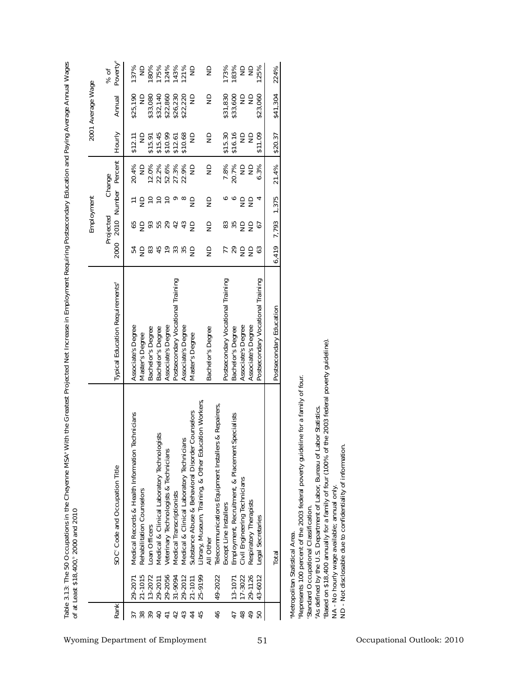|                   | Poverty <sup>®</sup><br>% of                | 125%<br>180%<br>175%<br>124%<br>143%<br>121%<br>173%<br>183%<br>ND<br>$\mathrel{\mathop{\boxdot}}$<br>137%<br>$\frac{1}{2}$<br>$\Xi$<br>$\frac{1}{2}$                                                                                                                                                                                                                                                                                                                                                                                                                                                                    | 224%                    |                                                                                                                                                                                                                                                                                                                                                                                                                                                          |  |
|-------------------|---------------------------------------------|--------------------------------------------------------------------------------------------------------------------------------------------------------------------------------------------------------------------------------------------------------------------------------------------------------------------------------------------------------------------------------------------------------------------------------------------------------------------------------------------------------------------------------------------------------------------------------------------------------------------------|-------------------------|----------------------------------------------------------------------------------------------------------------------------------------------------------------------------------------------------------------------------------------------------------------------------------------------------------------------------------------------------------------------------------------------------------------------------------------------------------|--|
| 2001 Average Wage | Annual                                      | \$22,860<br>\$31,830<br>\$33,080<br>\$32,140<br>\$26,230<br>\$22,220<br>\$33,600<br>\$23,060<br>\$25,190<br>$\frac{1}{2}$<br>$\frac{1}{2}$<br>$\frac{1}{2}$<br>$\frac{1}{2}$<br>$\frac{1}{2}$                                                                                                                                                                                                                                                                                                                                                                                                                            | \$41,304                |                                                                                                                                                                                                                                                                                                                                                                                                                                                          |  |
|                   | Hourly                                      | \$15.30<br>\$16.16<br>\$15.45<br>\$10.99<br>$\frac{\Omega}{\Sigma}$<br>\$11.09<br>\$12.61<br>\$10.68<br>$\frac{\Omega}{\Sigma}$<br>$\frac{1}{2}$<br>$\frac{1}{2}$<br>$\frac{1}{2}$<br>\$15.91<br>\$12.11                                                                                                                                                                                                                                                                                                                                                                                                                 | \$20.37                 |                                                                                                                                                                                                                                                                                                                                                                                                                                                          |  |
|                   | Percent<br>Change                           | 22.2%<br>52.6%<br>27.3%<br>22.9%<br>7.8%<br>20.7%<br>12.0%<br>$\frac{1}{2}$<br>$\frac{\Omega}{\Sigma}$<br>20.4%<br>ND<br>$\frac{1}{2}$<br>6.3%<br>$\frac{1}{2}$                                                                                                                                                                                                                                                                                                                                                                                                                                                          | 21.4%                   |                                                                                                                                                                                                                                                                                                                                                                                                                                                          |  |
| Employment        | Number                                      | 두 을 은 은 은 ㅇ ㅇ 을<br>००<br>$\epsilon$<br>$\frac{1}{2}$<br>4<br>$\frac{1}{2}$                                                                                                                                                                                                                                                                                                                                                                                                                                                                                                                                               | 375<br>$\overline{ }$   |                                                                                                                                                                                                                                                                                                                                                                                                                                                          |  |
|                   | Projected<br>2010                           | <b>9559</b><br>$\frac{25}{25}$<br>69<br>42<br>43<br>$\frac{1}{2}$<br>67                                                                                                                                                                                                                                                                                                                                                                                                                                                                                                                                                  | 7,793                   |                                                                                                                                                                                                                                                                                                                                                                                                                                                          |  |
|                   | 2000                                        | $83\,$<br>45<br>33<br><b>zsas</b><br>63<br>정 동<br>₩₿<br>$\frac{1}{2}$                                                                                                                                                                                                                                                                                                                                                                                                                                                                                                                                                    | 419<br>تم               |                                                                                                                                                                                                                                                                                                                                                                                                                                                          |  |
|                   | Typical Education Requirements <sup>d</sup> | Postsecondary Vocational Training<br>Postsecondary Vocational Training<br>Associate's Degree<br>Postsecondary Vocational Training<br>Associate's Degree<br>Associate's Degree<br>Associate's Degree<br>Associate's Degree<br>Bachelor's Degree<br>Bachelor's Degree<br>Bachelor's Degree<br>Bachelor's Degree<br>Master's Degree<br>Master's Degree                                                                                                                                                                                                                                                                      | Postsecondary Education |                                                                                                                                                                                                                                                                                                                                                                                                                                                          |  |
|                   | SOC <sup>c</sup> Code and Occupation Title  | Library, Museum, Training, & Other Education Workers<br>Telecommunications Equipment Installers & Repairers<br>Counselors<br>Technicians<br>Specialists<br>Medical & Clinical Laboratory Technologists<br>Medical & Clinical Laboratory Technicians<br>Substance Abuse & Behavioral Disorder<br>Employment, Recruitment, & Placement<br>Veterinary Technologists & Technicians<br>Medical Records & Health Information<br>Civil Engineering Technicians<br>Rehabilitation Counselors<br>Medical Transcriptionists<br>Respiratory Therapists<br>Except Line Installers<br>Legal Secretaries<br>Loan Officers<br>All Other | Total                   | the 2003 federal poverty guideline)<br>Pepresents 100 percent of the 2003 federal poverty guideline for a family of four.<br>As defined by the U.S. Department of Labor, Bureau of Labor Statistics.<br>ND - Not disclosable due to confidentiality of information<br>Based on \$18,400 annually for a family of four (100% of<br>NA - No hourly wage available; annual only.<br>Standard Occupational Classification.<br>Metropolitan Statistical Area. |  |
|                   |                                             | 21-1015<br>29-2056<br>31-9094<br>29-2012<br>25-9199<br>49-2022<br>17-3022<br>29-1126<br>43-6012<br>13-2072<br>29-2011<br>21-1011<br>13-1071<br>29-207                                                                                                                                                                                                                                                                                                                                                                                                                                                                    |                         |                                                                                                                                                                                                                                                                                                                                                                                                                                                          |  |
|                   | <b>Rank</b>                                 | 39<br>$\overline{40}$<br>48<br>$\frac{4}{9}$<br>$38$<br>42<br>43<br>44<br>45<br>46<br>50<br>$\overline{4}$<br>47<br>57                                                                                                                                                                                                                                                                                                                                                                                                                                                                                                   |                         |                                                                                                                                                                                                                                                                                                                                                                                                                                                          |  |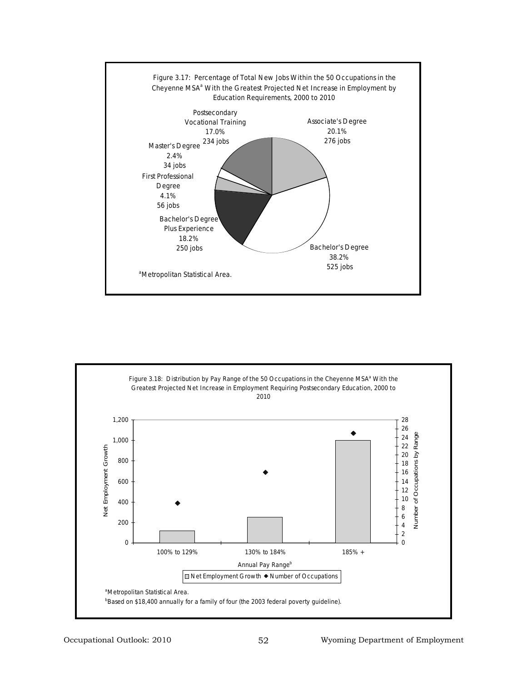

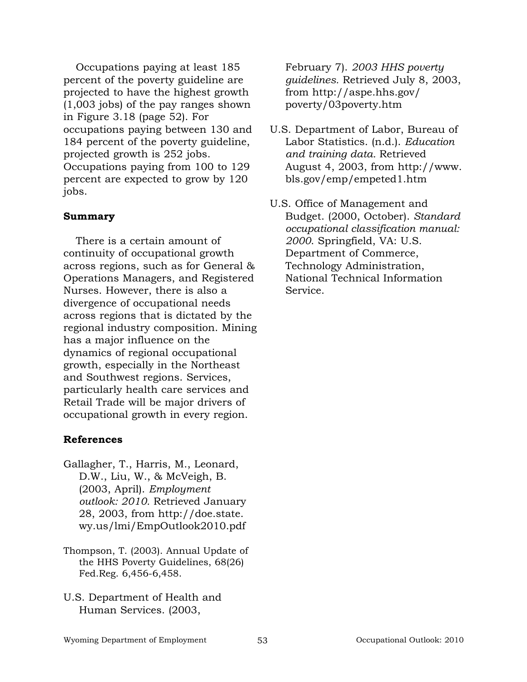Occupations paying at least 185 percent of the poverty guideline are projected to have the highest growth (1,003 jobs) of the pay ranges shown in Figure 3.18 (page 52). For occupations paying between 130 and 184 percent of the poverty guideline, projected growth is 252 jobs. Occupations paying from 100 to 129 percent are expected to grow by 120 jobs.

# **Summary**

There is a certain amount of continuity of occupational growth across regions, such as for General & Operations Managers, and Registered Nurses. However, there is also a divergence of occupational needs across regions that is dictated by the regional industry composition. Mining has a major influence on the dynamics of regional occupational growth, especially in the Northeast and Southwest regions. Services, particularly health care services and Retail Trade will be major drivers of occupational growth in every region.

# **References**

- Gallagher, T., Harris, M., Leonard, D.W., Liu, W., & McVeigh, B. (2003, April). *Employment outlook: 2010.* Retrieved January 28, 2003, from http://doe.state. wy.us/lmi/EmpOutlook2010.pdf
- Thompson, T. (2003). Annual Update of the HHS Poverty Guidelines, 68(26) Fed.Reg. 6,456-6,458.
- U.S. Department of Health and Human Services. (2003,

February 7). *2003 HHS poverty guidelines.* Retrieved July 8, 2003, from http://aspe.hhs.gov/ poverty/03poverty.htm

- U.S. Department of Labor, Bureau of Labor Statistics. (n.d.). *Education and training data.* Retrieved August 4, 2003, from http://www. bls.gov/emp/empeted1.htm
- U.S. Office of Management and Budget. (2000, October). *Standard occupational classification manual: 2000*. Springfield, VA: U.S. Department of Commerce, Technology Administration, National Technical Information Service.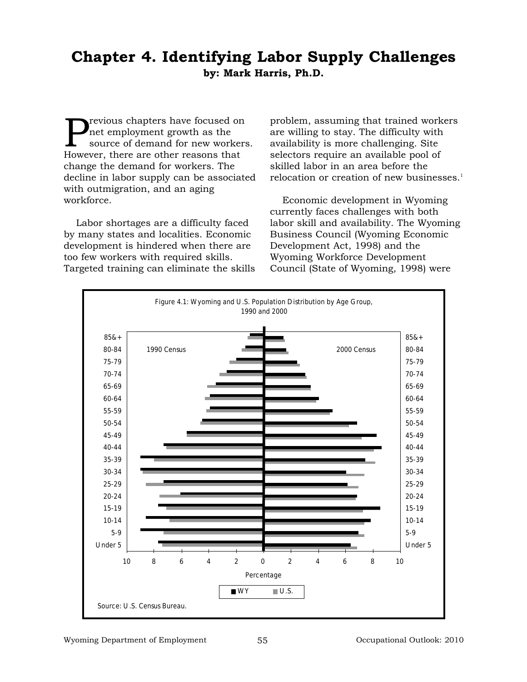# **Chapter 4. Identifying Labor Supply Challenges by: Mark Harris, Ph.D.**

revious chapters have focused on net employment growth as the source of demand for new workers. However, there are other reasons that change the demand for workers. The decline in labor supply can be associated with outmigration, and an aging workforce.

Labor shortages are a difficulty faced by many states and localities. Economic development is hindered when there are too few workers with required skills. Targeted training can eliminate the skills problem, assuming that trained workers are willing to stay. The difficulty with availability is more challenging. Site selectors require an available pool of skilled labor in an area before the relocation or creation of new businesses. $<sup>1</sup>$ </sup>

Economic development in Wyoming currently faces challenges with both labor skill and availability. The Wyoming Business Council (Wyoming Economic Development Act, 1998) and the Wyoming Workforce Development Council (State of Wyoming, 1998) were

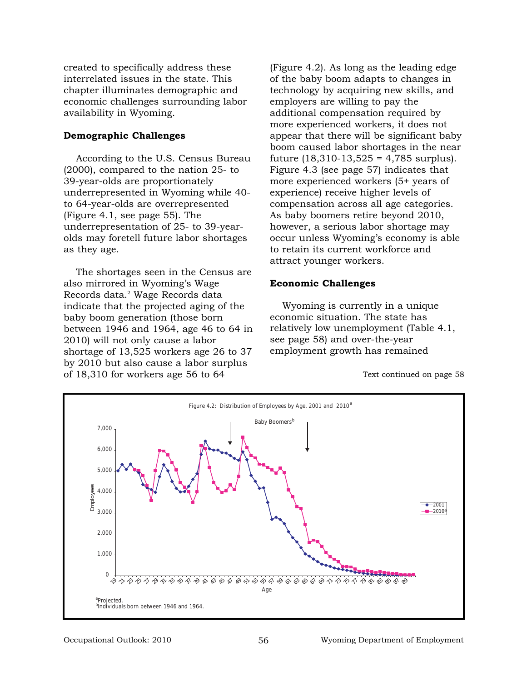created to specifically address these interrelated issues in the state. This chapter illuminates demographic and economic challenges surrounding labor availability in Wyoming.

#### **Demographic Challenges**

According to the U.S. Census Bureau (2000), compared to the nation 25- to 39-year-olds are proportionately underrepresented in Wyoming while 40 to 64-year-olds are overrepresented (Figure 4.1, see page 55). The underrepresentation of 25- to 39-yearolds may foretell future labor shortages as they age.

The shortages seen in the Census are also mirrored in Wyoming's Wage Records data.<sup>2</sup> Wage Records data indicate that the projected aging of the baby boom generation (those born between 1946 and 1964, age 46 to 64 in 2010) will not only cause a labor shortage of 13,525 workers age 26 to 37 by 2010 but also cause a labor surplus of 18,310 for workers age 56 to 64

(Figure 4.2). As long as the leading edge of the baby boom adapts to changes in technology by acquiring new skills, and employers are willing to pay the additional compensation required by more experienced workers, it does not appear that there will be significant baby boom caused labor shortages in the near future  $(18,310-13,525 = 4,785$  surplus). Figure 4.3 (see page 57) indicates that more experienced workers (5+ years of experience) receive higher levels of compensation across all age categories. As baby boomers retire beyond 2010, however, a serious labor shortage may occur unless Wyoming's economy is able to retain its current workforce and attract younger workers.

#### **Economic Challenges**

Wyoming is currently in a unique economic situation. The state has relatively low unemployment (Table 4.1, see page 58) and over-the-year employment growth has remained

Text continued on page 58

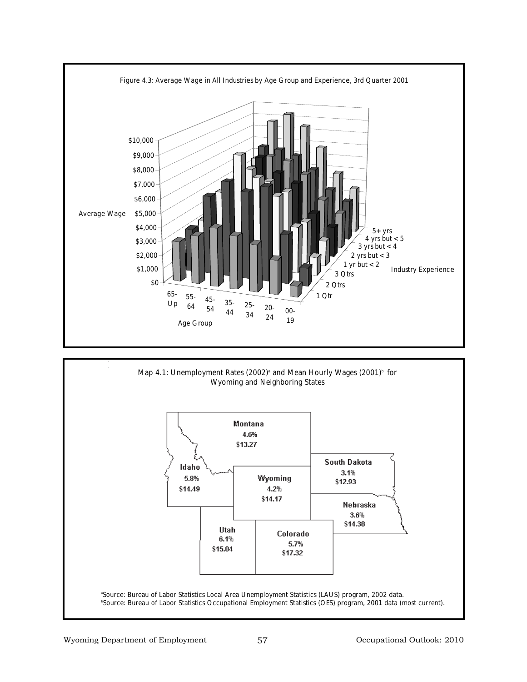



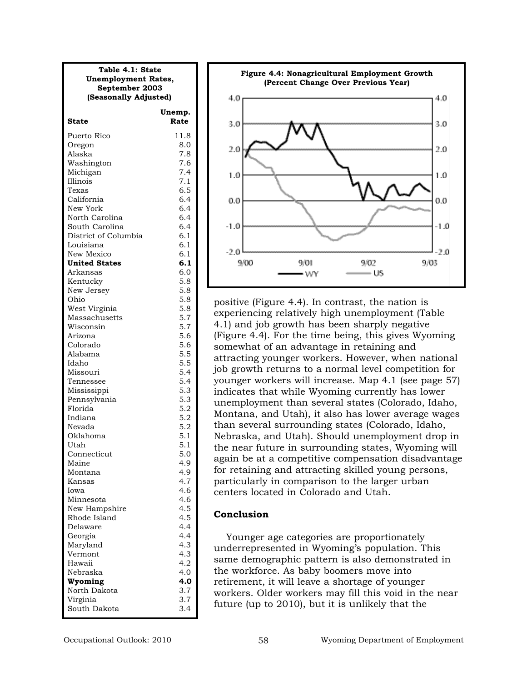| Table 4.1: State<br><b>Unemployment Rates,</b><br>September 2003 |                |
|------------------------------------------------------------------|----------------|
| (Seasonally Adjusted)                                            |                |
| State                                                            | Unemp.<br>Rate |
| Puerto Rico                                                      | 11.8           |
| Oregon                                                           | 8.0            |
| Alaska                                                           | 7.8            |
| Washington                                                       | 7.6            |
| Michigan                                                         | 7.4            |
| Illinois                                                         | 7.1            |
| Texas                                                            | 6.5            |
| California                                                       | 6.4            |
| New York                                                         | 6.4            |
| North Carolina                                                   | 6.4            |
| South Carolina                                                   | 6.4            |
| District of Columbia                                             | 6.1            |
| Louisiana                                                        | 6.1            |
| New Mexico                                                       | 6.1            |
| <b>United States</b>                                             | 6.1            |
| Arkansas                                                         | 6.0            |
| Kentucky                                                         | 5.8            |
| New Jersey                                                       | 5.8            |
| Ohio<br>West Virginia                                            | 5.8            |
| Massachusetts                                                    | 5.8<br>5.7     |
| Wisconsin                                                        | 5.7            |
| Arizona                                                          | 5.6            |
| Colorado                                                         | 5.6            |
| Alabama                                                          | 5.5            |
| Idaho                                                            | 5.5            |
| Missouri                                                         | 5.4            |
| Tennessee                                                        | 5.4            |
| Mississippi                                                      | 5.3            |
| Pennsylvania                                                     | 5.3            |
| Florida                                                          | 5.2            |
| Indiana                                                          | 5.2            |
| Nevada                                                           | 5.2            |
| Oklahoma                                                         | 5.1            |
| Utah                                                             | 5.1            |
| Connecticut                                                      | 5.0            |
| Maine                                                            | 4.9            |
| Montana                                                          | 4.9            |
| Kansas<br>Iowa                                                   | 4.7            |
| Minnesota                                                        | 4.6<br>4.6     |
| New Hampshire                                                    | 4.5            |
| Rhode Island                                                     | 4.5            |
| Delaware                                                         | 4.4            |
| Georgia                                                          | 4.4            |
| Maryland                                                         | 4.3            |
| Vermont                                                          | 4.3            |
| Hawaii                                                           | 4.2            |
| Nebraska                                                         | 4.0            |
| Wyoming                                                          | 4.0            |
| North Dakota                                                     | 3.7            |
| Virginia                                                         | 3.7            |
| South Dakota                                                     | 3.4            |



positive (Figure 4.4). In contrast, the nation is experiencing relatively high unemployment (Table 4.1) and job growth has been sharply negative (Figure 4.4). For the time being, this gives Wyoming somewhat of an advantage in retaining and attracting younger workers. However, when national job growth returns to a normal level competition for younger workers will increase. Map 4.1 (see page 57) indicates that while Wyoming currently has lower unemployment than several states (Colorado, Idaho, Montana, and Utah), it also has lower average wages than several surrounding states (Colorado, Idaho, Nebraska, and Utah). Should unemployment drop in the near future in surrounding states, Wyoming will again be at a competitive compensation disadvantage for retaining and attracting skilled young persons, particularly in comparison to the larger urban centers located in Colorado and Utah.

#### **Conclusion**

Younger age categories are proportionately underrepresented in Wyoming's population. This same demographic pattern is also demonstrated in the workforce. As baby boomers move into retirement, it will leave a shortage of younger workers. Older workers may fill this void in the near future (up to 2010), but it is unlikely that the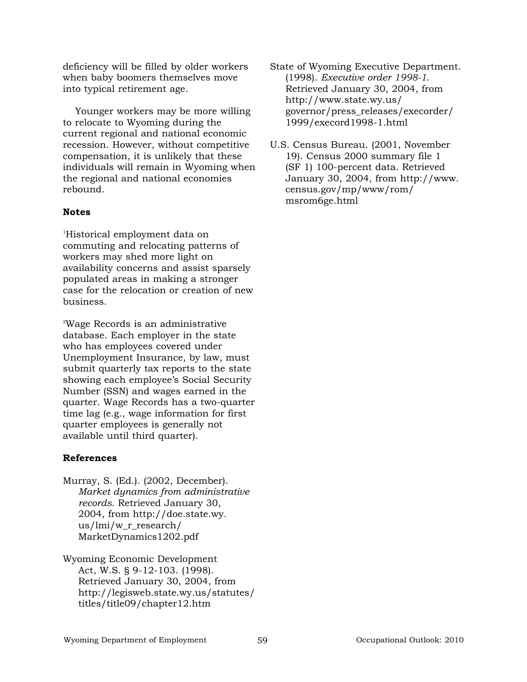deficiency will be filled by older workers when baby boomers themselves move into typical retirement age.

Younger workers may be more willing to relocate to Wyoming during the current regional and national economic recession. However, without competitive compensation, it is unlikely that these individuals will remain in Wyoming when the regional and national economies rebound.

#### **Notes**

1 Historical employment data on commuting and relocating patterns of workers may shed more light on availability concerns and assist sparsely populated areas in making a stronger case for the relocation or creation of new business.

2 Wage Records is an administrative database. Each employer in the state who has employees covered under Unemployment Insurance, by law, must submit quarterly tax reports to the state showing each employee's Social Security Number (SSN) and wages earned in the quarter. Wage Records has a two-quarter time lag (e.g., wage information for first quarter employees is generally not available until third quarter).

# **References**

Murray, S. (Ed.). (2002, December). *Market dynamics from administrative records.* Retrieved January 30, 2004, from http://doe.state.wy. us/lmi/w\_r\_research/ MarketDynamics1202.pdf

Wyoming Economic Development Act, W.S. § 9-12-103. (1998). Retrieved January 30, 2004, from http://legisweb.state.wy.us/statutes/ titles/title09/chapter12.htm

State of Wyoming Executive Department. (1998). *Executive order 1998-1.*  Retrieved January 30, 2004, from http://www.state.wy.us/ governor/press\_releases/execorder/ 1999/execord1998-1.html

U.S. Census Bureau. (2001, November 19). Census 2000 summary file 1 (SF 1) 100-percent data. Retrieved January 30, 2004, from http://www. census.gov/mp/www/rom/ msrom6ge.html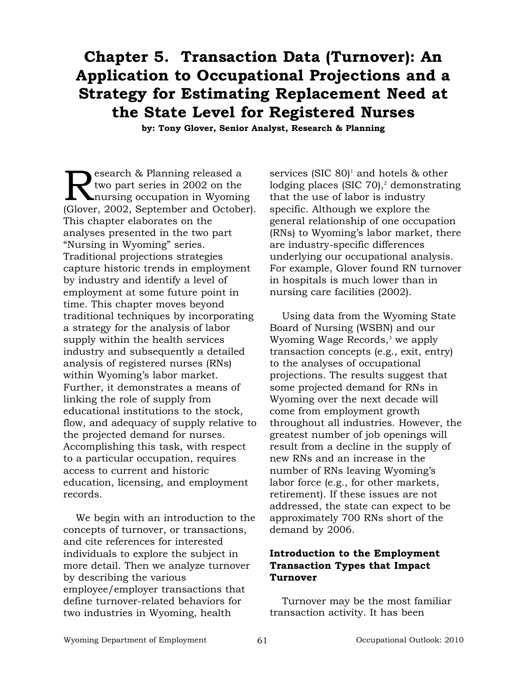# **Chapter 5. Transaction Data (Turnover): An Application to Occupational Projections and a Strategy for Estimating Replacement Need at the State Level for Registered Nurses**

**by: Tony Glover, Senior Analyst, Research & Planning**

Research & Planning released a<br>two part series in 2002 on the<br>Claver 2002, September and Ottober two part series in 2002 on the (Glover, 2002, September and October). This chapter elaborates on the analyses presented in the two part "Nursing in Wyoming" series. Traditional projections strategies capture historic trends in employment by industry and identify a level of employment at some future point in time. This chapter moves beyond traditional techniques by incorporating a strategy for the analysis of labor supply within the health services industry and subsequently a detailed analysis of registered nurses (RNs) within Wyoming's labor market. Further, it demonstrates a means of linking the role of supply from educational institutions to the stock, flow, and adequacy of supply relative to the projected demand for nurses. Accomplishing this task, with respect to a particular occupation, requires access to current and historic education, licensing, and employment records.

We begin with an introduction to the concepts of turnover, or transactions, and cite references for interested individuals to explore the subject in more detail. Then we analyze turnover by describing the various employee/employer transactions that define turnover-related behaviors for two industries in Wyoming, health

services (SIC  $80$ <sup>1</sup> and hotels  $\&$  other lodging places (SIC  $70$ ),<sup>2</sup> demonstrating that the use of labor is industry specific. Although we explore the general relationship of one occupation (RNs) to Wyoming's labor market, there are industry-specific differences underlying our occupational analysis. For example, Glover found RN turnover in hospitals is much lower than in nursing care facilities (2002).

Using data from the Wyoming State Board of Nursing (WSBN) and our Wyoming Wage Records,<sup>3</sup> we apply transaction concepts (e.g., exit, entry) to the analyses of occupational projections. The results suggest that some projected demand for RNs in Wyoming over the next decade will come from employment growth throughout all industries. However, the greatest number of job openings will result from a decline in the supply of new RNs and an increase in the number of RNs leaving Wyoming's labor force (e.g., for other markets, retirement). If these issues are not addressed, the state can expect to be approximately 700 RNs short of the demand by 2006.

# **Introduction to the Employment Transaction Types that Impact Turnover**

Turnover may be the most familiar transaction activity. It has been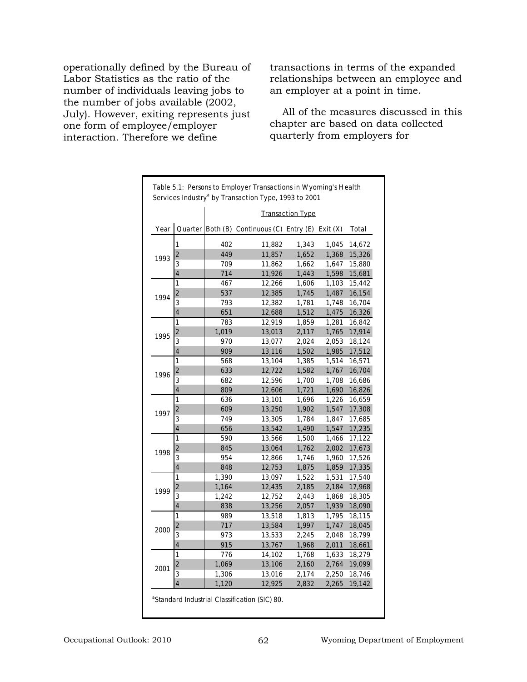operationally defined by the Bureau of Labor Statistics as the ratio of the number of individuals leaving jobs to the number of jobs available (2002, July). However, exiting represents just one form of employee/employer interaction. Therefore we define

transactions in terms of the expanded relationships between an employee and an employer at a point in time.

All of the measures discussed in this chapter are based on data collected quarterly from employers for

|      |                         |       |                                             | <b>Transaction Type</b> |            |        |
|------|-------------------------|-------|---------------------------------------------|-------------------------|------------|--------|
| Year |                         |       | Quarter   Both (B) Continuous (C) Entry (E) |                         | Exit $(X)$ | Total  |
|      | 1                       | 402   | 11,882                                      | 1,343                   | 1,045      | 14,672 |
|      | $\overline{2}$          | 449   | 11,857                                      | 1,652                   | 1,368      | 15,326 |
| 1993 | 3                       | 709   | 11,862                                      | 1,662                   | 1,647      | 15,880 |
|      | 4                       | 714   | 11,926                                      | 1,443                   | 1,598      | 15,681 |
|      | 1                       | 467   | 12,266                                      | 1,606                   | 1,103      | 15,442 |
| 1994 | 2                       | 537   | 12,385                                      | 1,745                   | 1,487      | 16,154 |
|      | 3                       | 793   | 12,382                                      | 1,781                   | 1,748      | 16,704 |
|      | 4                       | 651   | 12,688                                      | 1,512                   | 1,475      | 16,326 |
|      | 1                       | 783   | 12,919                                      | 1,859                   | 1,281      | 16,842 |
| 1995 | $\overline{\mathbf{c}}$ | 1,019 | 13,013                                      | 2,117                   | 1,765      | 17,914 |
|      | 3                       | 970   | 13,077                                      | 2,024                   | 2,053      | 18,124 |
|      | 4                       | 909   | 13,116                                      | 1,502                   | 1,985      | 17,512 |
|      | 1                       | 568   | 13,104                                      | 1,385                   | 1,514      | 16,571 |
| 1996 | $\overline{\mathbf{c}}$ | 633   | 12,722                                      | 1,582                   | 1,767      | 16,704 |
|      | 3                       | 682   | 12,596                                      | 1,700                   | 1,708      | 16,686 |
|      | 4                       | 809   | 12,606                                      | 1,721                   | 1,690      | 16,826 |
|      | 1                       | 636   | 13,101                                      | 1,696                   | 1,226      | 16,659 |
| 1997 | $\overline{2}$          | 609   | 13,250                                      | 1,902                   | 1,547      | 17,308 |
|      | 3                       | 749   | 13,305                                      | 1,784                   | 1,847      | 17,685 |
|      | 4                       | 656   | 13,542                                      | 1,490                   | 1,547      | 17,235 |
|      | 1                       | 590   | 13,566                                      | 1,500                   | 1,466      | 17,122 |
| 1998 | $\overline{2}$          | 845   | 13,064                                      | 1,762                   | 2,002      | 17,673 |
|      | 3                       | 954   | 12,866                                      | 1,746                   | 1,960      | 17,526 |
|      | 4                       | 848   | 12,753                                      | 1,875                   | 1,859      | 17,335 |
|      | 1                       | 1,390 | 13,097                                      | 1,522                   | 1,531      | 17,540 |
| 1999 | $\overline{2}$          | 1,164 | 12,435                                      | 2,185                   | 2,184      | 17,968 |
|      | 3                       | 1,242 | 12,752                                      | 2,443                   | 1,868      | 18,305 |
|      | 4                       | 838   | 13,256                                      | 2,057                   | 1,939      | 18,090 |
|      | 1                       | 989   | 13,518                                      | 1,813                   | 1,795      | 18,115 |
| 2000 | $\overline{2}$          | 717   | 13,584                                      | 1,997                   | 1,747      | 18,045 |
|      | 3                       | 973   | 13,533                                      | 2,245                   | 2,048      | 18,799 |
|      | 4                       | 915   | 13,767                                      | 1,968                   | 2,011      | 18,661 |
|      | 1                       | 776   | 14,102                                      | 1,768                   | 1,633      | 18,279 |
| 2001 | $\overline{2}$          | 1,069 | 13,106                                      | 2,160                   | 2,764      | 19,099 |
|      | 3                       | 1,306 | 13,016                                      | 2,174                   | 2,250      | 18,746 |
|      | 4                       | 1,120 | 12,925                                      | 2,832                   | 2,265      | 19,142 |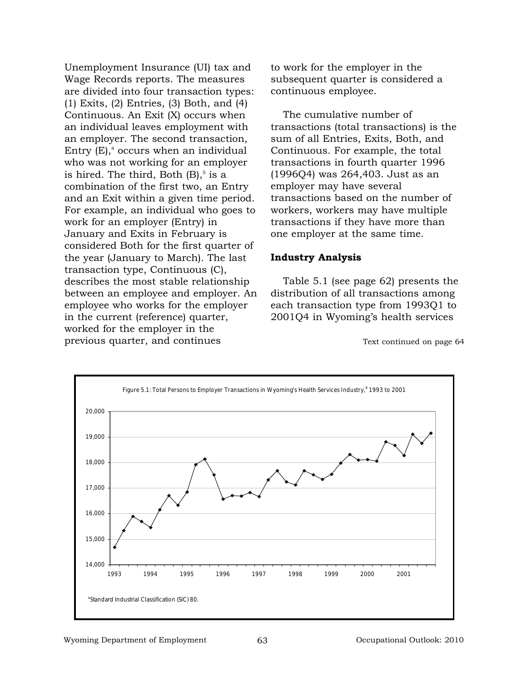Unemployment Insurance (UI) tax and Wage Records reports. The measures are divided into four transaction types: (1) Exits, (2) Entries, (3) Both, and (4) Continuous. An Exit (X) occurs when an individual leaves employment with an employer. The second transaction, Entry  $(E)$ ,<sup>4</sup> occurs when an individual who was not working for an employer is hired. The third, Both  $(B)$ ,<sup>5</sup> is a combination of the first two, an Entry and an Exit within a given time period. For example, an individual who goes to work for an employer (Entry) in January and Exits in February is considered Both for the first quarter of the year (January to March). The last transaction type, Continuous (C), describes the most stable relationship between an employee and employer. An employee who works for the employer in the current (reference) quarter, worked for the employer in the previous quarter, and continues

to work for the employer in the subsequent quarter is considered a continuous employee.

The cumulative number of transactions (total transactions) is the sum of all Entries, Exits, Both, and Continuous. For example, the total transactions in fourth quarter 1996 (1996Q4) was 264,403. Just as an employer may have several transactions based on the number of workers, workers may have multiple transactions if they have more than one employer at the same time.

#### **Industry Analysis**

Table 5.1 (see page 62) presents the distribution of all transactions among each transaction type from 1993Q1 to 2001Q4 in Wyoming's health services

Text continued on page 64

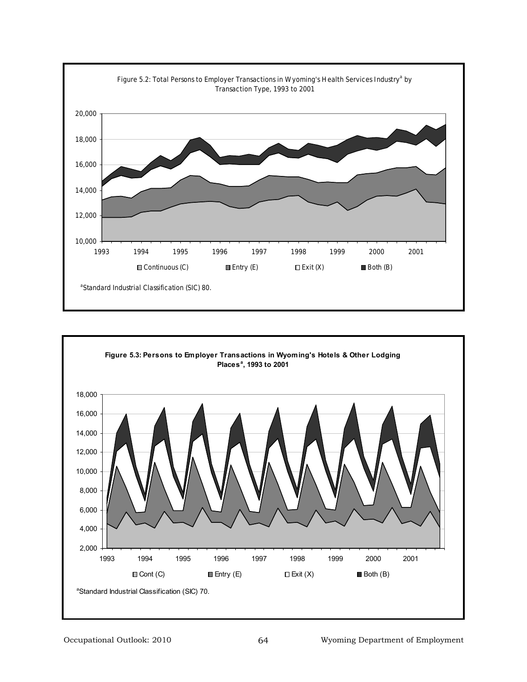

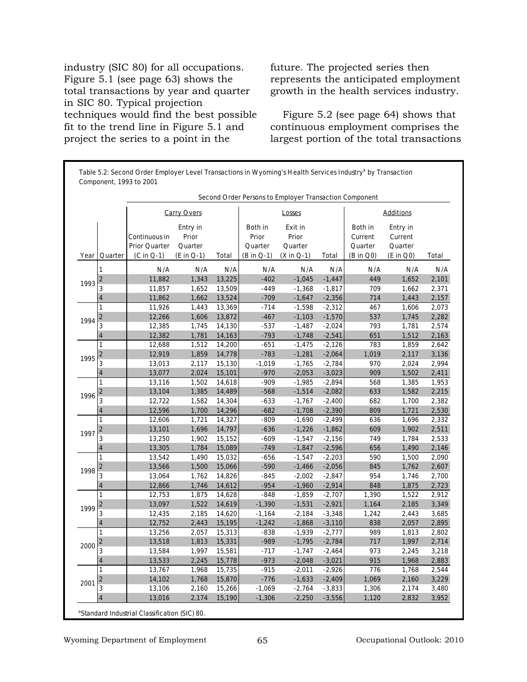industry (SIC 80) for all occupations. Figure 5.1 (see page 63) shows the total transactions by year and quarter in SIC 80. Typical projection techniques would find the best possible fit to the trend line in Figure 5.1 and project the series to a point in the

future. The projected series then represents the anticipated employment growth in the health services industry.

Figure 5.2 (see page 64) shows that continuous employment comprises the largest portion of the total transactions

|      |                         |                                                |                                            |               |                                           | Second Order Persons to Employer Transaction Component |                 |                                            |                                             |       |
|------|-------------------------|------------------------------------------------|--------------------------------------------|---------------|-------------------------------------------|--------------------------------------------------------|-----------------|--------------------------------------------|---------------------------------------------|-------|
|      |                         |                                                | <b>Carry Overs</b>                         |               |                                           | Losses                                                 |                 |                                            | <b>Additions</b>                            |       |
| Year | Quarter                 | Continuous in<br>Prior Quarter<br>$(C in Q-1)$ | Entry in<br>Prior<br>Quarter<br>(E in Q-1) | Total         | Both in<br>Prior<br>Quarter<br>(B in Q-1) | Exit in<br>Prior<br>Quarter<br>$(X in Q-1)$            | Total           | Both in<br>Current<br>Quarter<br>(B in Q0) | Entry in<br>Current<br>Quarter<br>(E in Q0) | Total |
|      | 1                       |                                                |                                            |               |                                           |                                                        |                 |                                            |                                             | N/A   |
|      | $\overline{\mathbf{c}}$ | N/A<br>11,882                                  | N/A<br>1,343                               | N/A<br>13,225 | N/A<br>$-402$                             | N/A<br>$-1,045$                                        | N/A<br>$-1,447$ | N/A<br>449                                 | N/A<br>1,652                                | 2,101 |
| 1993 |                         | 11,857                                         | 1,652                                      | 13,509        | $-449$                                    | $-1,368$                                               | $-1,817$        | 709                                        | 1,662                                       | 2,371 |
|      | 4                       | 11,862                                         | 1,662                                      | 13,524        | $-709$                                    | $-1,647$                                               | $-2,356$        | 714                                        | 1,443                                       | 2,157 |
|      | 1                       | 11,926                                         | 1,443                                      | 13,369        | $-714$                                    | $-1,598$                                               | $-2,312$        | 467                                        | 1,606                                       | 2,073 |
|      | $\overline{\mathbf{c}}$ | 12,266                                         | 1,606                                      | 13,872        | $-467$                                    | $-1,103$                                               | $-1,570$        | 537                                        | 1,745                                       | 2,282 |
| 1994 | 3                       | 12,385                                         | 1,745                                      | 14,130        | $-537$                                    | $-1,487$                                               | $-2,024$        | 793                                        | 1,781                                       | 2,574 |
|      | 4                       | 12,382                                         | 1,781                                      | 14,163        | $-793$                                    | $-1,748$                                               | $-2,541$        | 651                                        | 1,512                                       | 2,163 |
| 1995 | 1                       | 12,688                                         | 1,512                                      | 14,200        | $-651$                                    | $-1,475$                                               | $-2,126$        | 783                                        | 1,859                                       | 2,642 |
|      | 2                       | 12,919                                         | 1,859                                      | 14,778        | $-783$                                    | $-1,281$                                               | $-2,064$        | 1,019                                      | 2,117                                       | 3,136 |
|      | 3                       | 13,013                                         | 2,117                                      | 15,130        | $-1,019$                                  | $-1,765$                                               | $-2,784$        | 970                                        | 2,024                                       | 2,994 |
|      | 4                       | 13,077                                         | 2,024                                      | 15,101        | $-970$                                    | $-2,053$                                               | $-3,023$        | 909                                        | 1,502                                       | 2,411 |
|      | 1                       | 13,116                                         | 1,502                                      | 14,618        | $-909$                                    | $-1,985$                                               | $-2,894$        | 568                                        | 1,385                                       | 1,953 |
| 1996 | $\mathbf 2$             | 13,104                                         | 1,385                                      | 14,489        | $-568$                                    | $-1,514$                                               | $-2,082$        | 633                                        | 1,582                                       | 2,215 |
|      | $\overline{\mathbf{3}}$ | 12,722                                         | 1,582                                      | 14,304        | $-633$                                    | $-1,767$                                               | $-2,400$        | 682                                        | 1,700                                       | 2,382 |
|      | 4                       | 12,596                                         | 1,700                                      | 14,296        | $-682$                                    | $-1,708$                                               | $-2,390$        | 809                                        | 1,721                                       | 2,530 |
|      | 1                       | 12,606                                         | 1,721                                      | 14,327        | -809                                      | $-1,690$                                               | $-2,499$        | 636                                        | 1,696                                       | 2,332 |
| 1997 | $\overline{\mathbf{c}}$ | 13,101                                         | 1,696                                      | 14,797        | $-636$                                    | $-1,226$                                               | $-1,862$        | 609                                        | 1,902                                       | 2,511 |
|      | 3                       | 13,250                                         | 1,902                                      | 15,152        | $-609$                                    | $-1,547$                                               | $-2,156$        | 749                                        | 1,784                                       | 2,533 |
|      | 4                       | 13,305                                         | 1,784                                      | 15,089        | $-749$                                    | $-1,847$                                               | $-2,596$        | 656                                        | 1,490                                       | 2,146 |
|      | 1                       | 13,542                                         | 1,490                                      | 15,032        | $-656$                                    | $-1,547$                                               | $-2,203$        | 590                                        | 1,500                                       | 2,090 |
| 1998 | $\overline{\mathbf{c}}$ | 13,566                                         | 1,500                                      | 15,066        | $-590$                                    | $-1,466$                                               | $-2,056$        | 845                                        | 1,762                                       | 2,607 |
|      | 3                       | 13,064                                         | 1,762                                      | 14,826        | $-845$                                    | $-2,002$                                               | $-2,847$        | 954                                        | 1,746                                       | 2,700 |
|      | 4                       | 12,866                                         | 1,746                                      | 14,612        | $-954$                                    | $-1,960$                                               | $-2,914$        | 848                                        | 1,875                                       | 2,723 |
|      | 1                       | 12,753                                         | 1,875                                      | 14,628        | $-848$                                    | $-1,859$                                               | $-2,707$        | 1,390                                      | 1,522                                       | 2,912 |
| 1999 | 2                       | 13,097                                         | 1,522                                      | 14,619        | $-1,390$                                  | $-1,531$                                               | $-2,921$        | 1,164                                      | 2,185                                       | 3,349 |
|      | 3                       | 12,435                                         | 2,185                                      | 14,620        | $-1,164$                                  | $-2,184$                                               | $-3,348$        | 1,242                                      | 2,443                                       | 3,685 |
|      | 4                       | 12,752                                         | 2,443                                      | 15,195        | $-1,242$                                  | $-1,868$                                               | $-3,110$        | 838                                        | 2,057                                       | 2,895 |
|      | 1                       | 13,256                                         | 2,057                                      | 15,313        | $-838$                                    | $-1,939$                                               | $-2,777$        | 989                                        | 1,813                                       | 2,802 |
| 2000 | $\overline{\mathbf{c}}$ | 13,518                                         | 1,813                                      | 15,331        | -989                                      | $-1,795$                                               | $-2,784$        | 717                                        | 1,997                                       | 2,714 |
|      | 3                       | 13,584                                         | 1,997                                      | 15,581        | $-717$                                    | $-1,747$                                               | $-2,464$        | 973                                        | 2,245                                       | 3,218 |
|      | 4                       | 13,533                                         | 2,245                                      | 15,778        | $-973$                                    | $-2,048$                                               | $-3,021$        | 915                                        | 1,968                                       | 2,883 |
|      | 1                       | 13,767                                         | 1,968                                      | 15,735        | $-915$                                    | $-2,011$                                               | $-2,926$        | 776                                        | 1,768                                       | 2,544 |
| 2001 | $\overline{\mathbf{c}}$ | 14,102                                         | 1,768                                      | 15,870        | $-776$                                    | $-1,633$                                               | $-2,409$        | 1,069                                      | 2,160                                       | 3,229 |
|      | 3                       | 13,106                                         | 2,160                                      | 15,266        | -1,069                                    | $-2,764$                                               | $-3,833$        | 1,306                                      | 2,174                                       | 3,480 |
|      | 4                       | 13,016                                         | 2,174                                      | 15,190        | $-1,306$                                  | $-2,250$                                               | $-3,556$        | 1,120                                      | 2,832                                       | 3,952 |

a Standard Industrial Classification (SIC) 80.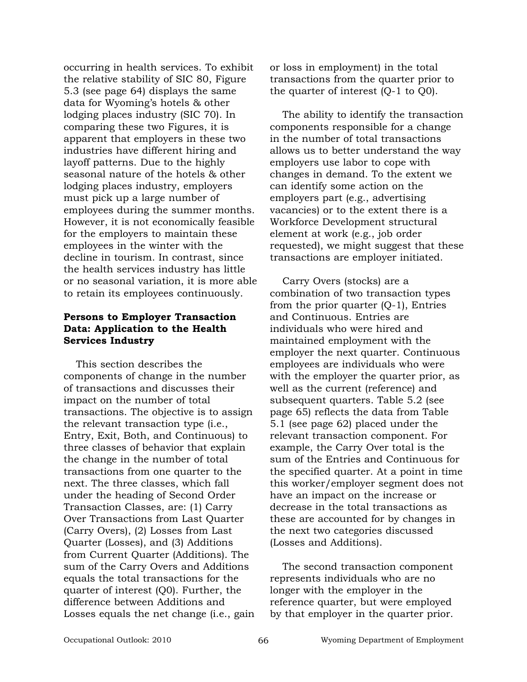occurring in health services. To exhibit the relative stability of SIC 80, Figure 5.3 (see page 64) displays the same data for Wyoming's hotels & other lodging places industry (SIC 70). In comparing these two Figures, it is apparent that employers in these two industries have different hiring and layoff patterns. Due to the highly seasonal nature of the hotels & other lodging places industry, employers must pick up a large number of employees during the summer months. However, it is not economically feasible for the employers to maintain these employees in the winter with the decline in tourism. In contrast, since the health services industry has little or no seasonal variation, it is more able to retain its employees continuously.

# **Persons to Employer Transaction Data: Application to the Health Services Industry**

This section describes the components of change in the number of transactions and discusses their impact on the number of total transactions. The objective is to assign the relevant transaction type (i.e., Entry, Exit, Both, and Continuous) to three classes of behavior that explain the change in the number of total transactions from one quarter to the next. The three classes, which fall under the heading of Second Order Transaction Classes, are: (1) Carry Over Transactions from Last Quarter (Carry Overs), (2) Losses from Last Quarter (Losses), and (3) Additions from Current Quarter (Additions). The sum of the Carry Overs and Additions equals the total transactions for the quarter of interest (Q0). Further, the difference between Additions and Losses equals the net change (i.e., gain or loss in employment) in the total transactions from the quarter prior to the quarter of interest (Q-1 to Q0).

The ability to identify the transaction components responsible for a change in the number of total transactions allows us to better understand the way employers use labor to cope with changes in demand. To the extent we can identify some action on the employers part (e.g., advertising vacancies) or to the extent there is a Workforce Development structural element at work (e.g., job order requested), we might suggest that these transactions are employer initiated.

Carry Overs (stocks) are a combination of two transaction types from the prior quarter (Q-1), Entries and Continuous. Entries are individuals who were hired and maintained employment with the employer the next quarter. Continuous employees are individuals who were with the employer the quarter prior, as well as the current (reference) and subsequent quarters. Table 5.2 (see page 65) reflects the data from Table 5.1 (see page 62) placed under the relevant transaction component. For example, the Carry Over total is the sum of the Entries and Continuous for the specified quarter. At a point in time this worker/employer segment does not have an impact on the increase or decrease in the total transactions as these are accounted for by changes in the next two categories discussed (Losses and Additions).

The second transaction component represents individuals who are no longer with the employer in the reference quarter, but were employed by that employer in the quarter prior.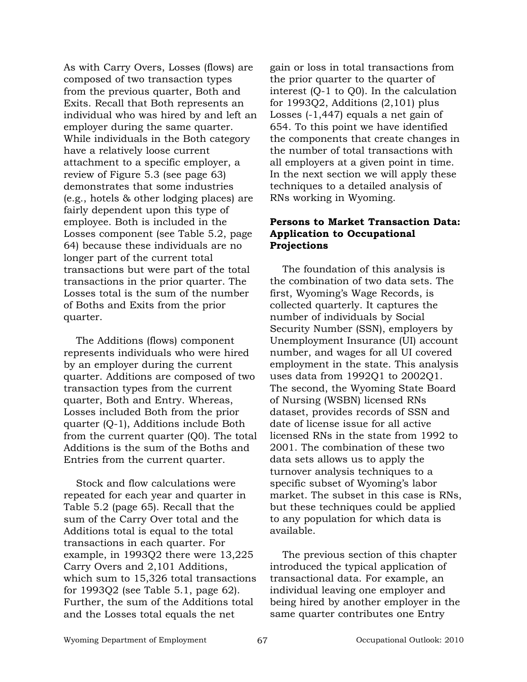As with Carry Overs, Losses (flows) are composed of two transaction types from the previous quarter, Both and Exits. Recall that Both represents an individual who was hired by and left an employer during the same quarter. While individuals in the Both category have a relatively loose current attachment to a specific employer, a review of Figure 5.3 (see page 63) demonstrates that some industries (e.g., hotels & other lodging places) are fairly dependent upon this type of employee. Both is included in the Losses component (see Table 5.2, page 64) because these individuals are no longer part of the current total transactions but were part of the total transactions in the prior quarter. The Losses total is the sum of the number of Boths and Exits from the prior quarter.

The Additions (flows) component represents individuals who were hired by an employer during the current quarter. Additions are composed of two transaction types from the current quarter, Both and Entry. Whereas, Losses included Both from the prior quarter (Q-1), Additions include Both from the current quarter (Q0). The total Additions is the sum of the Boths and Entries from the current quarter.

Stock and flow calculations were repeated for each year and quarter in Table 5.2 (page 65). Recall that the sum of the Carry Over total and the Additions total is equal to the total transactions in each quarter. For example, in 1993Q2 there were 13,225 Carry Overs and 2,101 Additions, which sum to 15,326 total transactions for 1993Q2 (see Table 5.1, page 62). Further, the sum of the Additions total and the Losses total equals the net

gain or loss in total transactions from the prior quarter to the quarter of interest (Q-1 to Q0). In the calculation for 1993Q2, Additions (2,101) plus Losses (-1,447) equals a net gain of 654. To this point we have identified the components that create changes in the number of total transactions with all employers at a given point in time. In the next section we will apply these techniques to a detailed analysis of RNs working in Wyoming.

## **Persons to Market Transaction Data: Application to Occupational Projections**

The foundation of this analysis is the combination of two data sets. The first, Wyoming's Wage Records, is collected quarterly. It captures the number of individuals by Social Security Number (SSN), employers by Unemployment Insurance (UI) account number, and wages for all UI covered employment in the state. This analysis uses data from 1992Q1 to 2002Q1. The second, the Wyoming State Board of Nursing (WSBN) licensed RNs dataset, provides records of SSN and date of license issue for all active licensed RNs in the state from 1992 to 2001. The combination of these two data sets allows us to apply the turnover analysis techniques to a specific subset of Wyoming's labor market. The subset in this case is RNs, but these techniques could be applied to any population for which data is available.

The previous section of this chapter introduced the typical application of transactional data. For example, an individual leaving one employer and being hired by another employer in the same quarter contributes one Entry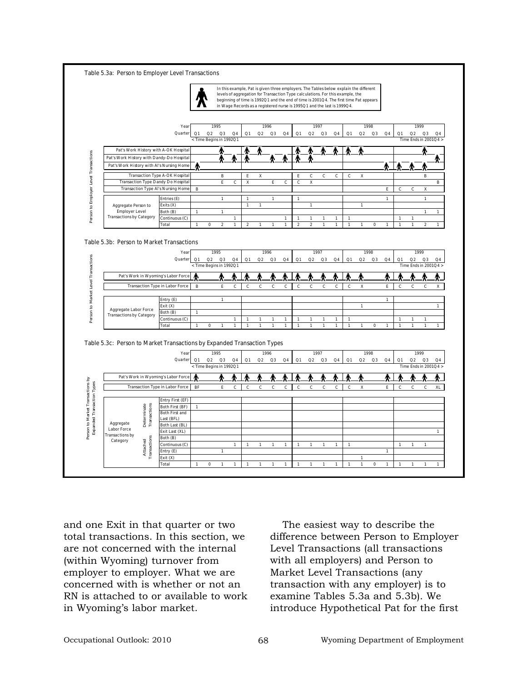|                                                                         |                                        |              |                                     |                |                              | In this example, Pat is given three employers. The Tables below explain the different<br>levels of aggregation for Transaction Type calculations. For this example, the<br>beginning of time is 1992Q1 and the end of time is 2001Q4. The first time Pat appears<br>in Wage Records as a registered nurse is 1995Q1 and the last is 1999Q4. |                                                              |                              |                   |                              |                |                              |              |           |              |              |                             |                              |    |
|-------------------------------------------------------------------------|----------------------------------------|--------------|-------------------------------------|----------------|------------------------------|---------------------------------------------------------------------------------------------------------------------------------------------------------------------------------------------------------------------------------------------------------------------------------------------------------------------------------------------|--------------------------------------------------------------|------------------------------|-------------------|------------------------------|----------------|------------------------------|--------------|-----------|--------------|--------------|-----------------------------|------------------------------|----|
|                                                                         |                                        |              |                                     |                |                              |                                                                                                                                                                                                                                                                                                                                             |                                                              |                              |                   |                              |                |                              |              |           |              |              |                             |                              |    |
|                                                                         | Year                                   |              | 1995                                |                |                              | 1996                                                                                                                                                                                                                                                                                                                                        |                                                              |                              |                   | 1997                         |                |                              |              | 1998      |              |              |                             | 1999                         |    |
|                                                                         | Quarter                                | Q1           | Q2<br>Q3                            | Q <sub>4</sub> | Q1                           | Q2                                                                                                                                                                                                                                                                                                                                          | Q3<br>Q4                                                     | Q1                           | Q2                | Q3                           | Q4             | Q1                           | Q2           | Q3        | Q4           | Q1           | Q2                          | Q3                           | Q4 |
|                                                                         |                                        |              | < Time Begins in 1992Q1             |                |                              |                                                                                                                                                                                                                                                                                                                                             |                                                              |                              |                   |                              |                |                              |              |           |              |              | Time Ends in 2001Q4 >       |                              |    |
| Pat's Work History with A-OK Hospital                                   |                                        |              |                                     |                |                              |                                                                                                                                                                                                                                                                                                                                             |                                                              |                              |                   |                              |                |                              |              |           |              |              |                             |                              |    |
| Pat's Work History with Dandy-Do Hospital                               |                                        |              |                                     |                |                              |                                                                                                                                                                                                                                                                                                                                             |                                                              |                              |                   |                              |                |                              |              |           |              |              |                             |                              |    |
| Pat's Work History with Al's Nursing Home                               |                                        |              |                                     |                |                              |                                                                                                                                                                                                                                                                                                                                             |                                                              |                              |                   |                              |                |                              |              |           |              |              |                             |                              |    |
|                                                                         | <b>Transaction Type A-OK Hospital</b>  |              | B                                   |                | E                            | Χ                                                                                                                                                                                                                                                                                                                                           |                                                              | E                            | C                 | C                            | c              | $\mathbf c$                  | X            |           |              |              |                             | B                            |    |
| <b>Transaction Type Dandy Do Hospita</b>                                |                                        |              | E                                   | $\mathsf c$    | X                            |                                                                                                                                                                                                                                                                                                                                             | E<br>$\mathbf c$                                             | $\mathsf{C}$                 | X                 |                              |                |                              |              |           |              |              |                             |                              |    |
| <b>Transaction Type Al's Nursing Home</b>                               |                                        | B            |                                     |                |                              |                                                                                                                                                                                                                                                                                                                                             |                                                              |                              |                   |                              |                |                              |              |           | E            | с            | c                           | Χ                            |    |
|                                                                         |                                        |              |                                     |                |                              |                                                                                                                                                                                                                                                                                                                                             |                                                              |                              |                   |                              |                |                              |              |           |              |              |                             |                              |    |
|                                                                         | Entries (E)                            |              | $\mathbf{1}$                        |                | $\mathbf{1}$<br>$\mathbf{1}$ | $\mathbf{1}$                                                                                                                                                                                                                                                                                                                                | $\mathbf{1}$                                                 | $\mathbf{1}$                 | 1                 |                              |                |                              | $\mathbf{1}$ |           | $\mathbf{1}$ |              |                             | $\mathbf 1$                  |    |
| Aggregate Person to<br><b>Employer Level</b>                            | Exits (X)<br>Both (B)                  | $\mathbf{1}$ | $\mathbf{1}$                        |                |                              |                                                                                                                                                                                                                                                                                                                                             |                                                              |                              |                   |                              |                |                              |              |           |              |              |                             | $\mathbf{1}$                 |    |
| <b>Transactions by Category</b>                                         | Continuous (C)                         |              |                                     | $\mathbf{1}$   |                              |                                                                                                                                                                                                                                                                                                                                             | 1                                                            | 1                            | 1                 |                              | 1              | $\mathbf{1}$                 |              |           |              |              | 1                           |                              |    |
|                                                                         | Total                                  | $\mathbf{1}$ | $\mathbf 2$<br>$\pmb{0}$            | $\mathbf{1}$   | $\mathbf 2$                  | 1                                                                                                                                                                                                                                                                                                                                           | $\mathbf{1}$<br>$\mathbf{1}$                                 | $\mathbf 2$                  | $\overline{2}$    | $\mathbf{1}$                 | $\mathbf{1}$   | $\mathbf{1}$                 | $\mathbf 1$  | $\pmb{0}$ | $\mathbf{1}$ | $\mathbf{1}$ | $\mathbf{1}$                | $\mathbf 2$                  |    |
|                                                                         |                                        |              |                                     |                |                              |                                                                                                                                                                                                                                                                                                                                             |                                                              |                              |                   |                              |                |                              |              |           |              |              |                             |                              |    |
|                                                                         | Quarter                                | Q1           | Q2<br>Q3<br>< Time Begins in 1992Q1 | Q4             | Q1                           | Q2                                                                                                                                                                                                                                                                                                                                          | Q3<br>$\mathsf{Q}4$                                          | Q1                           | Q2                | Q3                           | Q4             | Q1                           | Q2           | Q3        | Q4           | Q1           | Q2<br>Time Ends in 2001Q4 > | Q3                           |    |
| Pat's Work in Wyoming's Labor Force                                     |                                        |              |                                     |                |                              |                                                                                                                                                                                                                                                                                                                                             |                                                              |                              |                   |                              |                |                              |              |           |              |              |                             |                              | Q4 |
|                                                                         | <b>Transaction Type in Labor Force</b> | В            | E                                   | c              | C                            | c                                                                                                                                                                                                                                                                                                                                           | c                                                            | c<br>$\mathsf{C}$            | C                 | c                            | c              | $\mathbf c$                  | x            |           | E            | C            | с                           | c                            |    |
|                                                                         |                                        |              |                                     |                |                              |                                                                                                                                                                                                                                                                                                                                             |                                                              |                              |                   |                              |                |                              |              |           |              |              |                             |                              |    |
|                                                                         | Entry (E)                              |              | $\mathbf{1}$                        |                |                              |                                                                                                                                                                                                                                                                                                                                             |                                                              |                              |                   |                              |                |                              |              |           | $\mathbf{1}$ |              |                             |                              |    |
| Aggregate Labor Force                                                   | Exit (X)                               |              |                                     |                |                              |                                                                                                                                                                                                                                                                                                                                             |                                                              |                              |                   |                              |                |                              | $\mathbf{1}$ |           |              |              |                             |                              |    |
| <b>Transactions by Category</b>                                         | Both (B)                               | 1            |                                     | 1              |                              |                                                                                                                                                                                                                                                                                                                                             |                                                              |                              |                   |                              |                |                              |              |           |              | 1            |                             |                              |    |
|                                                                         | Continuous (C)<br><b>Total</b>         | $\mathbf{1}$ | $\pmb{0}$<br>$\mathbf{1}$           | $\mathbf{1}$   | 1<br>$\mathbf{1}$            | 1<br>$\mathbf{1}$                                                                                                                                                                                                                                                                                                                           | $\mathbf{1}$<br>$\mathbf{1}$<br>$\mathbf{1}$<br>$\mathbf{1}$ | $\mathbf{1}$<br>$\mathbf{1}$ | 1<br>$\mathbf{1}$ | $\mathbf{1}$<br>$\mathbf{1}$ | 1<br>1         | $\mathbf{1}$<br>$\mathbf{1}$ | $\mathbf{1}$ | $\pmb{0}$ | $\mathbf{1}$ | $\mathbf{1}$ | 1<br>$\mathbf{1}$           | $\mathbf{1}$<br>$\mathbf{1}$ |    |
| Table 5.3c: Person to Market Transactions by Expanded Transaction Types |                                        |              |                                     |                |                              |                                                                                                                                                                                                                                                                                                                                             |                                                              |                              |                   |                              |                |                              |              |           |              |              |                             |                              |    |
|                                                                         | Year                                   |              | 1995                                |                |                              | 1996                                                                                                                                                                                                                                                                                                                                        |                                                              |                              |                   | 1997                         |                |                              |              | 1998      |              |              |                             | 1999                         |    |
|                                                                         | Quarter                                | Q1           | Q2<br>Q3<br>< Time Begins in 1992Q1 | Q4             | Q1                           | Q2                                                                                                                                                                                                                                                                                                                                          | Q3<br>Q <sub>4</sub>                                         | Q1                           | Q2                | Q3                           | Q <sub>4</sub> | Q1                           | Q2           | Q3        | Q4           | Q1           | Q2<br>Time Ends in 2001Q4 > | $\Omega 3$                   |    |
| Pat's Work in Wyoming's Labor Force                                     |                                        |              |                                     |                |                              |                                                                                                                                                                                                                                                                                                                                             |                                                              |                              |                   |                              |                |                              |              |           |              |              |                             |                              |    |
|                                                                         | Transaction Type in Labor Force        | BF           | F                                   | c              | C                            | c                                                                                                                                                                                                                                                                                                                                           | C<br>$\mathbf c$                                             | $\mathbf c$                  | C.                | $\mathbf{C}$                 | c              | C                            | Χ            |           | E            | C            | $\mathbf{C}$                | $\mathbf c$                  |    |
|                                                                         |                                        |              |                                     |                |                              |                                                                                                                                                                                                                                                                                                                                             |                                                              |                              |                   |                              |                |                              |              |           |              |              |                             |                              |    |
|                                                                         | Entry First (EF)                       |              |                                     |                |                              |                                                                                                                                                                                                                                                                                                                                             |                                                              |                              |                   |                              |                |                              |              |           |              |              |                             |                              |    |
|                                                                         | <b>Both First (BF)</b>                 | 1            |                                     |                |                              |                                                                                                                                                                                                                                                                                                                                             |                                                              |                              |                   |                              |                |                              |              |           |              |              |                             |                              |    |
|                                                                         | <b>Both First and</b>                  |              |                                     |                |                              |                                                                                                                                                                                                                                                                                                                                             |                                                              |                              |                   |                              |                |                              |              |           |              |              |                             |                              |    |
| Aggregate                                                               | Last (BFL)                             |              |                                     |                |                              |                                                                                                                                                                                                                                                                                                                                             |                                                              |                              |                   |                              |                |                              |              |           |              |              |                             |                              |    |
| Determinate<br>Transactions<br>Labor Force                              | Both Last (BL)                         |              |                                     |                |                              |                                                                                                                                                                                                                                                                                                                                             |                                                              |                              |                   |                              |                |                              |              |           |              |              |                             |                              |    |
| <b>Transactions by</b>                                                  | Exit Last (XL)                         |              |                                     |                |                              |                                                                                                                                                                                                                                                                                                                                             |                                                              |                              |                   |                              |                |                              |              |           |              |              |                             |                              |    |
| Category                                                                | Both (B)                               |              |                                     | $\mathbf{1}$   | 1                            | $\mathbf{1}$                                                                                                                                                                                                                                                                                                                                | $\mathbf{1}$<br>$\mathbf{1}$                                 | 1                            | 1                 | 1                            | 1              | 1                            |              |           |              |              | 1                           | $\mathbf{1}$                 |    |
|                                                                         | Continuous (C)                         |              | $\mathbf{1}$                        |                |                              |                                                                                                                                                                                                                                                                                                                                             |                                                              |                              |                   |                              |                |                              |              |           | $\mathbf{1}$ |              |                             |                              |    |
| <b>Transactions</b><br>Attached                                         | Entry (E)<br>Exit (X)                  |              |                                     |                |                              |                                                                                                                                                                                                                                                                                                                                             |                                                              |                              |                   |                              |                |                              | $\mathbf{1}$ |           |              |              |                             |                              |    |

and one Exit in that quarter or two total transactions. In this section, we are not concerned with the internal (within Wyoming) turnover from employer to employer. What we are concerned with is whether or not an RN is attached to or available to work in Wyoming's labor market.

The easiest way to describe the difference between Person to Employer Level Transactions (all transactions with all employers) and Person to Market Level Transactions (any transaction with any employer) is to examine Tables 5.3a and 5.3b). We introduce Hypothetical Pat for the first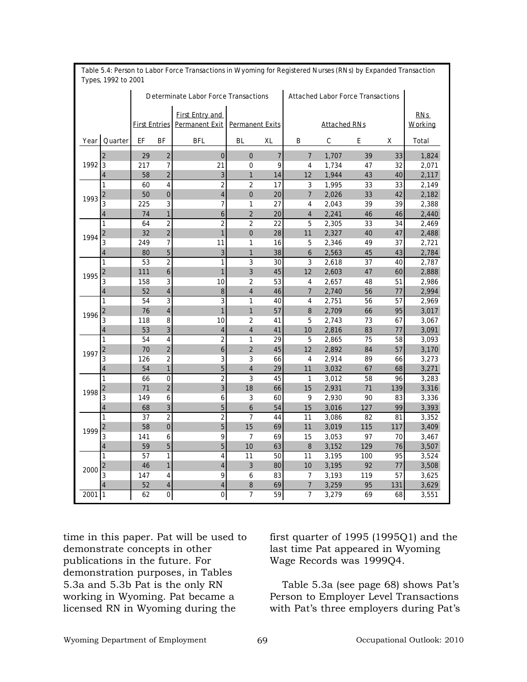|          |                         |     |                         | <b>Determinate Labor Force Transactions</b>                   |                         |    | <b>Attached Labor Force Transactions</b> |                     |     |     |                       |
|----------|-------------------------|-----|-------------------------|---------------------------------------------------------------|-------------------------|----|------------------------------------------|---------------------|-----|-----|-----------------------|
|          |                         |     |                         | <b>First Entry and</b><br><b>First Entries Permanent Exit</b> | <b>Permanent Exits</b>  |    |                                          | <b>Attached RNs</b> |     |     | <b>RNs</b><br>Working |
| Year     | Quarter                 | EF  | BF                      | BFL                                                           | <b>BL</b>               | XL | B                                        | c                   | E   | x   | Total                 |
|          | $\overline{2}$          | 29  | $\overline{2}$          | $\mathbf 0$                                                   | $\mathbf{0}$            | 7  | $\overline{7}$                           | 1,707               | 39  | 33  | 1,824                 |
| 1992     | 3                       | 217 | 7                       | 21                                                            | 0                       | 9  | 4                                        | 1,734               | 47  | 32  | 2,071                 |
|          | 4                       | 58  | $\overline{c}$          | 3                                                             | $\mathbf{1}$            | 14 | 12                                       | 1,944               | 43  | 40  | 2,117                 |
|          | 1                       | 60  | 4                       | $\overline{\mathbf{c}}$                                       | $\overline{2}$          | 17 | 3                                        | 1,995               | 33  | 33  | 2,149                 |
|          | $\overline{\mathbf{c}}$ | 50  | $\bf{0}$                | $\overline{\mathbf{4}}$                                       | $\mathbf{0}$            | 20 | $\overline{7}$                           | 2,026               | 33  | 42  | 2,182                 |
| 1993     | 3                       | 225 | 3                       | $\overline{7}$                                                | 1                       | 27 | 4                                        | 2,043               | 39  | 39  | 2,388                 |
|          | 4                       | 74  | 1                       | 6                                                             | $\overline{2}$          | 20 | $\overline{\mathbf{4}}$                  | 2,241               | 46  | 46  | 2,440                 |
|          | 1                       | 64  | $\overline{\mathbf{c}}$ | $\overline{\mathbf{c}}$                                       | $\overline{2}$          | 22 | 5                                        | 2,305               | 33  | 34  | 2,469                 |
| 1994     | 2                       | 32  | $\overline{2}$          | 1                                                             | $\mathbf 0$             | 28 | 11                                       | 2,327               | 40  | 47  | 2,488                 |
|          | 3                       | 249 | 7                       | 11                                                            | 1                       | 16 | 5                                        | 2,346               | 49  | 37  | 2,721                 |
|          | 4                       | 80  | 5                       | 3                                                             | 1                       | 38 | 6                                        | 2,563               | 45  | 43  | 2,784                 |
|          | 1                       | 53  | 2                       | 1                                                             | 3                       | 30 | 3                                        | 2,618               | 37  | 40  | 2,787                 |
| 1995     | 2                       | 111 | 6                       | 1                                                             | 3                       | 45 | 12                                       | 2,603               | 47  | 60  | 2,888                 |
|          | 3                       | 158 | 3                       | 10                                                            | $\overline{2}$          | 53 | 4                                        | 2,657               | 48  | 51  | 2,986                 |
|          | 4                       | 52  | $\overline{\mathbf{4}}$ | 8                                                             | $\overline{4}$          | 46 | $\overline{7}$                           | 2,740               | 56  | 77  | 2,994                 |
|          | 1                       | 54  | 3                       | 3                                                             | 1                       | 40 | 4                                        | 2,751               | 56  | 57  | 2,969                 |
| 1996     | 2                       | 76  | $\overline{\mathbf{4}}$ | 1                                                             | $\mathbf{1}$            | 57 | 8                                        | 2,709               | 66  | 95  | 3,017                 |
|          | 3                       | 118 | 8                       | 10                                                            | $\overline{2}$          | 41 | 5                                        | 2,743               | 73  | 67  | 3,067                 |
|          | 4                       | 53  | 3                       | $\overline{\mathbf{4}}$                                       | $\overline{\mathbf{4}}$ | 41 | 10                                       | 2,816               | 83  | 77  | 3,091                 |
|          | 1                       | 54  | 4                       | $\overline{2}$                                                | 1                       | 29 | 5                                        | 2,865               | 75  | 58  | 3,093                 |
| 1997     | 2                       | 70  | $\overline{2}$          | 6                                                             | $\overline{2}$          | 45 | 12                                       | 2,892               | 84  | 57  | 3,170                 |
|          | 3                       | 126 | 2                       | 3                                                             | 3                       | 66 | 4                                        | 2,914               | 89  | 66  | 3,273                 |
|          | 4                       | 54  | 1                       | 5                                                             | $\overline{\mathbf{4}}$ | 29 | 11                                       | 3,032               | 67  | 68  | 3,271                 |
|          | 1                       | 66  | $\mathbf 0$             | $\overline{\mathbf{c}}$                                       | $\overline{\mathbf{3}}$ | 45 | $\mathbf{1}$                             | 3,012               | 58  | 96  | 3,283                 |
| 1998     | 2                       | 71  | $\overline{c}$          | 3                                                             | 18                      | 66 | 15                                       | 2,931               | 71  | 139 | 3,316                 |
|          | 3                       | 149 | 6                       | 6                                                             | 3                       | 60 | 9                                        | 2,930               | 90  | 83  | 3,336                 |
|          | 4                       | 68  | 3                       | 5                                                             | 6                       | 54 | 15                                       | 3,016               | 127 | 99  | 3,393                 |
|          | 1                       | 37  | 2                       | $\overline{\mathbf{c}}$                                       | $\overline{7}$          | 44 | 11                                       | 3,086               | 82  | 81  | 3,352                 |
| 1999     | 2                       | 58  | $\bf{0}$                | 5                                                             | 15                      | 69 | 11                                       | 3,019               | 115 | 117 | 3,409                 |
|          | 3                       | 141 | 6                       | 9                                                             | $\overline{7}$          | 69 | 15                                       | 3,053               | 97  | 70  | 3,467                 |
|          | 4                       | 59  | 5                       | 5                                                             | 10                      | 63 | 8                                        | 3,152               | 129 | 76  | 3,507                 |
|          | 1                       | 57  | 1                       | 4                                                             | 11                      | 50 | 11                                       | 3,195               | 100 | 95  | 3,524                 |
|          | 2                       | 46  | $\mathbf{1}$            | $\overline{\mathbf{4}}$                                       | 3                       | 80 | 10                                       | 3,195               | 92  | 77  | 3,508                 |
| 2000     | 3                       | 147 | 4                       | 9                                                             | 6                       | 83 | $\overline{7}$                           | 3,193               | 119 | 57  | 3,625                 |
|          | 4                       | 52  | 4                       | 4                                                             | 8                       | 69 | $\overline{7}$                           | 3,259               | 95  | 131 | 3,629                 |
| $2001$ 1 |                         | 62  | $\mathbf 0$             | $\pmb{0}$                                                     | $\overline{7}$          | 59 | $\overline{7}$                           | 3,279               | 69  | 68  | 3,551                 |

**Table 5.4: Person to Labor Force Transactions in Wyoming for Registered Nurses (RNs) by Expanded Transaction Types, 1992 to 2001**

time in this paper. Pat will be used to demonstrate concepts in other publications in the future. For demonstration purposes, in Tables 5.3a and 5.3b Pat is the only RN working in Wyoming. Pat became a licensed RN in Wyoming during the

first quarter of 1995 (1995Q1) and the last time Pat appeared in Wyoming Wage Records was 1999Q4.

Table 5.3a (see page 68) shows Pat's Person to Employer Level Transactions with Pat's three employers during Pat's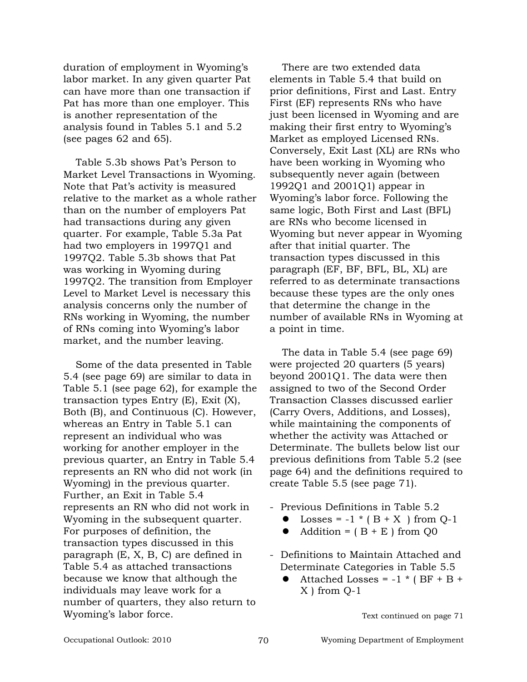duration of employment in Wyoming's labor market. In any given quarter Pat can have more than one transaction if Pat has more than one employer. This is another representation of the analysis found in Tables 5.1 and 5.2 (see pages 62 and 65).

Table 5.3b shows Pat's Person to Market Level Transactions in Wyoming. Note that Pat's activity is measured relative to the market as a whole rather than on the number of employers Pat had transactions during any given quarter. For example, Table 5.3a Pat had two employers in 1997Q1 and 1997Q2. Table 5.3b shows that Pat was working in Wyoming during 1997Q2. The transition from Employer Level to Market Level is necessary this analysis concerns only the number of RNs working in Wyoming, the number of RNs coming into Wyoming's labor market, and the number leaving.

Some of the data presented in Table 5.4 (see page 69) are similar to data in Table 5.1 (see page 62), for example the transaction types Entry (E), Exit (X), Both (B), and Continuous (C). However, whereas an Entry in Table 5.1 can represent an individual who was working for another employer in the previous quarter, an Entry in Table 5.4 represents an RN who did not work (in Wyoming) in the previous quarter. Further, an Exit in Table 5.4 represents an RN who did not work in Wyoming in the subsequent quarter. For purposes of definition, the transaction types discussed in this paragraph (E, X, B, C) are defined in Table 5.4 as attached transactions because we know that although the individuals may leave work for a number of quarters, they also return to Wyoming's labor force.

There are two extended data elements in Table 5.4 that build on prior definitions, First and Last. Entry First (EF) represents RNs who have just been licensed in Wyoming and are making their first entry to Wyoming's Market as employed Licensed RNs. Conversely, Exit Last (XL) are RNs who have been working in Wyoming who subsequently never again (between 1992Q1 and 2001Q1) appear in Wyoming's labor force. Following the same logic, Both First and Last (BFL) are RNs who become licensed in Wyoming but never appear in Wyoming after that initial quarter. The transaction types discussed in this paragraph (EF, BF, BFL, BL, XL) are referred to as determinate transactions because these types are the only ones that determine the change in the number of available RNs in Wyoming at a point in time.

The data in Table 5.4 (see page 69) were projected 20 quarters (5 years) beyond 2001Q1. The data were then assigned to two of the Second Order Transaction Classes discussed earlier (Carry Overs, Additions, and Losses), while maintaining the components of whether the activity was Attached or Determinate. The bullets below list our previous definitions from Table 5.2 (see page 64) and the definitions required to create Table 5.5 (see page 71).

- Previous Definitions in Table 5.2
	- Losses =  $-1 * (B + X)$  from Q-1
	- $\bullet$  Addition = ( $B + E$ ) from Q0
- Definitions to Maintain Attached and Determinate Categories in Table 5.5
	- Attached Losses =  $-1$  \* (BF + B + X ) from Q-1

Text continued on page 71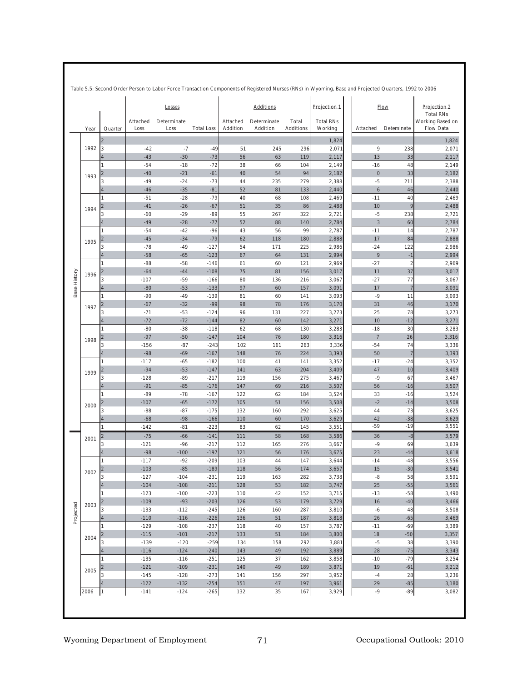|      |                |                  | Losses              |                   |                      | <b>Additions</b>               |                           | Projection 1                | <b>Flow</b>             | Projection 2<br><b>Total RNs</b> |                                      |
|------|----------------|------------------|---------------------|-------------------|----------------------|--------------------------------|---------------------------|-----------------------------|-------------------------|----------------------------------|--------------------------------------|
| Year | Quarter        | Attached<br>Loss | Determinate<br>Loss | <b>Total Loss</b> | Attached<br>Addition | Determinate<br><b>Addition</b> | Total<br><b>Additions</b> | <b>Total RNs</b><br>Working | Attached                | Deteminate                       | Working Based on<br><b>Flow Data</b> |
|      | $\overline{2}$ |                  |                     |                   |                      |                                |                           | 1,824                       |                         |                                  | 1,824                                |
| 1992 | 3              | $-42$            | $-7$                | $-49$             | 51                   | 245                            | 296                       | 2,071                       | 9                       | 238                              | 2,071                                |
|      | 4              | $-43$            | $-30$               | $-73$             | 56                   | 63                             | 119                       | 2,117                       | 13                      | 33                               | 2,117                                |
|      | 1              | $-54$            | $-18$               | $-72$             | 38                   | 66                             | 104                       | 2,149                       | $-16$                   | 48                               | 2,149                                |
| 1993 | $\overline{2}$ | $-40$            | $-21$               | $-61$             | 40                   | 54                             | 94                        | 2,182                       | $\pmb{0}$               | 33                               | 2,182                                |
|      | 3              | $-49$            | $-24$               | $-73$             | 44                   | 235                            | 279                       | 2,388                       | $-5$                    | 211                              | 2,388                                |
|      | 4              | $-46$            | $-35$               | $-81$             | 52                   | 81                             | 133                       | 2,440                       | 6                       | 46                               | 2,440                                |
|      | 1              | $-51$            | $-28$               | $-79$             | 40                   | 68                             | 108                       | 2,469                       | $-11$                   | 40                               | 2,469                                |
| 1994 | 2              | $-41$            | $-26$               | $-67$             | 51                   | 35                             | 86                        | 2,488                       | 10                      | 9                                | 2,488                                |
|      | 3              | $-60$            | $-29$               | $-89$             | 55                   | 267                            | 322                       | 2,721                       | $-5$                    | 238                              | 2,721                                |
|      | 4<br>1         | $-49$            | $-28$               | $-77$<br>$-96$    | 52                   | 88                             | 140<br>99                 | 2,784                       | $\overline{3}$<br>$-11$ | 60<br>14                         | 2,784                                |
|      |                | $-54$            | $-42$               |                   | 43                   | 56                             |                           | 2,787                       |                         | 84                               | 2,787                                |
| 1995 | $\overline{2}$ | $-45$<br>$-78$   | $-34$<br>$-49$      | $-79$             | 62<br>54             | 118                            | 180<br>225                | 2,888                       | 17<br>$-24$             | 122                              | 2,888<br>2,986                       |
|      | 3<br>4         | $-58$            | $-65$               | $-127$<br>$-123$  | 67                   | 171<br>64                      | 131                       | 2,986<br>2,994              | 9                       | $-1$                             | 2,994                                |
|      | 1              | $-88$            | $-58$               | $-146$            | 61                   | 60                             | 121                       | 2,969                       | $-27$                   | $\overline{\mathbf{c}}$          | 2,969                                |
|      | $\overline{2}$ | $-64$            | $-44$               | $-108$            | 75                   | 81                             | 156                       | 3,017                       | 11                      | 37                               | 3,017                                |
| 1996 | 3              | $-107$           | $-59$               | $-166$            | 80                   | 136                            | 216                       | 3,067                       | $-27$                   | 77                               | 3,067                                |
|      | 4              | $-80$            | $-53$               | $-133$            | 97                   | 60                             | 157                       | 3,091                       | 17                      | $\overline{7}$                   | 3,091                                |
|      | 1              | $-90$            | $-49$               | $-139$            | 81                   | 60                             | 141                       | 3,093                       | $-9$                    | 11                               | 3,093                                |
|      | 2              | $-67$            | $-32$               | $-99$             | 98                   | 78                             | 176                       | 3,170                       | 31                      | 46                               | 3,170                                |
| 1997 | 3              | $-71$            | $-53$               | $-124$            | 96                   | 131                            | 227                       | 3,273                       | 25                      | 78                               | 3,273                                |
|      | 4              | $-72$            | $-72$               | $-144$            | 82                   | 60                             | 142                       | 3,271                       | 10                      | $-12$                            | 3,271                                |
|      | 1              | $-80$            | $-38$               | $-118$            | 62                   | 68                             | 130                       | 3,283                       | $-18$                   | 30                               | 3,283                                |
|      | 2              | $-97$            | $-50$               | $-147$            | 104                  | 76                             | 180                       | 3,316                       | $\overline{7}$          | 26                               | 3,316                                |
| 1998 | 3              | $-156$           | $-87$               | $-243$            | 102                  | 161                            | 263                       | 3,336                       | $-54$                   | 74                               | 3,336                                |
|      | 4              | $-98$            | $-69$               | $-167$            | 148                  | 76                             | 224                       | 3,393                       | 50                      | $\overline{7}$                   | 3,393                                |
|      | 1              | $-117$           | $-65$               | $-182$            | 100                  | 41                             | 141                       | 3,352                       | $-17$                   | $-24$                            | 3,352                                |
| 1999 | $\overline{2}$ | $-94$            | $-53$               | $-147$            | 141                  | 63                             | 204                       | 3,409                       | 47                      | 10                               | 3,409                                |
|      | 3              | $-128$           | $-89$               | $-217$            | 119                  | 156                            | 275                       | 3,467                       | $-9$                    | 67                               | 3,467                                |
|      | 4              | $-91$            | $-85$               | $-176$            | 147                  | 69                             | 216                       | 3,507                       | 56                      | $-16$                            | 3,507                                |
|      |                | $-89$            | $-78$               | $-167$            | 122                  | 62                             | 184                       | 3,524                       | 33                      | $-16$                            | 3,524                                |
| 2000 | $\overline{2}$ | $-107$           | $-65$               | $-172$            | 105                  | 51                             | 156                       | 3,508                       | $-2$                    | $-14$                            | 3,508                                |
|      | 3              | $-88$            | $-87$               | $-175$            | 132                  | 160                            | 292                       | 3,625                       | 44                      | 73                               | 3,625                                |
|      | 4              | $-68$            | $-98$               | $-166$            | 110                  | 60                             | 170                       | 3,629                       | 42                      | $-38$                            | 3,629                                |
|      | 1              | $-142$           | $-81$               | $-223$            | 83                   | 62                             | 145                       | 3,551                       | $-59$                   | $-19$                            | 3,551                                |
| 2001 | $\overline{2}$ | $-75$            | $-66$               | $-141$            | 111                  | 58                             | 168                       | 3,586                       | 36                      | $-8$                             | 3,579                                |
|      | 3              | $-121$           | $-96$               | $-217$            | 112                  | 165                            | 276                       | 3,667                       | $-9$                    | 69                               | 3,639                                |
|      | 4              | $-98$            | $-100$              | $-197$            | 121                  | 56                             | 176                       | 3,675                       | 23                      | $-44$                            | 3,618                                |
|      | 1              | $-117$           | $-92$               | $-209$            | 103                  | 44                             | 147                       | 3,644                       | $-14$                   | $-48$                            | 3,556                                |
| 2002 | 2              | $-103$           | $-85$               | $-189$            | 118                  | 56                             | 174                       | 3,657                       | 15                      | $-30$                            | 3,541                                |
|      | ς              | $-127$           | $-104$              | $-231$            | 119                  | 163                            | 282                       | 3,738                       | -8                      | 58                               | 3,591                                |
|      | 4              | $-104$           | $-108$              | $-211$            | 128                  | 53                             | 182                       | 3,747                       | 25                      | $-55$                            | 3,561                                |
|      | 1              | $-123$           | $-100$              | $-223$            | 110                  | 42                             | 152                       | 3,715                       | $-13$                   | $-58$                            | 3,490                                |
| 2003 | 2              | $-109$           | $-93$               | $-203$            | 126                  | 53                             | 179                       | 3,729                       | $16$                    | $-40$                            | 3,466                                |
|      | 3              | $-133$           | $-112$              | $-245$            | 126                  | 160                            | 287                       | 3,810                       | $-6$                    | 48                               | 3,508                                |
|      | 4              | $-110$           | $-116$              | $-226$            | 136                  | 51                             | 187                       | 3,818                       | 26                      | $-65$                            | 3,469                                |
|      | 1              | $-129$<br>$-115$ | $-108$<br>$-101$    | $-237$<br>$-217$  | 118<br>133           | 40<br>51                       | 157<br>184                | 3,787<br>3,800              | $-11$<br>18             | $-69$<br>$-50$                   | 3,389                                |
| 2004 | 2<br>3         | $-139$           | $-120$              | $-259$            | 134                  | 158                            | 292                       |                             | $-5$                    | 38                               | 3,357<br>3,390                       |
|      |                | $-116$           | $-124$              | $-240$            | 143                  | 49                             | 192                       | 3,881<br>3,889              | 28                      | $-75$                            |                                      |
|      |                | $-135$           | $-116$              | $-251$            | 125                  | 37                             | 162                       | 3,858                       | $-10$                   | $-79$                            | 3,343<br>3,254                       |
|      |                | $-121$           | $-109$              | $-231$            | 140                  | 49                             | 189                       | 3,871                       | 19                      | $-61$                            | 3,212                                |
| 2005 | 3              | $-145$           | $-128$              | $-273$            | 141                  | 156                            | 297                       | 3,952                       | $-4$                    | 28                               | 3,236                                |
|      |                | $-122$           | $-132$              | $-254$            | 151                  | 47                             | 197                       | 3,961                       | 29                      | $-85$                            | 3,180                                |
| 2006 | 1              | $-141$           | $-124$              | $-265$            | 132                  | 35                             | $167$                     | 3,929                       | $-9$                    | $-89$                            | 3,082                                |

**Table 5.5: Second Order Person to Labor Force Transaction Components of Registered Nurses (RNs) in Wyoming, Base and Projected Quarters, 1992 to 2006**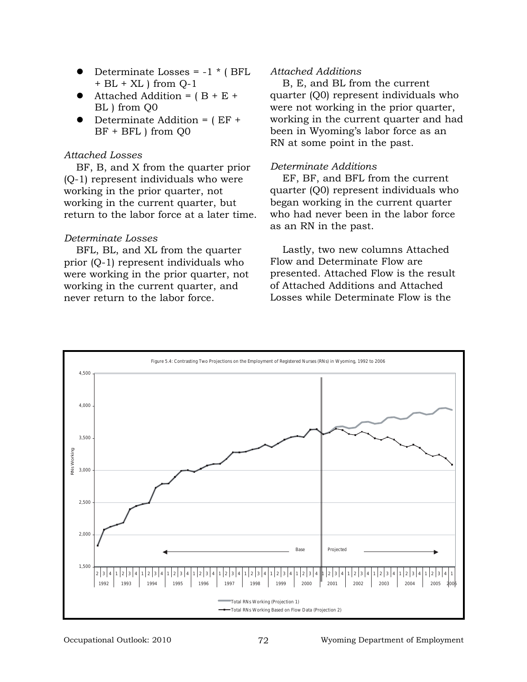- Determinate Losses =  $-1$   $*$  ( BFL  $+$  BL  $+$  XL  $)$  from Q-1
- Attached Addition =  $(B + E +$ BL ) from Q0
- Determinate Addition =  $(EF +$ BF + BFL ) from Q0

### *Attached Losses*

BF, B, and X from the quarter prior (Q-1) represent individuals who were working in the prior quarter, not working in the current quarter, but return to the labor force at a later time.

## *Determinate Losses*

BFL, BL, and XL from the quarter prior (Q-1) represent individuals who were working in the prior quarter, not working in the current quarter, and never return to the labor force.

## *Attached Additions*

B, E, and BL from the current quarter (Q0) represent individuals who were not working in the prior quarter, working in the current quarter and had been in Wyoming's labor force as an RN at some point in the past.

### *Determinate Additions*

EF, BF, and BFL from the current quarter (Q0) represent individuals who began working in the current quarter who had never been in the labor force as an RN in the past.

Lastly, two new columns Attached Flow and Determinate Flow are presented. Attached Flow is the result of Attached Additions and Attached Losses while Determinate Flow is the

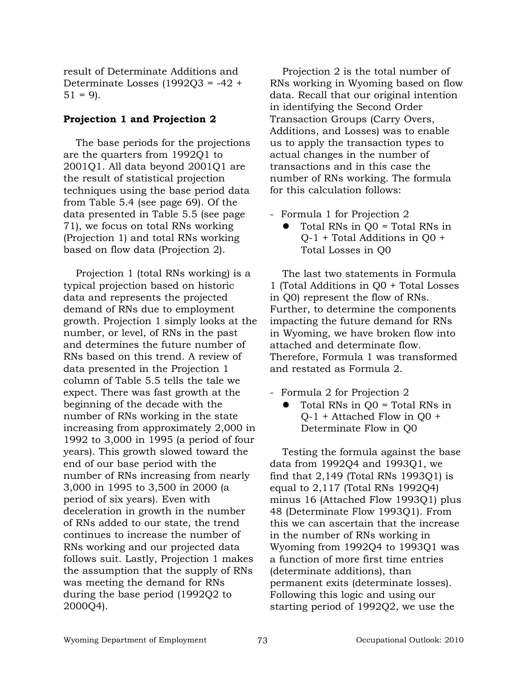result of Determinate Additions and Determinate Losses (1992Q3 = -42 +  $51 = 9$ .

## **Projection 1 and Projection 2**

The base periods for the projections are the quarters from 1992Q1 to 2001Q1. All data beyond 2001Q1 are the result of statistical projection techniques using the base period data from Table 5.4 (see page 69). Of the data presented in Table 5.5 (see page 71), we focus on total RNs working (Projection 1) and total RNs working based on flow data (Projection 2).

Projection 1 (total RNs working) is a typical projection based on historic data and represents the projected demand of RNs due to employment growth. Projection 1 simply looks at the number, or level, of RNs in the past and determines the future number of RNs based on this trend. A review of data presented in the Projection 1 column of Table 5.5 tells the tale we expect. There was fast growth at the beginning of the decade with the number of RNs working in the state increasing from approximately 2,000 in 1992 to 3,000 in 1995 (a period of four years). This growth slowed toward the end of our base period with the number of RNs increasing from nearly 3,000 in 1995 to 3,500 in 2000 (a period of six years). Even with deceleration in growth in the number of RNs added to our state, the trend continues to increase the number of RNs working and our projected data follows suit. Lastly, Projection 1 makes the assumption that the supply of RNs was meeting the demand for RNs during the base period (1992Q2 to 2000Q4).

Projection 2 is the total number of RNs working in Wyoming based on flow data. Recall that our original intention in identifying the Second Order Transaction Groups (Carry Overs, Additions, and Losses) was to enable us to apply the transaction types to actual changes in the number of transactions and in this case the number of RNs working. The formula for this calculation follows:

- Formula 1 for Projection 2
	- Total RNs in  $Q0$  = Total RNs in Q-1 + Total Additions in Q0 + Total Losses in Q0

The last two statements in Formula 1 (Total Additions in Q0 + Total Losses in Q0) represent the flow of RNs. Further, to determine the components impacting the future demand for RNs in Wyoming, we have broken flow into attached and determinate flow. Therefore, Formula 1 was transformed and restated as Formula 2.

- Formula 2 for Projection 2
	- $\bullet$  Total RNs in  $Q0 = \text{Total RNs}$  in Q-1 + Attached Flow in Q0 + Determinate Flow in Q0

Testing the formula against the base data from 1992Q4 and 1993Q1, we find that 2,149 (Total RNs 1993Q1) is equal to 2,117 (Total RNs 1992Q4) minus 16 (Attached Flow 1993Q1) plus 48 (Determinate Flow 1993Q1). From this we can ascertain that the increase in the number of RNs working in Wyoming from 1992Q4 to 1993Q1 was a function of more first time entries (determinate additions), than permanent exits (determinate losses). Following this logic and using our starting period of 1992Q2, we use the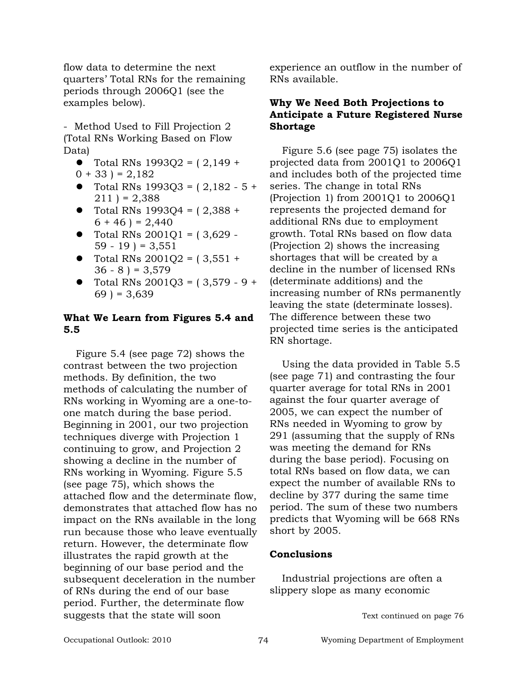flow data to determine the next quarters' Total RNs for the remaining periods through 2006Q1 (see the examples below).

- Method Used to Fill Projection 2 (Total RNs Working Based on Flow Data)

- Total RNs  $1993O2 = (2,149 +$
- $0 + 33$ ) = 2,182
- Total RNs  $1993Q3 = (2,182 5 +$  $211$  ) = 2,388
- Total RNs 1993O4 =  $(2,388 +$  $6 + 46$ ) = 2,440
- Total RNs  $2001Q1 = (3,629 59 - 19$  ) = 3,551
- Total RNs  $2001Q2 = (3,551 +$  $36 - 8$ ) = 3,579
- Total RNs  $2001Q3 = (3,579 9 +$  $69$ ) = 3,639

# **What We Learn from Figures 5.4 and 5.5**

Figure 5.4 (see page 72) shows the contrast between the two projection methods. By definition, the two methods of calculating the number of RNs working in Wyoming are a one-toone match during the base period. Beginning in 2001, our two projection techniques diverge with Projection 1 continuing to grow, and Projection 2 showing a decline in the number of RNs working in Wyoming. Figure 5.5 (see page 75), which shows the attached flow and the determinate flow, demonstrates that attached flow has no impact on the RNs available in the long run because those who leave eventually return. However, the determinate flow illustrates the rapid growth at the beginning of our base period and the subsequent deceleration in the number of RNs during the end of our base period. Further, the determinate flow suggests that the state will soon

experience an outflow in the number of RNs available.

# **Why We Need Both Projections to Anticipate a Future Registered Nurse Shortage**

Figure 5.6 (see page 75) isolates the projected data from 2001Q1 to 2006Q1 and includes both of the projected time series. The change in total RNs (Projection 1) from 2001Q1 to 2006Q1 represents the projected demand for additional RNs due to employment growth. Total RNs based on flow data (Projection 2) shows the increasing shortages that will be created by a decline in the number of licensed RNs (determinate additions) and the increasing number of RNs permanently leaving the state (determinate losses). The difference between these two projected time series is the anticipated RN shortage.

Using the data provided in Table 5.5 (see page 71) and contrasting the four quarter average for total RNs in 2001 against the four quarter average of 2005, we can expect the number of RNs needed in Wyoming to grow by 291 (assuming that the supply of RNs was meeting the demand for RNs during the base period). Focusing on total RNs based on flow data, we can expect the number of available RNs to decline by 377 during the same time period. The sum of these two numbers predicts that Wyoming will be 668 RNs short by 2005.

# **Conclusions**

Industrial projections are often a slippery slope as many economic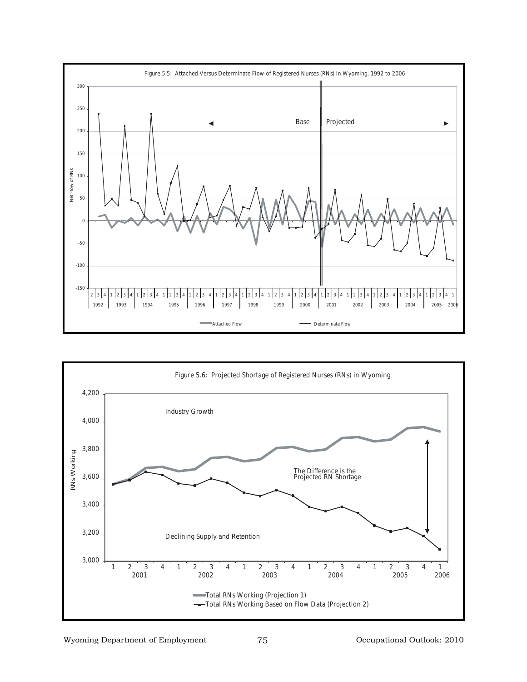

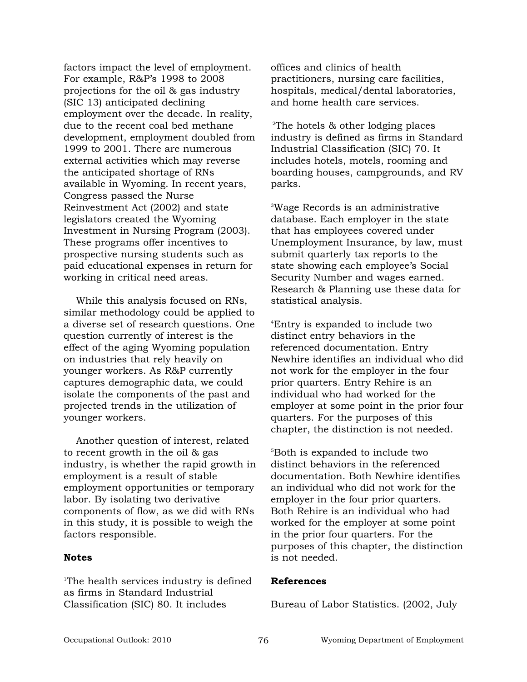factors impact the level of employment. For example, R&P's 1998 to 2008 projections for the oil & gas industry (SIC 13) anticipated declining employment over the decade. In reality, due to the recent coal bed methane development, employment doubled from 1999 to 2001. There are numerous external activities which may reverse the anticipated shortage of RNs available in Wyoming. In recent years, Congress passed the Nurse Reinvestment Act (2002) and state legislators created the Wyoming Investment in Nursing Program (2003). These programs offer incentives to prospective nursing students such as paid educational expenses in return for working in critical need areas.

While this analysis focused on RNs, similar methodology could be applied to a diverse set of research questions. One question currently of interest is the effect of the aging Wyoming population on industries that rely heavily on younger workers. As R&P currently captures demographic data, we could isolate the components of the past and projected trends in the utilization of younger workers.

Another question of interest, related to recent growth in the oil & gas industry, is whether the rapid growth in employment is a result of stable employment opportunities or temporary labor. By isolating two derivative components of flow, as we did with RNs in this study, it is possible to weigh the factors responsible.

#### **Notes**

1 The health services industry is defined as firms in Standard Industrial Classification (SIC) 80. It includes

offices and clinics of health practitioners, nursing care facilities, hospitals, medical/dental laboratories, and home health care services.

2 The hotels & other lodging places industry is defined as firms in Standard Industrial Classification (SIC) 70. It includes hotels, motels, rooming and boarding houses, campgrounds, and RV parks.

3 Wage Records is an administrative database. Each employer in the state that has employees covered under Unemployment Insurance, by law, must submit quarterly tax reports to the state showing each employee's Social Security Number and wages earned. Research & Planning use these data for statistical analysis.

4 Entry is expanded to include two distinct entry behaviors in the referenced documentation. Entry Newhire identifies an individual who did not work for the employer in the four prior quarters. Entry Rehire is an individual who had worked for the employer at some point in the prior four quarters. For the purposes of this chapter, the distinction is not needed.

5 Both is expanded to include two distinct behaviors in the referenced documentation. Both Newhire identifies an individual who did not work for the employer in the four prior quarters. Both Rehire is an individual who had worked for the employer at some point in the prior four quarters. For the purposes of this chapter, the distinction is not needed.

#### **References**

Bureau of Labor Statistics. (2002, July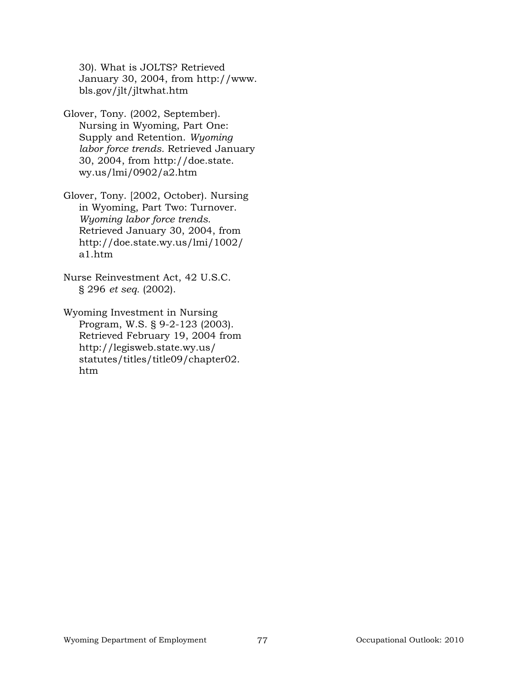30). What is JOLTS? Retrieved January 30, 2004, from http://www. bls.gov/jlt/jltwhat.htm

Glover, Tony. (2002, September). Nursing in Wyoming, Part One: Supply and Retention. *Wyoming labor force trends.* Retrieved January 30, 2004, from http://doe.state. wy.us/lmi/0902/a2.htm

Glover, Tony. [2002, October). Nursing in Wyoming, Part Two: Turnover. *Wyoming labor force trends.* Retrieved January 30, 2004, from http://doe.state.wy.us/lmi/1002/ a1.htm

Nurse Reinvestment Act, 42 U.S.C. § 296 *et seq.* (2002).

Wyoming Investment in Nursing Program, W.S. § 9-2-123 (2003). Retrieved February 19, 2004 from http://legisweb.state.wy.us/ statutes/titles/title09/chapter02. htm